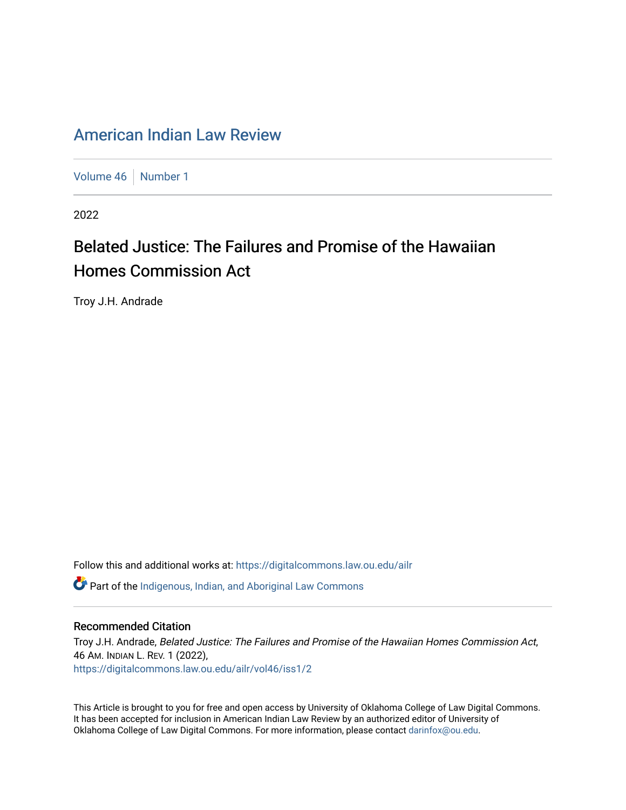## [American Indian Law Review](https://digitalcommons.law.ou.edu/ailr)

[Volume 46](https://digitalcommons.law.ou.edu/ailr/vol46) [Number 1](https://digitalcommons.law.ou.edu/ailr/vol46/iss1)

2022

# Belated Justice: The Failures and Promise of the Hawaiian Homes Commission Act

Troy J.H. Andrade

Follow this and additional works at: [https://digitalcommons.law.ou.edu/ailr](https://digitalcommons.law.ou.edu/ailr?utm_source=digitalcommons.law.ou.edu%2Failr%2Fvol46%2Fiss1%2F2&utm_medium=PDF&utm_campaign=PDFCoverPages) **C** Part of the Indigenous, Indian, and Aboriginal Law Commons

## Recommended Citation

Troy J.H. Andrade, Belated Justice: The Failures and Promise of the Hawaiian Homes Commission Act, 46 AM. INDIAN L. REV. 1 (2022), [https://digitalcommons.law.ou.edu/ailr/vol46/iss1/2](https://digitalcommons.law.ou.edu/ailr/vol46/iss1/2?utm_source=digitalcommons.law.ou.edu%2Failr%2Fvol46%2Fiss1%2F2&utm_medium=PDF&utm_campaign=PDFCoverPages)

This Article is brought to you for free and open access by University of Oklahoma College of Law Digital Commons. It has been accepted for inclusion in American Indian Law Review by an authorized editor of University of Oklahoma College of Law Digital Commons. For more information, please contact [darinfox@ou.edu.](mailto:darinfox@ou.edu)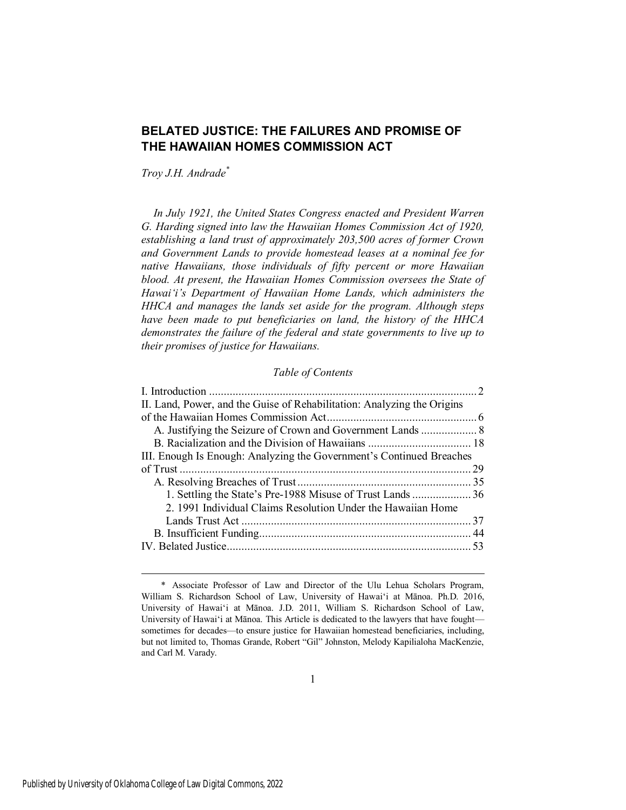## **BELATED JUSTICE: THE FAILURES AND PROMISE OF THE HAWAIIAN HOMES COMMISSION ACT**

*Troy J.H. Andrade\** 

*In July 1921, the United States Congress enacted and President Warren G. Harding signed into law the Hawaiian Homes Commission Act of 1920, establishing a land trust of approximately 203,500 acres of former Crown and Government Lands to provide homestead leases at a nominal fee for native Hawaiians, those individuals of fifty percent or more Hawaiian blood. At present, the Hawaiian Homes Commission oversees the State of Hawai'i's Department of Hawaiian Home Lands, which administers the HHCA and manages the lands set aside for the program. Although steps have been made to put beneficiaries on land, the history of the HHCA demonstrates the failure of the federal and state governments to live up to their promises of justice for Hawaiians.*

#### *Table of Contents*

| II. Land, Power, and the Guise of Rehabilitation: Analyzing the Origins |  |
|-------------------------------------------------------------------------|--|
|                                                                         |  |
|                                                                         |  |
|                                                                         |  |
| III. Enough Is Enough: Analyzing the Government's Continued Breaches    |  |
|                                                                         |  |
|                                                                         |  |
|                                                                         |  |
| 2. 1991 Individual Claims Resolution Under the Hawaiian Home            |  |
|                                                                         |  |
|                                                                         |  |
|                                                                         |  |
|                                                                         |  |

 <sup>\*</sup> Associate Professor of Law and Director of the Ulu Lehua Scholars Program, William S. Richardson School of Law, University of Hawai'i at Mānoa. Ph.D. 2016, University of Hawai'i at Mānoa. J.D. 2011, William S. Richardson School of Law, University of Hawai'i at Mānoa. This Article is dedicated to the lawyers that have fought sometimes for decades—to ensure justice for Hawaiian homestead beneficiaries, including, but not limited to, Thomas Grande, Robert "Gil" Johnston, Melody Kapilialoha MacKenzie, and Carl M. Varady.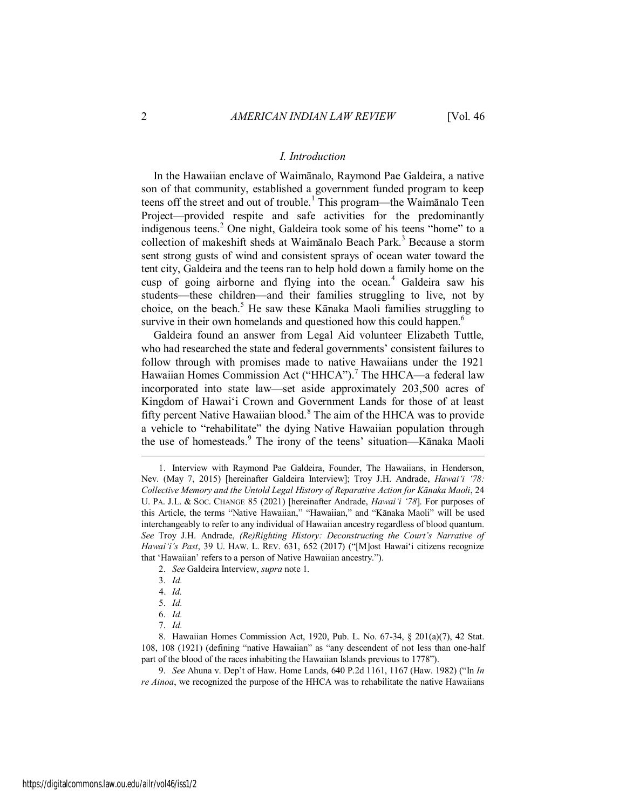#### *I. Introduction*

<span id="page-2-0"></span>In the Hawaiian enclave of Waimānalo, Raymond Pae Galdeira, a native son of that community, established a government funded program to keep teens off the street and out of trouble.<sup>1</sup> This program—the Waimānalo Teen Project—provided respite and safe activities for the predominantly indigenous teens.<sup>2</sup> One night, Galdeira took some of his teens "home" to a collection of makeshift sheds at Waimānalo Beach Park.<sup>3</sup> Because a storm sent strong gusts of wind and consistent sprays of ocean water toward the tent city, Galdeira and the teens ran to help hold down a family home on the cusp of going airborne and flying into the ocean.<sup>4</sup> Galdeira saw his students—these children—and their families struggling to live, not by choice, on the beach.<sup>5</sup> He saw these Kānaka Maoli families struggling to survive in their own homelands and questioned how this could happen.<sup>6</sup>

Galdeira found an answer from Legal Aid volunteer Elizabeth Tuttle, who had researched the state and federal governments' consistent failures to follow through with promises made to native Hawaiians under the 1921 Hawaiian Homes Commission Act ("HHCA").<sup>7</sup> The HHCA—a federal law incorporated into state law—set aside approximately 203,500 acres of Kingdom of Hawai'i Crown and Government Lands for those of at least fifty percent Native Hawaiian blood.<sup>8</sup> The aim of the HHCA was to provide a vehicle to "rehabilitate" the dying Native Hawaiian population through the use of homesteads.<sup>9</sup> The irony of the teens' situation—Kānaka Maoli

 $\overline{a}$ 

9. *See* Ahuna v. Dep't of Haw. Home Lands, 640 P.2d 1161, 1167 (Haw. 1982) ("In *In re Ainoa*, we recognized the purpose of the HHCA was to rehabilitate the native Hawaiians

<sup>1.</sup> Interview with Raymond Pae Galdeira, Founder, The Hawaiians, in Henderson, Nev. (May 7, 2015) [hereinafter Galdeira Interview]; Troy J.H. Andrade, *Hawai'i '78: Collective Memory and the Untold Legal History of Reparative Action for Kānaka Maoli*, 24 U. PA. J.L. & SOC. CHANGE 85 (2021) [hereinafter Andrade, *Hawai'i '78*]. For purposes of this Article, the terms "Native Hawaiian," "Hawaiian," and "Kānaka Maoli" will be used interchangeably to refer to any individual of Hawaiian ancestry regardless of blood quantum. *See* Troy J.H. Andrade, *(Re)Righting History: Deconstructing the Court's Narrative of Hawaiʻi's Past*, 39 U. HAW. L. REV. 631, 652 (2017) ("[M]ost Hawaiʻi citizens recognize that 'Hawaiian' refers to a person of Native Hawaiian ancestry.").

<sup>2.</sup> *See* Galdeira Interview, *supra* note 1.

<sup>3.</sup> *Id.*

<sup>4.</sup> *Id.*

<sup>5.</sup> *Id.*

<sup>6.</sup> *Id.*

<sup>7.</sup> *Id.*

<sup>8.</sup> Hawaiian Homes Commission Act, 1920, Pub. L. No. 67-34, § 201(a)(7), 42 Stat. 108, 108 (1921) (defining "native Hawaiian" as "any descendent of not less than one-half part of the blood of the races inhabiting the Hawaiian Islands previous to 1778").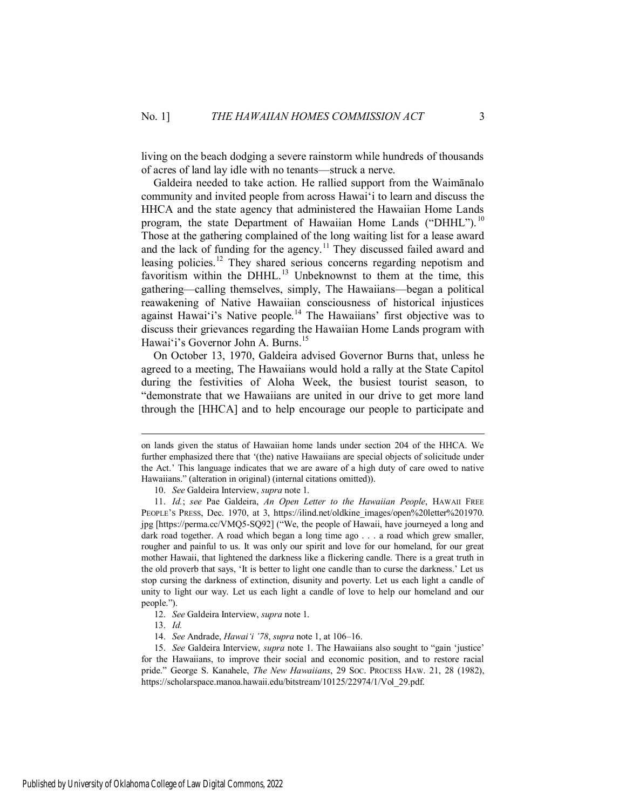living on the beach dodging a severe rainstorm while hundreds of thousands of acres of land lay idle with no tenants—struck a nerve.

Galdeira needed to take action. He rallied support from the Waimānalo community and invited people from across Hawai'i to learn and discuss the HHCA and the state agency that administered the Hawaiian Home Lands program, the state Department of Hawaiian Home Lands ("DHHL").<sup>10</sup> Those at the gathering complained of the long waiting list for a lease award and the lack of funding for the agency.<sup>11</sup> They discussed failed award and leasing policies.<sup>12</sup> They shared serious concerns regarding nepotism and favoritism within the DHHL.<sup>13</sup> Unbeknownst to them at the time, this gathering—calling themselves, simply, The Hawaiians—began a political reawakening of Native Hawaiian consciousness of historical injustices against Hawai'i's Native people.<sup>14</sup> The Hawaiians' first objective was to discuss their grievances regarding the Hawaiian Home Lands program with Hawai'i's Governor John A. Burns.<sup>15</sup>

On October 13, 1970, Galdeira advised Governor Burns that, unless he agreed to a meeting, The Hawaiians would hold a rally at the State Capitol during the festivities of Aloha Week, the busiest tourist season, to "demonstrate that we Hawaiians are united in our drive to get more land through the [HHCA] and to help encourage our people to participate and

on lands given the status of Hawaiian home lands under section 204 of the HHCA. We further emphasized there that '(the) native Hawaiians are special objects of solicitude under the Act.' This language indicates that we are aware of a high duty of care owed to native Hawaiians." (alteration in original) (internal citations omitted)).

<sup>10.</sup> *See* Galdeira Interview, *supra* note 1.

<sup>11.</sup> *Id.*; *see* Pae Galdeira, *An Open Letter to the Hawaiian People*, HAWAII FREE PEOPLE's PRESS, Dec. 1970, at 3, https://ilind.net/oldkine\_images/open%20letter%201970. jpg [https://perma.cc/VMQ5-SQ92] ("We, the people of Hawaii, have journeyed a long and dark road together. A road which began a long time ago . . . a road which grew smaller, rougher and painful to us. It was only our spirit and love for our homeland, for our great mother Hawaii, that lightened the darkness like a flickering candle. There is a great truth in the old proverb that says, 'It is better to light one candle than to curse the darkness.' Let us stop cursing the darkness of extinction, disunity and poverty. Let us each light a candle of unity to light our way. Let us each light a candle of love to help our homeland and our people.").

<sup>12.</sup> *See* Galdeira Interview, *supra* note 1.

<sup>13.</sup> *Id.*

<sup>14.</sup> *See* Andrade, *Hawai'i '78*, *supra* note 1, at 106–16.

<sup>15.</sup> *See* Galdeira Interview, *supra* note 1. The Hawaiians also sought to "gain 'justice' for the Hawaiians, to improve their social and economic position, and to restore racial pride." George S. Kanahele, *The New Hawaiians*, 29 SOC. PROCESS HAW. 21, 28 (1982), https://scholarspace.manoa.hawaii.edu/bitstream/10125/22974/1/Vol\_29.pdf.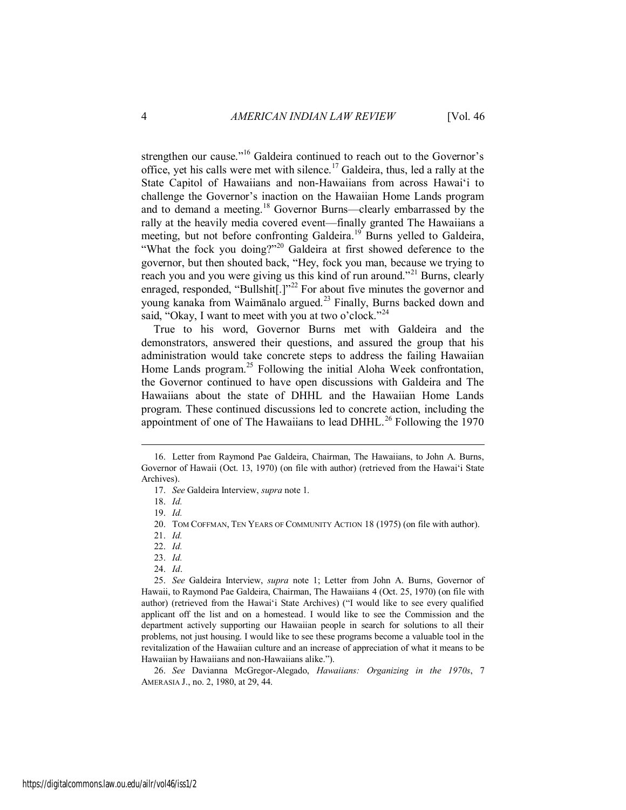strengthen our cause."<sup>16</sup> Galdeira continued to reach out to the Governor's office, yet his calls were met with silence.<sup>17</sup> Galdeira, thus, led a rally at the State Capitol of Hawaiians and non-Hawaiians from across Hawai'i to challenge the Governor's inaction on the Hawaiian Home Lands program and to demand a meeting.<sup>18</sup> Governor Burns—clearly embarrassed by the rally at the heavily media covered event—finally granted The Hawaiians a meeting, but not before confronting Galdeira.<sup>19</sup> Burns yelled to Galdeira, "What the fock you doing?"<sup>20</sup> Galdeira at first showed deference to the governor, but then shouted back, "Hey, fock you man, because we trying to reach you and you were giving us this kind of run around."<sup>21</sup> Burns, clearly enraged, responded, "Bullshit $[.]$ "<sup>22</sup> For about five minutes the governor and young kanaka from Waimānalo argued.<sup>23</sup> Finally, Burns backed down and said, "Okay, I want to meet with you at two o'clock."<sup>24</sup>

True to his word, Governor Burns met with Galdeira and the demonstrators, answered their questions, and assured the group that his administration would take concrete steps to address the failing Hawaiian Home Lands program.<sup>25</sup> Following the initial Aloha Week confrontation, the Governor continued to have open discussions with Galdeira and The Hawaiians about the state of DHHL and the Hawaiian Home Lands program. These continued discussions led to concrete action, including the appointment of one of The Hawaiians to lead DHHL.<sup>26</sup> Following the  $1970$ 

- 23. *Id.*
- 24. *Id*.

<sup>16.</sup> Letter from Raymond Pae Galdeira, Chairman, The Hawaiians, to John A. Burns, Governor of Hawaii (Oct. 13, 1970) (on file with author) (retrieved from the Hawai'i State Archives).

<sup>17.</sup> *See* Galdeira Interview, *supra* note 1.

<sup>18.</sup> *Id.*

<sup>19.</sup> *Id.*

<sup>20.</sup> TOM COFFMAN, TEN YEARS OF COMMUNITY ACTION 18 (1975) (on file with author).

<sup>21.</sup> *Id.*

<sup>22.</sup> *Id.*

<sup>25.</sup> *See* Galdeira Interview, *supra* note 1; Letter from John A. Burns, Governor of Hawaii, to Raymond Pae Galdeira, Chairman, The Hawaiians 4 (Oct. 25, 1970) (on file with author) (retrieved from the Hawai'i State Archives) ("I would like to see every qualified applicant off the list and on a homestead. I would like to see the Commission and the department actively supporting our Hawaiian people in search for solutions to all their problems, not just housing. I would like to see these programs become a valuable tool in the revitalization of the Hawaiian culture and an increase of appreciation of what it means to be Hawaiian by Hawaiians and non-Hawaiians alike.").

<sup>26.</sup> *See* Davianna McGregor-Alegado, *Hawaiians: Organizing in the 1970s*, 7 AMERASIA J., no. 2, 1980, at 29, 44.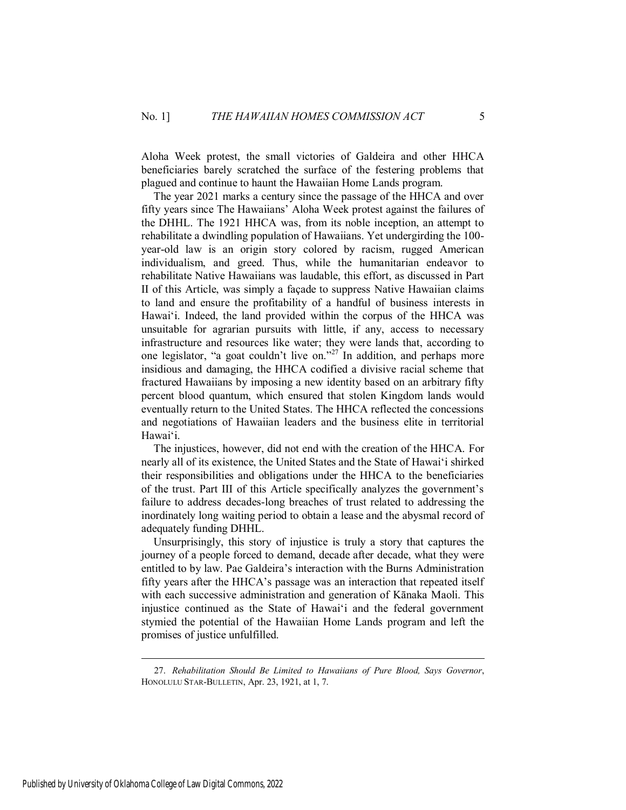Aloha Week protest, the small victories of Galdeira and other HHCA beneficiaries barely scratched the surface of the festering problems that plagued and continue to haunt the Hawaiian Home Lands program.

The year 2021 marks a century since the passage of the HHCA and over fifty years since The Hawaiians' Aloha Week protest against the failures of the DHHL. The 1921 HHCA was, from its noble inception, an attempt to rehabilitate a dwindling population of Hawaiians. Yet undergirding the 100 year-old law is an origin story colored by racism, rugged American individualism, and greed. Thus, while the humanitarian endeavor to rehabilitate Native Hawaiians was laudable, this effort, as discussed in Part II of this Article, was simply a façade to suppress Native Hawaiian claims to land and ensure the profitability of a handful of business interests in Hawai'i. Indeed, the land provided within the corpus of the HHCA was unsuitable for agrarian pursuits with little, if any, access to necessary infrastructure and resources like water; they were lands that, according to one legislator, "a goat couldn't live on."<sup>27</sup> In addition, and perhaps more insidious and damaging, the HHCA codified a divisive racial scheme that fractured Hawaiians by imposing a new identity based on an arbitrary fifty percent blood quantum, which ensured that stolen Kingdom lands would eventually return to the United States. The HHCA reflected the concessions and negotiations of Hawaiian leaders and the business elite in territorial Hawai'i.

The injustices, however, did not end with the creation of the HHCA. For nearly all of its existence, the United States and the State of Hawai'i shirked their responsibilities and obligations under the HHCA to the beneficiaries of the trust. Part III of this Article specifically analyzes the government's failure to address decades-long breaches of trust related to addressing the inordinately long waiting period to obtain a lease and the abysmal record of adequately funding DHHL.

Unsurprisingly, this story of injustice is truly a story that captures the journey of a people forced to demand, decade after decade, what they were entitled to by law. Pae Galdeira's interaction with the Burns Administration fifty years after the HHCA's passage was an interaction that repeated itself with each successive administration and generation of Kānaka Maoli. This injustice continued as the State of Hawai'i and the federal government stymied the potential of the Hawaiian Home Lands program and left the promises of justice unfulfilled.

<sup>27.</sup> *Rehabilitation Should Be Limited to Hawaiians of Pure Blood, Says Governor*, HONOLULU STAR-BULLETIN, Apr. 23, 1921, at 1, 7.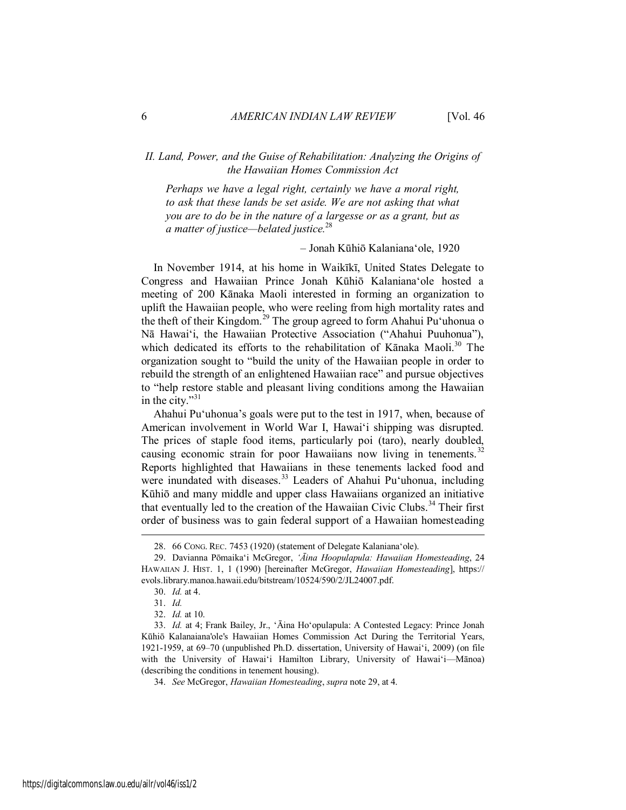## <span id="page-6-0"></span>*II. Land, Power, and the Guise of Rehabilitation: Analyzing the Origins of the Hawaiian Homes Commission Act*

*Perhaps we have a legal right, certainly we have a moral right, to ask that these lands be set aside. We are not asking that what you are to do be in the nature of a largesse or as a grant, but as a matter of justice—belated justice.*<sup>28</sup>

– Jonah Kūhiō Kalaniana'ole, 1920

In November 1914, at his home in Waikīkī, United States Delegate to Congress and Hawaiian Prince Jonah Kūhiō Kalaniana'ole hosted a meeting of 200 Kānaka Maoli interested in forming an organization to uplift the Hawaiian people, who were reeling from high mortality rates and the theft of their Kingdom.<sup>29</sup> The group agreed to form Ahahui Pu'uhonua o Nā Hawai'i, the Hawaiian Protective Association ("Ahahui Puuhonua"), which dedicated its efforts to the rehabilitation of Kānaka Maoli.<sup>30</sup> The organization sought to "build the unity of the Hawaiian people in order to rebuild the strength of an enlightened Hawaiian race" and pursue objectives to "help restore stable and pleasant living conditions among the Hawaiian in the city."<sup>31</sup>

Ahahui Pu'uhonua's goals were put to the test in 1917, when, because of American involvement in World War I, Hawai'i shipping was disrupted. The prices of staple food items, particularly poi (taro), nearly doubled, causing economic strain for poor Hawaiians now living in tenements.<sup>32</sup> Reports highlighted that Hawaiians in these tenements lacked food and were inundated with diseases.<sup>33</sup> Leaders of Ahahui Pu'uhonua, including Kūhiō and many middle and upper class Hawaiians organized an initiative that eventually led to the creation of the Hawaiian Civic Clubs.<sup>34</sup> Their first order of business was to gain federal support of a Hawaiian homesteading

<sup>28. 66</sup> CONG. REC. 7453 (1920) (statement of Delegate Kalaniana'ole).

<sup>29.</sup> Davianna Pōmaika'i McGregor, *'Āina Hoopulapula: Hawaiian Homesteading*, 24 HAWAIIAN J. HIST. 1, 1 (1990) [hereinafter McGregor, *Hawaiian Homesteading*], https:// evols.library.manoa.hawaii.edu/bitstream/10524/590/2/JL24007.pdf.

<sup>30.</sup> *Id.* at 4.

<sup>31.</sup> *Id.*

<sup>32.</sup> *Id.* at 10.

<sup>33.</sup> *Id.* at 4; Frank Bailey, Jr., 'Āina Ho'opulapula: A Contested Legacy: Prince Jonah Kūhiō Kalanaiana'ole's Hawaiian Homes Commission Act During the Territorial Years, 1921-1959, at 69–70 (unpublished Ph.D. dissertation, University of Hawai'i, 2009) (on file with the University of Hawai'i Hamilton Library, University of Hawai'i—Mānoa) (describing the conditions in tenement housing).

<sup>34.</sup> *See* McGregor, *Hawaiian Homesteading*, *supra* note 29, at 4.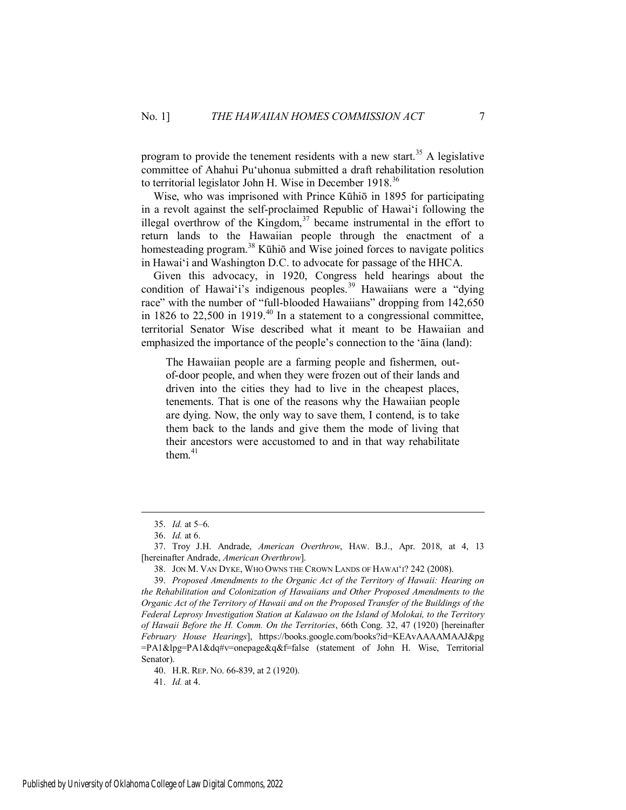program to provide the tenement residents with a new start.<sup>35</sup> A legislative committee of Ahahui Pu'uhonua submitted a draft rehabilitation resolution to territorial legislator John H. Wise in December  $1918$ <sup>36</sup>

Wise, who was imprisoned with Prince Kūhiō in 1895 for participating in a revolt against the self-proclaimed Republic of Hawai'i following the illegal overthrow of the Kingdom,<sup>37</sup> became instrumental in the effort to return lands to the Hawaiian people through the enactment of a homesteading program.<sup>38</sup> Kūhiō and Wise joined forces to navigate politics in Hawai'i and Washington D.C. to advocate for passage of the HHCA.

Given this advocacy, in 1920, Congress held hearings about the condition of Hawai'i's indigenous peoples.<sup>39</sup> Hawaiians were a "dying" race" with the number of "full-blooded Hawaiians" dropping from 142,650 in 1826 to 22,500 in 1919. $^{40}$  In a statement to a congressional committee, territorial Senator Wise described what it meant to be Hawaiian and emphasized the importance of the people's connection to the 'āina (land):

The Hawaiian people are a farming people and fishermen, outof-door people, and when they were frozen out of their lands and driven into the cities they had to live in the cheapest places, tenements. That is one of the reasons why the Hawaiian people are dying. Now, the only way to save them, I contend, is to take them back to the lands and give them the mode of living that their ancestors were accustomed to and in that way rehabilitate them $41$ 

 $\overline{a}$ 

41. *Id.* at 4.

<sup>35.</sup> *Id.* at 5–6.

<sup>36.</sup> *Id.* at 6.

<sup>37.</sup> Troy J.H. Andrade, *American Overthrow*, HAW. B.J., Apr. 2018, at 4, 13 [hereinafter Andrade, *American Overthrow*].

<sup>38.</sup> JON M. VAN DYKE, WHO OWNS THE CROWN LANDS OF HAWAI'I? 242 (2008).

<sup>39.</sup> *Proposed Amendments to the Organic Act of the Territory of Hawaii: Hearing on the Rehabilitation and Colonization of Hawaiians and Other Proposed Amendments to the Organic Act of the Territory of Hawaii and on the Proposed Transfer of the Buildings of the Federal Leprosy Investigation Station at Kalawao on the Island of Molokai, to the Territory of Hawaii Before the H. Comm. On the Territories*, 66th Cong. 32, 47 (1920) [hereinafter *February House Hearings*], https://books.google.com/books?id=KEAvAAAAMAAJ&pg =PA1&lpg=PA1&dq#v=onepage&q&f=false (statement of John H. Wise, Territorial Senator).

<sup>40.</sup> H.R. REP. NO. 66-839, at 2 (1920).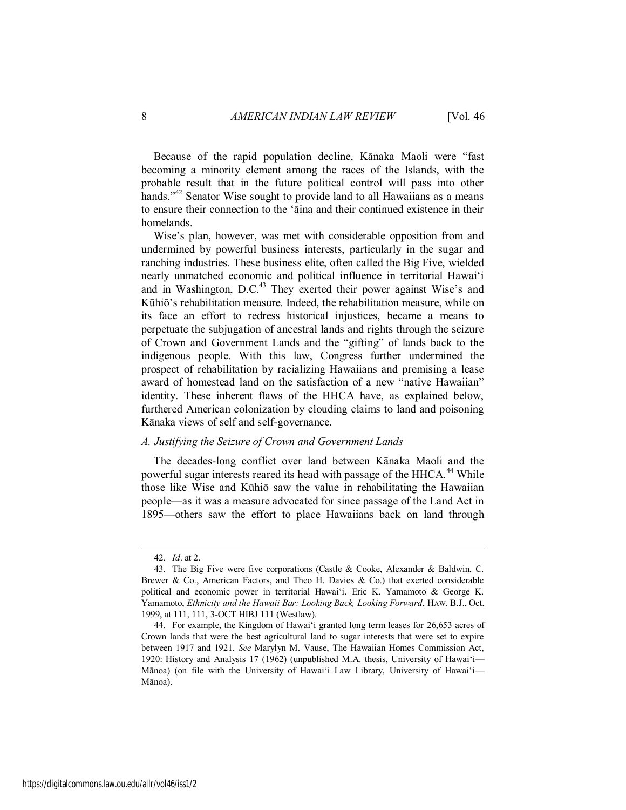Because of the rapid population decline, Kānaka Maoli were "fast becoming a minority element among the races of the Islands, with the probable result that in the future political control will pass into other hands."<sup>42</sup> Senator Wise sought to provide land to all Hawaiians as a means to ensure their connection to the 'āina and their continued existence in their homelands.

Wise's plan, however, was met with considerable opposition from and undermined by powerful business interests, particularly in the sugar and ranching industries. These business elite, often called the Big Five, wielded nearly unmatched economic and political influence in territorial Hawai'i and in Washington, D.C. $^{43}$  They exerted their power against Wise's and Kūhiō's rehabilitation measure. Indeed, the rehabilitation measure, while on its face an effort to redress historical injustices, became a means to perpetuate the subjugation of ancestral lands and rights through the seizure of Crown and Government Lands and the "gifting" of lands back to the indigenous people. With this law, Congress further undermined the prospect of rehabilitation by racializing Hawaiians and premising a lease award of homestead land on the satisfaction of a new "native Hawaiian" identity. These inherent flaws of the HHCA have, as explained below, furthered American colonization by clouding claims to land and poisoning Kānaka views of self and self-governance.

#### <span id="page-8-0"></span>*A. Justifying the Seizure of Crown and Government Lands*

The decades-long conflict over land between Kānaka Maoli and the powerful sugar interests reared its head with passage of the HHCA.<sup>44</sup> While those like Wise and Kūhiō saw the value in rehabilitating the Hawaiian people—as it was a measure advocated for since passage of the Land Act in 1895—others saw the effort to place Hawaiians back on land through

<sup>42.</sup> *Id*. at 2.

<sup>43.</sup> The Big Five were five corporations (Castle & Cooke, Alexander & Baldwin, C. Brewer & Co., American Factors, and Theo H. Davies  $\&$  Co.) that exerted considerable political and economic power in territorial Hawai'i. Eric K. Yamamoto & George K. Yamamoto, *Ethnicity and the Hawaii Bar: Looking Back, Looking Forward*, HAW. B.J., Oct. 1999, at 111, 111, 3-OCT HIBJ 111 (Westlaw).

<sup>44.</sup> For example, the Kingdom of Hawai'i granted long term leases for 26,653 acres of Crown lands that were the best agricultural land to sugar interests that were set to expire between 1917 and 1921. *See* Marylyn M. Vause, The Hawaiian Homes Commission Act, 1920: History and Analysis 17 (1962) (unpublished M.A. thesis, University of Hawai'i— Mānoa) (on file with the University of Hawai'i Law Library, University of Hawai'i— Mānoa).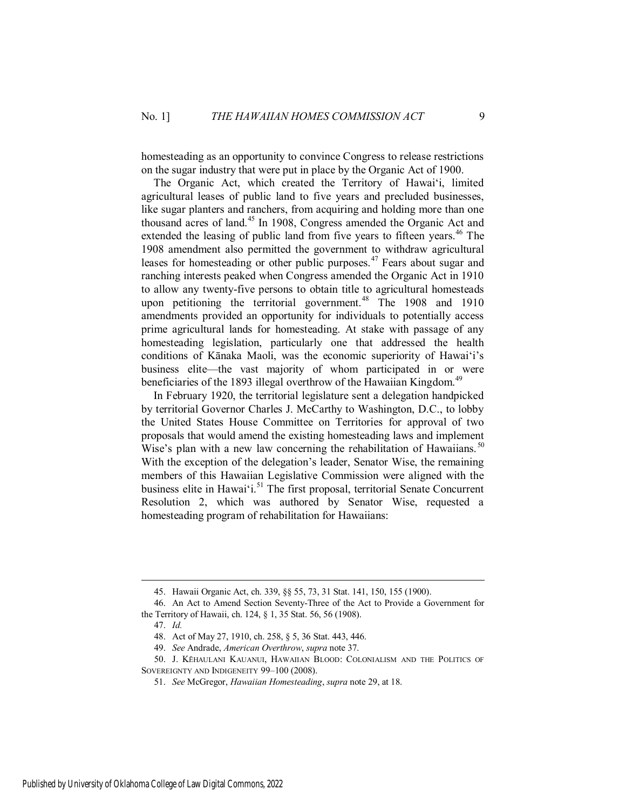homesteading as an opportunity to convince Congress to release restrictions on the sugar industry that were put in place by the Organic Act of 1900.

The Organic Act, which created the Territory of Hawai'i, limited agricultural leases of public land to five years and precluded businesses, like sugar planters and ranchers, from acquiring and holding more than one thousand acres of land.<sup>45</sup> In 1908, Congress amended the Organic Act and extended the leasing of public land from five years to fifteen years.<sup>46</sup> The 1908 amendment also permitted the government to withdraw agricultural leases for homesteading or other public purposes.<sup>47</sup> Fears about sugar and ranching interests peaked when Congress amended the Organic Act in 1910 to allow any twenty-five persons to obtain title to agricultural homesteads upon petitioning the territorial government.<sup>48</sup> The 1908 and 1910 amendments provided an opportunity for individuals to potentially access prime agricultural lands for homesteading. At stake with passage of any homesteading legislation, particularly one that addressed the health conditions of Kānaka Maoli, was the economic superiority of Hawai'i's business elite—the vast majority of whom participated in or were beneficiaries of the 1893 illegal overthrow of the Hawaiian Kingdom.<sup>49</sup>

In February 1920, the territorial legislature sent a delegation handpicked by territorial Governor Charles J. McCarthy to Washington, D.C., to lobby the United States House Committee on Territories for approval of two proposals that would amend the existing homesteading laws and implement Wise's plan with a new law concerning the rehabilitation of Hawaiians.<sup>50</sup> With the exception of the delegation's leader, Senator Wise, the remaining members of this Hawaiian Legislative Commission were aligned with the business elite in Hawai'i.<sup>51</sup> The first proposal, territorial Senate Concurrent Resolution 2, which was authored by Senator Wise, requested a homesteading program of rehabilitation for Hawaiians:

<sup>45.</sup> Hawaii Organic Act, ch. 339, §§ 55, 73, 31 Stat. 141, 150, 155 (1900).

<sup>46.</sup> An Act to Amend Section Seventy-Three of the Act to Provide a Government for the Territory of Hawaii, ch. 124, § 1, 35 Stat. 56, 56 (1908).

<sup>47.</sup> *Id.*

<sup>48.</sup> Act of May 27, 1910, ch. 258, § 5, 36 Stat. 443, 446.

<sup>49.</sup> *See* Andrade, *American Overthrow*, *supra* note 37.

<sup>50.</sup> J. KĒHAULANI KAUANUI, HAWAIIAN BLOOD: COLONIALISM AND THE POLITICS OF SOVEREIGNTY AND INDIGENEITY 99-100 (2008).

<sup>51.</sup> *See* McGregor, *Hawaiian Homesteading*, *supra* note 29, at 18.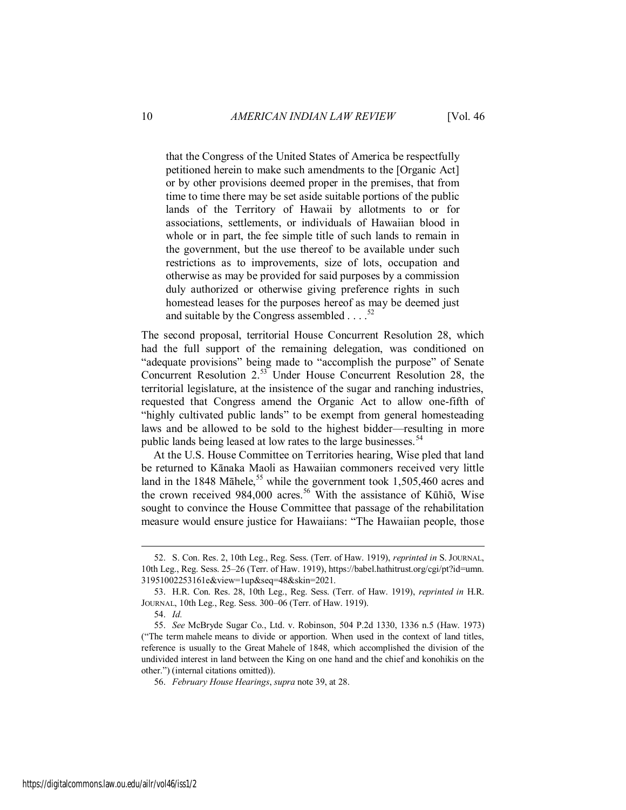that the Congress of the United States of America be respectfully petitioned herein to make such amendments to the [Organic Act] or by other provisions deemed proper in the premises, that from time to time there may be set aside suitable portions of the public lands of the Territory of Hawaii by allotments to or for associations, settlements, or individuals of Hawaiian blood in whole or in part, the fee simple title of such lands to remain in the government, but the use thereof to be available under such restrictions as to improvements, size of lots, occupation and otherwise as may be provided for said purposes by a commission duly authorized or otherwise giving preference rights in such homestead leases for the purposes hereof as may be deemed just and suitable by the Congress assembled  $\ldots$ .<sup>52</sup>

The second proposal, territorial House Concurrent Resolution 28, which had the full support of the remaining delegation, was conditioned on "adequate provisions" being made to "accomplish the purpose" of Senate Concurrent Resolution  $2.55$  Under House Concurrent Resolution 28, the territorial legislature, at the insistence of the sugar and ranching industries, requested that Congress amend the Organic Act to allow one-fifth of "highly cultivated public lands" to be exempt from general homesteading laws and be allowed to be sold to the highest bidder—resulting in more public lands being leased at low rates to the large businesses.<sup>54</sup>

At the U.S. House Committee on Territories hearing, Wise pled that land be returned to Kānaka Maoli as Hawaiian commoners received very little land in the 1848 Māhele,<sup>55</sup> while the government took 1,505,460 acres and the crown received 984,000 acres.<sup>56</sup> With the assistance of Kūhiō, Wise sought to convince the House Committee that passage of the rehabilitation measure would ensure justice for Hawaiians: "The Hawaiian people, those

<sup>52.</sup> S. Con. Res. 2, 10th Leg., Reg. Sess. (Terr. of Haw. 1919), *reprinted in* S. JOURNAL, 10th Leg., Reg. Sess. 25–26 (Terr. of Haw. 1919), https://babel.hathitrust.org/cgi/pt?id=umn. 31951002253161e&view=1up&seq=48&skin=2021.

<sup>53.</sup> H.R. Con. Res. 28, 10th Leg., Reg. Sess. (Terr. of Haw. 1919), *reprinted in* H.R. JOURNAL, 10th Leg., Reg. Sess. 300–06 (Terr. of Haw. 1919).

<sup>54.</sup> *Id.*

<sup>55.</sup> *See* McBryde Sugar Co., Ltd. v. Robinson, 504 P.2d 1330, 1336 n.5 (Haw. 1973) ("The term mahele means to divide or apportion. When used in the context of land titles, reference is usually to the Great Mahele of 1848, which accomplished the division of the undivided interest in land between the King on one hand and the chief and konohikis on the other.") (internal citations omitted)).

<sup>56.</sup> *February House Hearings*, *supra* note 39, at 28.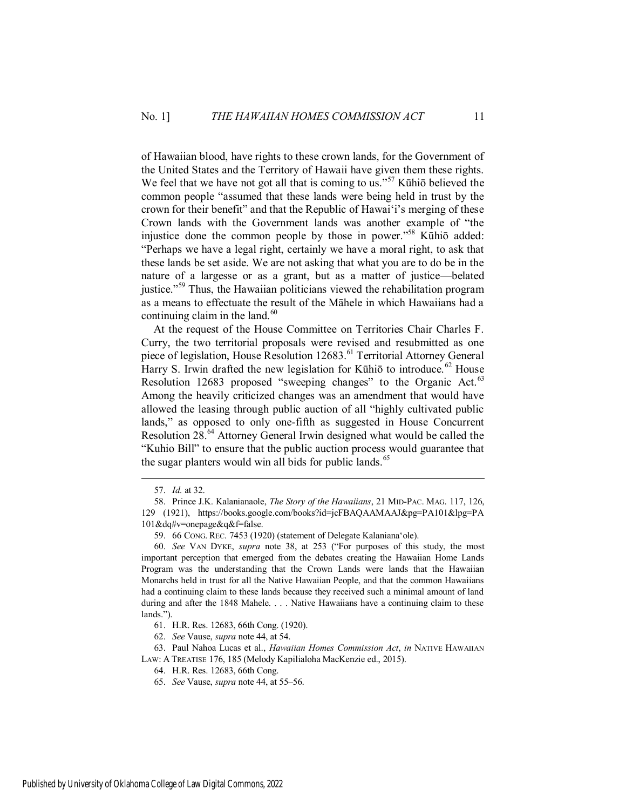of Hawaiian blood, have rights to these crown lands, for the Government of the United States and the Territory of Hawaii have given them these rights. We feel that we have not got all that is coming to us."<sup>57</sup> Kūhiō believed the common people "assumed that these lands were being held in trust by the crown for their benefit" and that the Republic of Hawai'i's merging of these Crown lands with the Government lands was another example of "the injustice done the common people by those in power."<sup>58</sup> Kūhiō added: "Perhaps we have a legal right, certainly we have a moral right, to ask that these lands be set aside. We are not asking that what you are to do be in the nature of a largesse or as a grant, but as a matter of justice—belated justice."<sup>59</sup> Thus, the Hawaiian politicians viewed the rehabilitation program as a means to effectuate the result of the Māhele in which Hawaiians had a continuing claim in the land. $60$ 

At the request of the House Committee on Territories Chair Charles F. Curry, the two territorial proposals were revised and resubmitted as one piece of legislation, House Resolution 12683.<sup>61</sup> Territorial Attorney General Harry S. Irwin drafted the new legislation for Kūhiō to introduce.<sup>62</sup> House Resolution 12683 proposed "sweeping changes" to the Organic Act.<sup>63</sup> Among the heavily criticized changes was an amendment that would have allowed the leasing through public auction of all "highly cultivated public lands," as opposed to only one-fifth as suggested in House Concurrent Resolution 28.<sup>64</sup> Attorney General Irwin designed what would be called the "Kuhio Bill" to ensure that the public auction process would guarantee that the sugar planters would win all bids for public lands.<sup>65</sup>

 $\overline{a}$ 

Published by University of Oklahoma College of Law Digital Commons, 2022

<sup>57.</sup> *Id.* at 32.

<sup>58.</sup> Prince J.K. Kalanianaole, *The Story of the Hawaiians*, 21 MID-PAC. MAG. 117, 126, 129 (1921), https://books.google.com/books?id=jcFBAQAAMAAJ&pg=PA101&lpg=PA 101&dq#v=onepage&q&f=false.

<sup>59. 66</sup> CONG. REC. 7453 (1920) (statement of Delegate Kalaniana'ole).

<sup>60.</sup> *See* VAN DYKE, *supra* note 38, at 253 ("For purposes of this study, the most important perception that emerged from the debates creating the Hawaiian Home Lands Program was the understanding that the Crown Lands were lands that the Hawaiian Monarchs held in trust for all the Native Hawaiian People, and that the common Hawaiians had a continuing claim to these lands because they received such a minimal amount of land during and after the 1848 Mahele. . . . Native Hawaiians have a continuing claim to these lands.").

<sup>61.</sup> H.R. Res. 12683, 66th Cong. (1920).

<sup>62.</sup> *See* Vause, *supra* note 44, at 54.

<sup>63.</sup> Paul Nahoa Lucas et al., *Hawaiian Homes Commission Act*, *in* NATIVE HAWAIIAN LAW: A TREATISE 176, 185 (Melody Kapilialoha MacKenzie ed., 2015).

<sup>64.</sup> H.R. Res. 12683, 66th Cong.

<sup>65.</sup> *See* Vause, *supra* note 44, at 55–56.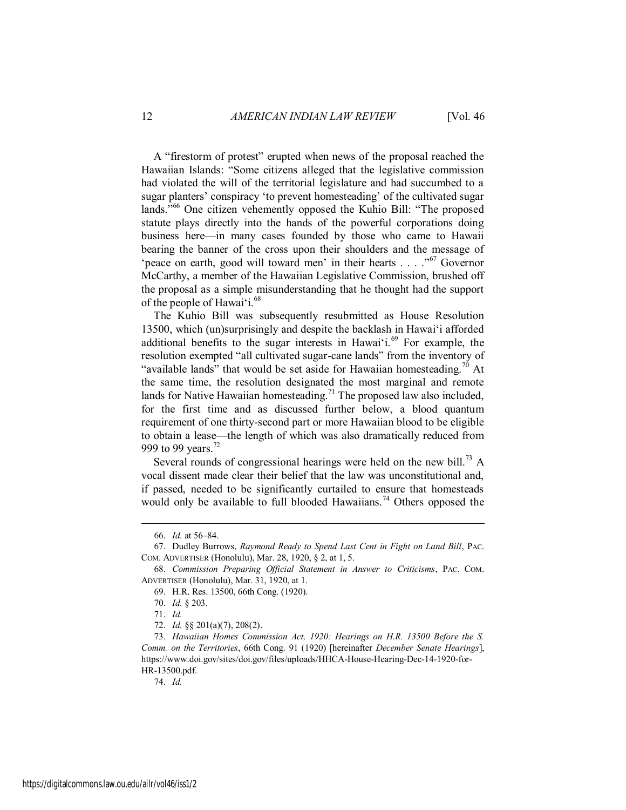A "firestorm of protest" erupted when news of the proposal reached the Hawaiian Islands: "Some citizens alleged that the legislative commission had violated the will of the territorial legislature and had succumbed to a sugar planters' conspiracy 'to prevent homesteading' of the cultivated sugar lands."<sup>66</sup> One citizen vehemently opposed the Kuhio Bill: "The proposed statute plays directly into the hands of the powerful corporations doing business here—in many cases founded by those who came to Hawaii bearing the banner of the cross upon their shoulders and the message of 'peace on earth, good will toward men' in their hearts  $\ldots$  ... ... ... Governor McCarthy, a member of the Hawaiian Legislative Commission, brushed off the proposal as a simple misunderstanding that he thought had the support of the people of Hawai'i.<sup>68</sup>

The Kuhio Bill was subsequently resubmitted as House Resolution 13500, which (un)surprisingly and despite the backlash in Hawai'i afforded additional benefits to the sugar interests in Hawai'i.<sup>69</sup> For example, the resolution exempted "all cultivated sugar-cane lands" from the inventory of "available lands" that would be set aside for Hawaiian homesteading.<sup>70</sup> At the same time, the resolution designated the most marginal and remote lands for Native Hawaiian homesteading.<sup>71</sup> The proposed law also included, for the first time and as discussed further below, a blood quantum requirement of one thirty-second part or more Hawaiian blood to be eligible to obtain a lease—the length of which was also dramatically reduced from 999 to 99 years.<sup>72</sup>

Several rounds of congressional hearings were held on the new bill.<sup>73</sup> A vocal dissent made clear their belief that the law was unconstitutional and, if passed, needed to be significantly curtailed to ensure that homesteads would only be available to full blooded Hawaiians.<sup>74</sup> Others opposed the

 $\overline{a}$ 

74. *Id.*

<sup>66.</sup> *Id.* at 56–84.

<sup>67.</sup> Dudley Burrows, *Raymond Ready to Spend Last Cent in Fight on Land Bill*, PAC. COM. ADVERTISER (Honolulu), Mar. 28, 1920, § 2, at 1, 5.

<sup>68.</sup> *Commission Preparing Official Statement in Answer to Criticisms*, PAC. COM. ADVERTISER (Honolulu), Mar. 31, 1920, at 1.

<sup>69.</sup> H.R. Res. 13500, 66th Cong. (1920).

<sup>70.</sup> *Id.* § 203.

<sup>71.</sup> *Id.*

<sup>72.</sup> *Id.* §§ 201(a)(7), 208(2).

<sup>73.</sup> *Hawaiian Homes Commission Act, 1920: Hearings on H.R. 13500 Before the S. Comm. on the Territories*, 66th Cong. 91 (1920) [hereinafter *December Senate Hearings*], https://www.doi.gov/sites/doi.gov/files/uploads/HHCA-House-Hearing-Dec-14-1920-for-HR-13500.pdf.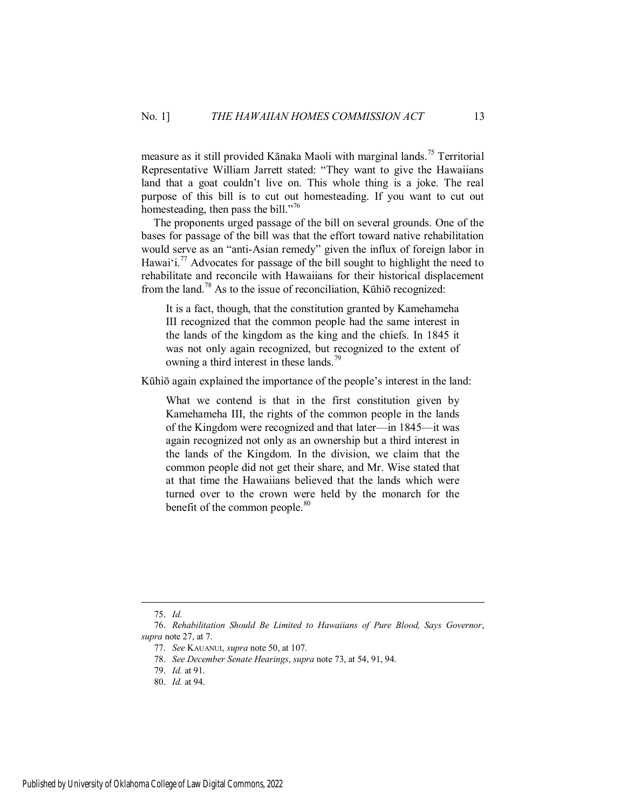measure as it still provided Kānaka Maoli with marginal lands.<sup>75</sup> Territorial Representative William Jarrett stated: "They want to give the Hawaiians land that a goat couldn't live on. This whole thing is a joke. The real purpose of this bill is to cut out homesteading. If you want to cut out homesteading, then pass the bill."<sup>76</sup>

The proponents urged passage of the bill on several grounds. One of the bases for passage of the bill was that the effort toward native rehabilitation would serve as an "anti-Asian remedy" given the influx of foreign labor in Hawai'i.<sup>77</sup> Advocates for passage of the bill sought to highlight the need to rehabilitate and reconcile with Hawaiians for their historical displacement from the land.<sup>78</sup> As to the issue of reconciliation, Kūhiō recognized:

It is a fact, though, that the constitution granted by Kamehameha III recognized that the common people had the same interest in the lands of the kingdom as the king and the chiefs. In 1845 it was not only again recognized, but recognized to the extent of owning a third interest in these lands.<sup>79</sup>

Kūhiō again explained the importance of the people's interest in the land:

What we contend is that in the first constitution given by Kamehameha III, the rights of the common people in the lands of the Kingdom were recognized and that later—in 1845—it was again recognized not only as an ownership but a third interest in the lands of the Kingdom. In the division, we claim that the common people did not get their share, and Mr. Wise stated that at that time the Hawaiians believed that the lands which were turned over to the crown were held by the monarch for the benefit of the common people.<sup>80</sup>

<sup>75.</sup> *Id.*

<sup>76.</sup> *Rehabilitation Should Be Limited to Hawaiians of Pure Blood, Says Governor*, *supra* note 27, at 7.

<sup>77.</sup> *See* KAUANUI, *supra* note 50, at 107.

<sup>78.</sup> *See December Senate Hearings*, *supra* note 73, at 54, 91, 94.

<sup>79.</sup> *Id.* at 91.

<sup>80.</sup> *Id.* at 94.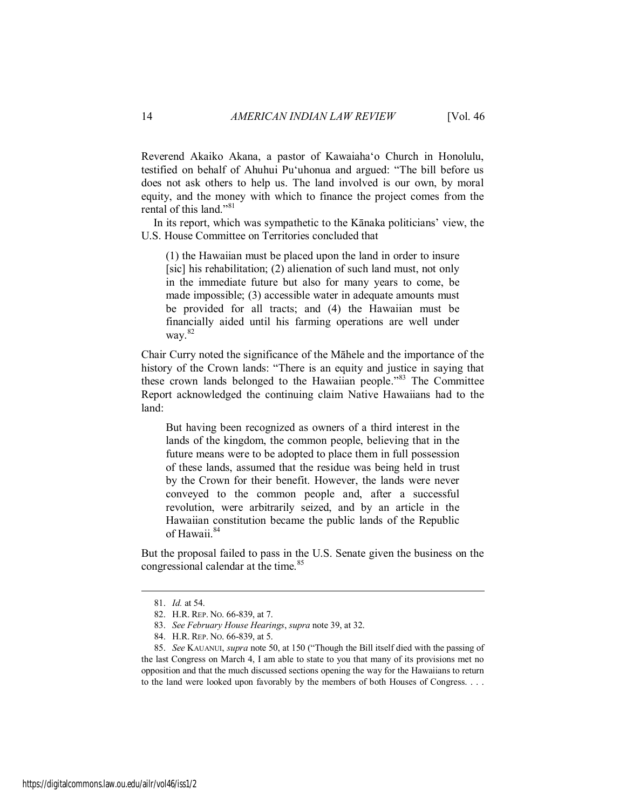Reverend Akaiko Akana, a pastor of Kawaiaha'o Church in Honolulu, testified on behalf of Ahuhui Pu'uhonua and argued: "The bill before us does not ask others to help us. The land involved is our own, by moral equity, and the money with which to finance the project comes from the rental of this land."<sup>81</sup>

In its report, which was sympathetic to the Kānaka politicians' view, the U.S. House Committee on Territories concluded that

(1) the Hawaiian must be placed upon the land in order to insure [sic] his rehabilitation; (2) alienation of such land must, not only in the immediate future but also for many years to come, be made impossible; (3) accessible water in adequate amounts must be provided for all tracts; and (4) the Hawaiian must be financially aided until his farming operations are well under way.  $82$ 

Chair Curry noted the significance of the Māhele and the importance of the history of the Crown lands: "There is an equity and justice in saying that these crown lands belonged to the Hawaiian people."<sup>83</sup> The Committee Report acknowledged the continuing claim Native Hawaiians had to the land:

But having been recognized as owners of a third interest in the lands of the kingdom, the common people, believing that in the future means were to be adopted to place them in full possession of these lands, assumed that the residue was being held in trust by the Crown for their benefit. However, the lands were never conveyed to the common people and, after a successful revolution, were arbitrarily seized, and by an article in the Hawaiian constitution became the public lands of the Republic of Hawaii.<sup>84</sup>

But the proposal failed to pass in the U.S. Senate given the business on the congressional calendar at the time.<sup>85</sup>

<sup>81.</sup> *Id.* at 54.

<sup>82.</sup> H.R. REP. NO. 66-839, at 7.

<sup>83.</sup> *See February House Hearings*, *supra* note 39, at 32.

<sup>84.</sup> H.R. REP. NO. 66-839, at 5.

<sup>85.</sup> *See* KAUANUI, *supra* note 50, at 150 ("Though the Bill itself died with the passing of the last Congress on March 4, I am able to state to you that many of its provisions met no opposition and that the much discussed sections opening the way for the Hawaiians to return to the land were looked upon favorably by the members of both Houses of Congress. . . .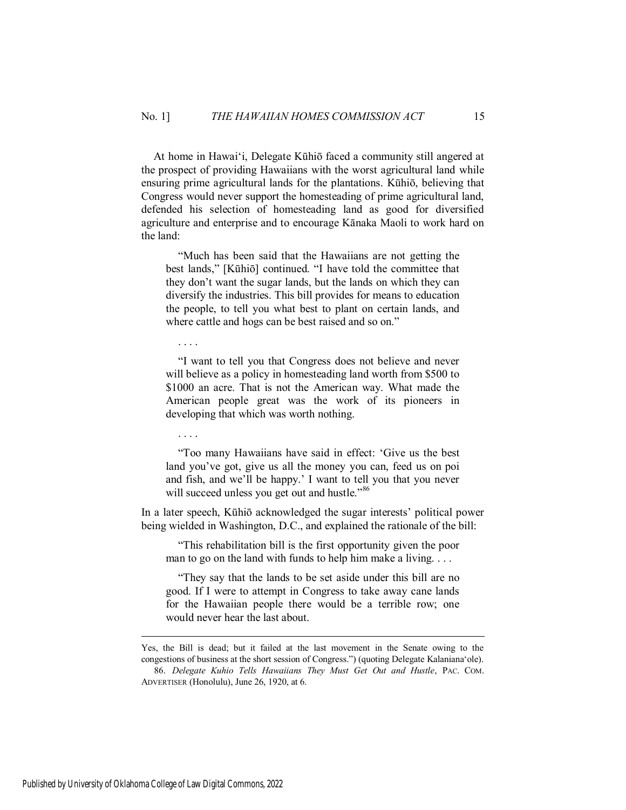At home in Hawai'i, Delegate Kūhiō faced a community still angered at the prospect of providing Hawaiians with the worst agricultural land while ensuring prime agricultural lands for the plantations. Kūhiō, believing that Congress would never support the homesteading of prime agricultural land, defended his selection of homesteading land as good for diversified agriculture and enterprise and to encourage Kānaka Maoli to work hard on the land:

"Much has been said that the Hawaiians are not getting the best lands," [Kūhiō] continued. "I have told the committee that they don't want the sugar lands, but the lands on which they can diversify the industries. This bill provides for means to education the people, to tell you what best to plant on certain lands, and where cattle and hogs can be best raised and so on."

. . . .

"I want to tell you that Congress does not believe and never will believe as a policy in homesteading land worth from \$500 to \$1000 an acre. That is not the American way. What made the American people great was the work of its pioneers in developing that which was worth nothing.

. . . .

"Too many Hawaiians have said in effect: 'Give us the best land you've got, give us all the money you can, feed us on poi and fish, and we'll be happy.' I want to tell you that you never will succeed unless you get out and hustle."<sup>86</sup>

In a later speech, Kūhiō acknowledged the sugar interests' political power being wielded in Washington, D.C., and explained the rationale of the bill:

"This rehabilitation bill is the first opportunity given the poor man to go on the land with funds to help him make a living. . . .

"They say that the lands to be set aside under this bill are no good. If I were to attempt in Congress to take away cane lands for the Hawaiian people there would be a terrible row; one would never hear the last about.

Yes, the Bill is dead; but it failed at the last movement in the Senate owing to the congestions of business at the short session of Congress.") (quoting Delegate Kalaniana'ole).

<sup>86.</sup> *Delegate Kuhio Tells Hawaiians They Must Get Out and Hustle*, PAC. COM. ADVERTISER (Honolulu), June 26, 1920, at 6.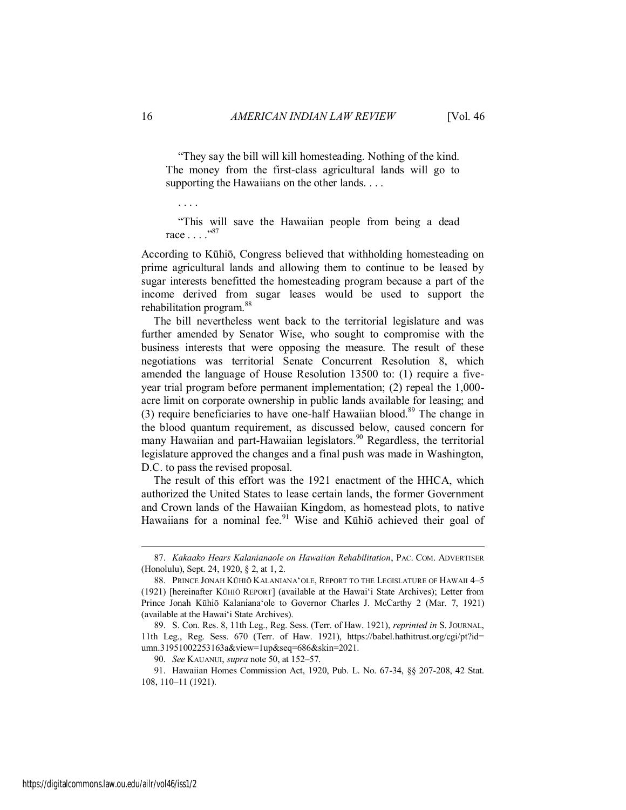"They say the bill will kill homesteading. Nothing of the kind. The money from the first-class agricultural lands will go to supporting the Hawaiians on the other lands. . . .

. . . .

"This will save the Hawaiian people from being a dead race . . . ."<sup>87</sup>

According to Kūhiō, Congress believed that withholding homesteading on prime agricultural lands and allowing them to continue to be leased by sugar interests benefitted the homesteading program because a part of the income derived from sugar leases would be used to support the rehabilitation program.<sup>88</sup>

The bill nevertheless went back to the territorial legislature and was further amended by Senator Wise, who sought to compromise with the business interests that were opposing the measure. The result of these negotiations was territorial Senate Concurrent Resolution 8, which amended the language of House Resolution 13500 to: (1) require a fiveyear trial program before permanent implementation; (2) repeal the 1,000 acre limit on corporate ownership in public lands available for leasing; and (3) require beneficiaries to have one-half Hawaiian blood.<sup>89</sup> The change in the blood quantum requirement, as discussed below, caused concern for many Hawaiian and part-Hawaiian legislators.<sup>90</sup> Regardless, the territorial legislature approved the changes and a final push was made in Washington, D.C. to pass the revised proposal.

The result of this effort was the 1921 enactment of the HHCA, which authorized the United States to lease certain lands, the former Government and Crown lands of the Hawaiian Kingdom, as homestead plots, to native Hawaiians for a nominal fee.<sup>91</sup> Wise and Kūhiō achieved their goal of

<sup>87.</sup> *Kakaako Hears Kalanianaole on Hawaiian Rehabilitation*, PAC. COM. ADVERTISER (Honolulu), Sept. 24, 1920, § 2, at 1, 2.

<sup>88.</sup> PRINCE JONAH KŪHIŌ KALANIANA'OLE, REPORT TO THE LEGISLATURE OF HAWAII 4–5 (1921) [hereinafter KŪHIŌ REPORT] (available at the Hawai'i State Archives); Letter from Prince Jonah Kūhiō Kalaniana'ole to Governor Charles J. McCarthy 2 (Mar. 7, 1921) (available at the Hawai'i State Archives).

<sup>89.</sup> S. Con. Res. 8, 11th Leg., Reg. Sess. (Terr. of Haw. 1921), *reprinted in* S. JOURNAL, 11th Leg., Reg. Sess. 670 (Terr. of Haw. 1921), https://babel.hathitrust.org/cgi/pt?id= umn.31951002253163a&view=1up&seq=686&skin=2021.

<sup>90.</sup> *See* KAUANUI, *supra* note 50, at 152–57.

<sup>91.</sup> Hawaiian Homes Commission Act, 1920, Pub. L. No. 67-34, §§ 207-208, 42 Stat. 108, 110–11 (1921).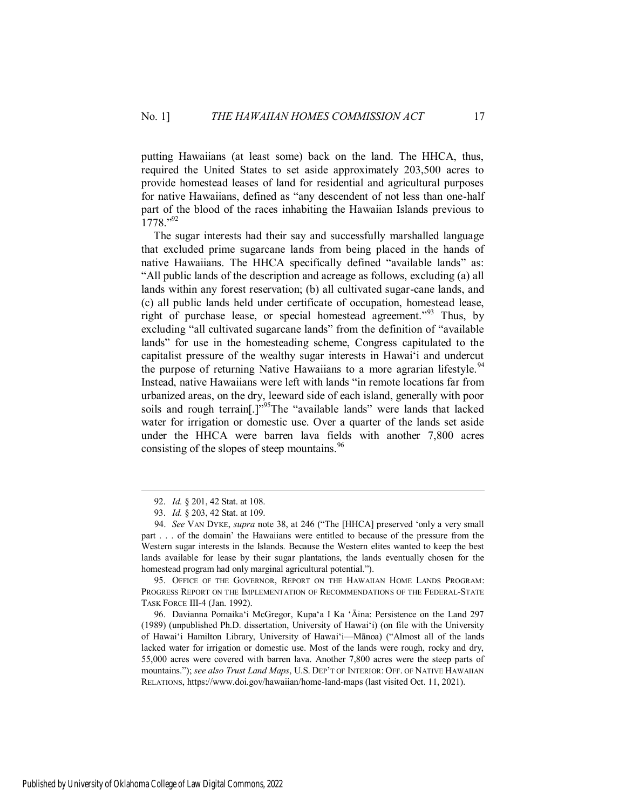putting Hawaiians (at least some) back on the land. The HHCA, thus, required the United States to set aside approximately 203,500 acres to provide homestead leases of land for residential and agricultural purposes for native Hawaiians, defined as "any descendent of not less than one-half part of the blood of the races inhabiting the Hawaiian Islands previous to  $1778."^{92}$ 

The sugar interests had their say and successfully marshalled language that excluded prime sugarcane lands from being placed in the hands of native Hawaiians. The HHCA specifically defined "available lands" as: "All public lands of the description and acreage as follows, excluding (a) all lands within any forest reservation; (b) all cultivated sugar-cane lands, and (c) all public lands held under certificate of occupation, homestead lease, right of purchase lease, or special homestead agreement."<sup>93</sup> Thus, by excluding "all cultivated sugarcane lands" from the definition of "available lands" for use in the homesteading scheme, Congress capitulated to the capitalist pressure of the wealthy sugar interests in Hawai'i and undercut the purpose of returning Native Hawaiians to a more agrarian lifestyle.<sup>94</sup> Instead, native Hawaiians were left with lands "in remote locations far from urbanized areas, on the dry, leeward side of each island, generally with poor soils and rough terrain[.]"<sup>95</sup>The "available lands" were lands that lacked water for irrigation or domestic use. Over a quarter of the lands set aside under the HHCA were barren lava fields with another 7,800 acres consisting of the slopes of steep mountains.<sup>96</sup>

 $\overline{a}$ 

Published by University of Oklahoma College of Law Digital Commons, 2022

<sup>92.</sup> *Id.* § 201, 42 Stat. at 108.

<sup>93.</sup> *Id.* § 203, 42 Stat. at 109.

<sup>94.</sup> *See* VAN DYKE, *supra* note 38, at 246 ("The [HHCA] preserved 'only a very small part . . . of the domain' the Hawaiians were entitled to because of the pressure from the Western sugar interests in the Islands. Because the Western elites wanted to keep the best lands available for lease by their sugar plantations, the lands eventually chosen for the homestead program had only marginal agricultural potential.").

<sup>95.</sup> OFFICE OF THE GOVERNOR, REPORT ON THE HAWAIIAN HOME LANDS PROGRAM: PROGRESS REPORT ON THE IMPLEMENTATION OF RECOMMENDATIONS OF THE FEDERAL-STATE TASK FORCE III-4 (Jan. 1992).

<sup>96.</sup> Davianna Pomaika'i McGregor, Kupa'a I Ka 'Āina: Persistence on the Land 297 (1989) (unpublished Ph.D. dissertation, University of Hawai'i) (on file with the University of Hawai'i Hamilton Library, University of Hawai'i—Mānoa) ("Almost all of the lands lacked water for irrigation or domestic use. Most of the lands were rough, rocky and dry, 55,000 acres were covered with barren lava. Another 7,800 acres were the steep parts of mountains."); *see also Trust Land Maps*, U.S. DEP'T OF INTERIOR: OFF. OF NATIVE HAWAIIAN RELATIONS, https://www.doi.gov/hawaiian/home-land-maps (last visited Oct. 11, 2021).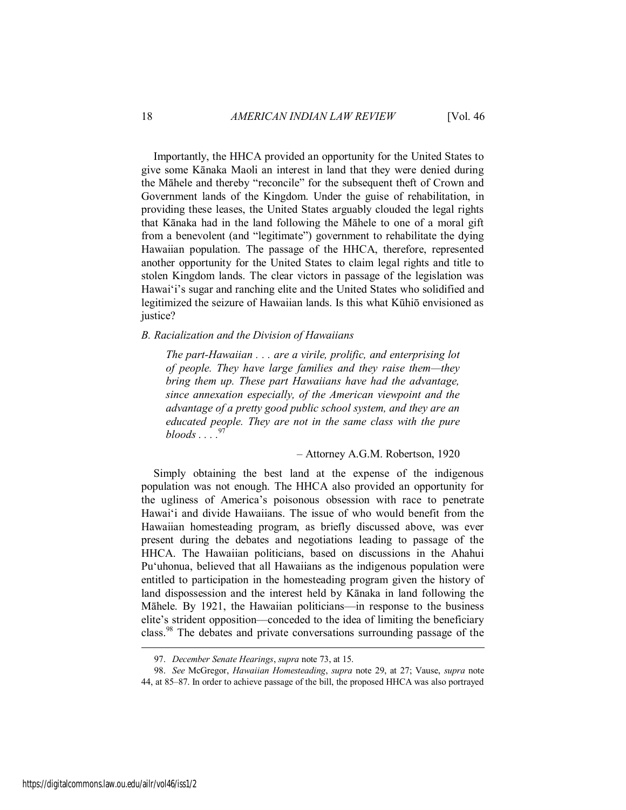Importantly, the HHCA provided an opportunity for the United States to give some Kānaka Maoli an interest in land that they were denied during the Māhele and thereby "reconcile" for the subsequent theft of Crown and Government lands of the Kingdom. Under the guise of rehabilitation, in providing these leases, the United States arguably clouded the legal rights that Kānaka had in the land following the Māhele to one of a moral gift from a benevolent (and "legitimate") government to rehabilitate the dying Hawaiian population. The passage of the HHCA, therefore, represented another opportunity for the United States to claim legal rights and title to stolen Kingdom lands. The clear victors in passage of the legislation was Hawai'i's sugar and ranching elite and the United States who solidified and legitimized the seizure of Hawaiian lands. Is this what Kūhiō envisioned as justice?

#### <span id="page-18-0"></span>*B. Racialization and the Division of Hawaiians*

*The part-Hawaiian . . . are a virile, prolific, and enterprising lot of people. They have large families and they raise them—they bring them up. These part Hawaiians have had the advantage, since annexation especially, of the American viewpoint and the advantage of a pretty good public school system, and they are an educated people. They are not in the same class with the pure bloods . . . .*<sup>97</sup>

– Attorney A.G.M. Robertson, 1920

Simply obtaining the best land at the expense of the indigenous population was not enough. The HHCA also provided an opportunity for the ugliness of America's poisonous obsession with race to penetrate Hawai'i and divide Hawaiians. The issue of who would benefit from the Hawaiian homesteading program, as briefly discussed above, was ever present during the debates and negotiations leading to passage of the HHCA. The Hawaiian politicians, based on discussions in the Ahahui Pu'uhonua, believed that all Hawaiians as the indigenous population were entitled to participation in the homesteading program given the history of land dispossession and the interest held by Kānaka in land following the Māhele. By 1921, the Hawaiian politicians—in response to the business elite's strident opposition—conceded to the idea of limiting the beneficiary class.<sup>98</sup> The debates and private conversations surrounding passage of the

<sup>97.</sup> *December Senate Hearings*, *supra* note 73, at 15.

<sup>98.</sup> *See* McGregor, *Hawaiian Homesteading*, *supra* note 29, at 27; Vause, *supra* note 44, at 85–87. In order to achieve passage of the bill, the proposed HHCA was also portrayed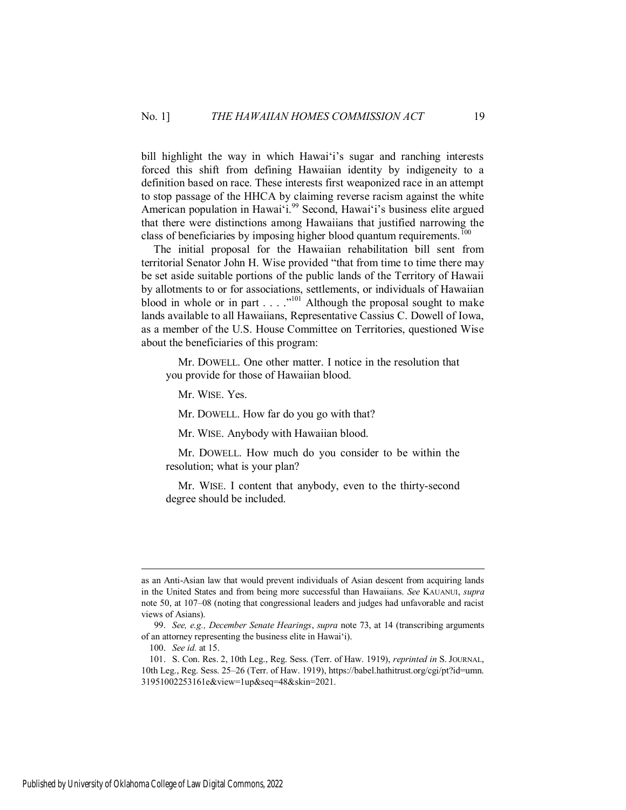bill highlight the way in which Hawai<sup>'</sup>i's sugar and ranching interests forced this shift from defining Hawaiian identity by indigeneity to a definition based on race. These interests first weaponized race in an attempt to stop passage of the HHCA by claiming reverse racism against the white American population in Hawai'i.<sup>99</sup> Second, Hawai'i's business elite argued that there were distinctions among Hawaiians that justified narrowing the class of beneficiaries by imposing higher blood quantum requirements.<sup>100</sup>

The initial proposal for the Hawaiian rehabilitation bill sent from territorial Senator John H. Wise provided "that from time to time there may be set aside suitable portions of the public lands of the Territory of Hawaii by allotments to or for associations, settlements, or individuals of Hawaiian blood in whole or in part  $\dots$  ..."<sup>101</sup> Although the proposal sought to make lands available to all Hawaiians, Representative Cassius C. Dowell of Iowa, as a member of the U.S. House Committee on Territories, questioned Wise about the beneficiaries of this program:

 Mr. DOWELL. One other matter. I notice in the resolution that you provide for those of Hawaiian blood.

Mr. WISE. Yes.

Mr. DOWELL. How far do you go with that?

Mr. WISE. Anybody with Hawaiian blood.

 Mr. DOWELL. How much do you consider to be within the resolution; what is your plan?

 Mr. WISE. I content that anybody, even to the thirty-second degree should be included.

as an Anti-Asian law that would prevent individuals of Asian descent from acquiring lands in the United States and from being more successful than Hawaiians. *See* KAUANUI, *supra* note 50, at 107–08 (noting that congressional leaders and judges had unfavorable and racist views of Asians).

<sup>99.</sup> *See, e.g., December Senate Hearings*, *supra* note 73, at 14 (transcribing arguments of an attorney representing the business elite in Hawai'i).

<sup>100.</sup> *See id.* at 15.

<sup>101.</sup> S. Con. Res. 2, 10th Leg., Reg. Sess. (Terr. of Haw. 1919), *reprinted in* S. JOURNAL, 10th Leg., Reg. Sess. 25–26 (Terr. of Haw. 1919), https://babel.hathitrust.org/cgi/pt?id=umn. 31951002253161e&view=1up&seq=48&skin=2021.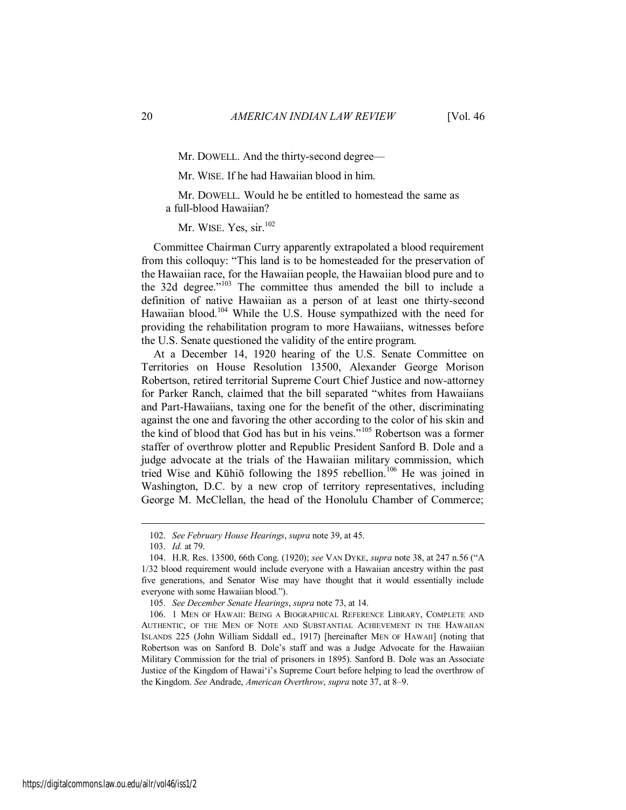Mr. DOWELL. And the thirty-second degree—

Mr. WISE. If he had Hawaiian blood in him.

 Mr. DOWELL. Would he be entitled to homestead the same as a full-blood Hawaiian?

Mr. WISE. Yes, sir.<sup>102</sup>

Committee Chairman Curry apparently extrapolated a blood requirement from this colloquy: "This land is to be homesteaded for the preservation of the Hawaiian race, for the Hawaiian people, the Hawaiian blood pure and to the 32d degree."<sup>103</sup> The committee thus amended the bill to include a definition of native Hawaiian as a person of at least one thirty-second Hawaiian blood.<sup>104</sup> While the U.S. House sympathized with the need for providing the rehabilitation program to more Hawaiians, witnesses before the U.S. Senate questioned the validity of the entire program.

At a December 14, 1920 hearing of the U.S. Senate Committee on Territories on House Resolution 13500, Alexander George Morison Robertson, retired territorial Supreme Court Chief Justice and now-attorney for Parker Ranch, claimed that the bill separated "whites from Hawaiians and Part-Hawaiians, taxing one for the benefit of the other, discriminating against the one and favoring the other according to the color of his skin and the kind of blood that God has but in his veins."<sup>105</sup> Robertson was a former staffer of overthrow plotter and Republic President Sanford B. Dole and a judge advocate at the trials of the Hawaiian military commission, which tried Wise and Kūhiō following the 1895 rebellion.<sup>106</sup> He was joined in Washington, D.C. by a new crop of territory representatives, including George M. McClellan, the head of the Honolulu Chamber of Commerce;

<sup>102.</sup> *See February House Hearings*, *supra* note 39, at 45.

<sup>103.</sup> *Id.* at 79.

<sup>104.</sup> H.R. Res. 13500, 66th Cong. (1920); *see* VAN DYKE, *supra* note 38, at 247 n.56 ("A 1/32 blood requirement would include everyone with a Hawaiian ancestry within the past five generations, and Senator Wise may have thought that it would essentially include everyone with some Hawaiian blood.").

<sup>105.</sup> *See December Senate Hearings*, *supra* note 73, at 14.

<sup>106. 1</sup> MEN OF HAWAII: BEING A BIOGRAPHICAL REFERENCE LIBRARY, COMPLETE AND AUTHENTIC, OF THE MEN OF NOTE AND SUBSTANTIAL ACHIEVEMENT IN THE HAWAIIAN ISLANDS 225 (John William Siddall ed., 1917) [hereinafter MEN OF HAWAII] (noting that Robertson was on Sanford B. Dole's staff and was a Judge Advocate for the Hawaiian Military Commission for the trial of prisoners in 1895). Sanford B. Dole was an Associate Justice of the Kingdom of Hawai'i's Supreme Court before helping to lead the overthrow of the Kingdom. *See* Andrade, *American Overthrow*, *supra* note 37, at 8–9.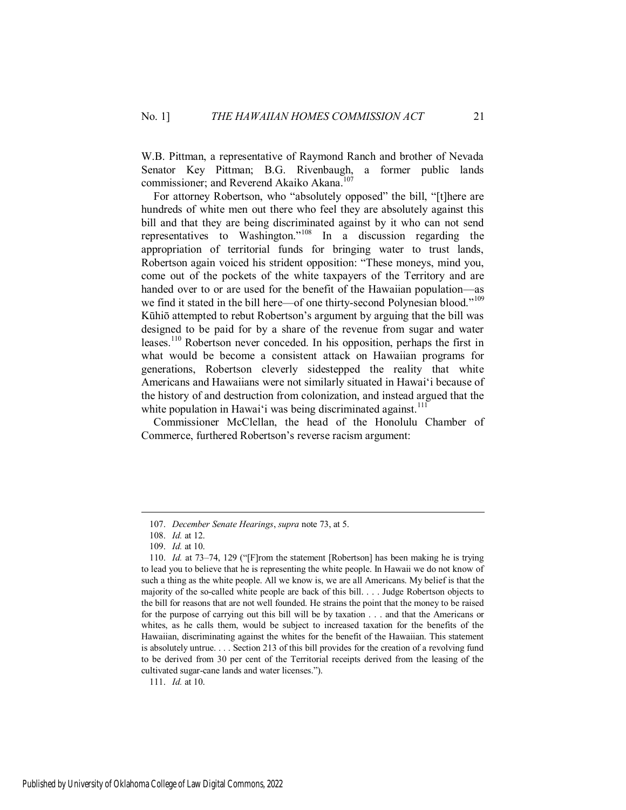W.B. Pittman, a representative of Raymond Ranch and brother of Nevada Senator Key Pittman; B.G. Rivenbaugh, a former public lands commissioner; and Reverend Akaiko Akana.<sup>107</sup>

For attorney Robertson, who "absolutely opposed" the bill, "[t]here are hundreds of white men out there who feel they are absolutely against this bill and that they are being discriminated against by it who can not send representatives to Washington."<sup>108</sup> In a discussion regarding the appropriation of territorial funds for bringing water to trust lands, Robertson again voiced his strident opposition: "These moneys, mind you, come out of the pockets of the white taxpayers of the Territory and are handed over to or are used for the benefit of the Hawaiian population—as we find it stated in the bill here—of one thirty-second Polynesian blood."<sup>109</sup> Kūhiō attempted to rebut Robertson's argument by arguing that the bill was designed to be paid for by a share of the revenue from sugar and water leases.<sup>110</sup> Robertson never conceded. In his opposition, perhaps the first in what would be become a consistent attack on Hawaiian programs for generations, Robertson cleverly sidestepped the reality that white Americans and Hawaiians were not similarly situated in Hawai'i because of the history of and destruction from colonization, and instead argued that the white population in Hawai'i was being discriminated against.<sup>111</sup>

Commissioner McClellan, the head of the Honolulu Chamber of Commerce, furthered Robertson's reverse racism argument:

 $\overline{a}$ 

111. *Id.* at 10.

<sup>107.</sup> *December Senate Hearings*, *supra* note 73, at 5.

<sup>108.</sup> *Id.* at 12.

<sup>109.</sup> *Id.* at 10.

<sup>110.</sup> *Id.* at 73–74, 129 ("[F]rom the statement [Robertson] has been making he is trying to lead you to believe that he is representing the white people. In Hawaii we do not know of such a thing as the white people. All we know is, we are all Americans. My belief is that the majority of the so-called white people are back of this bill. . . . Judge Robertson objects to the bill for reasons that are not well founded. He strains the point that the money to be raised for the purpose of carrying out this bill will be by taxation . . . and that the Americans or whites, as he calls them, would be subject to increased taxation for the benefits of the Hawaiian, discriminating against the whites for the benefit of the Hawaiian. This statement is absolutely untrue. . . . Section 213 of this bill provides for the creation of a revolving fund to be derived from 30 per cent of the Territorial receipts derived from the leasing of the cultivated sugar-cane lands and water licenses.").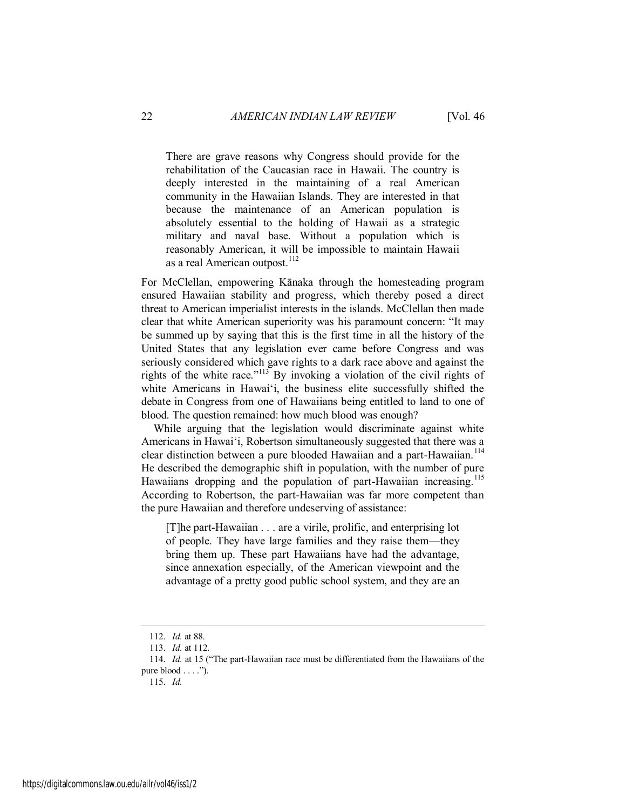There are grave reasons why Congress should provide for the rehabilitation of the Caucasian race in Hawaii. The country is deeply interested in the maintaining of a real American community in the Hawaiian Islands. They are interested in that because the maintenance of an American population is absolutely essential to the holding of Hawaii as a strategic military and naval base. Without a population which is reasonably American, it will be impossible to maintain Hawaii as a real American outpost.<sup>112</sup>

For McClellan, empowering Kānaka through the homesteading program ensured Hawaiian stability and progress, which thereby posed a direct threat to American imperialist interests in the islands. McClellan then made clear that white American superiority was his paramount concern: "It may be summed up by saying that this is the first time in all the history of the United States that any legislation ever came before Congress and was seriously considered which gave rights to a dark race above and against the rights of the white race."<sup>113</sup> By invoking a violation of the civil rights of white Americans in Hawai'i, the business elite successfully shifted the debate in Congress from one of Hawaiians being entitled to land to one of blood. The question remained: how much blood was enough?

While arguing that the legislation would discriminate against white Americans in Hawai'i, Robertson simultaneously suggested that there was a clear distinction between a pure blooded Hawaiian and a part-Hawaiian.<sup>114</sup> He described the demographic shift in population, with the number of pure Hawaiians dropping and the population of part-Hawaiian increasing.<sup>115</sup> According to Robertson, the part-Hawaiian was far more competent than the pure Hawaiian and therefore undeserving of assistance:

[T]he part-Hawaiian . . . are a virile, prolific, and enterprising lot of people. They have large families and they raise them—they bring them up. These part Hawaiians have had the advantage, since annexation especially, of the American viewpoint and the advantage of a pretty good public school system, and they are an

<sup>112.</sup> *Id.* at 88.

<sup>113.</sup> *Id.* at 112.

<sup>114.</sup> *Id.* at 15 ("The part-Hawaiian race must be differentiated from the Hawaiians of the pure blood  $\dots$ .").

<sup>115.</sup> *Id.*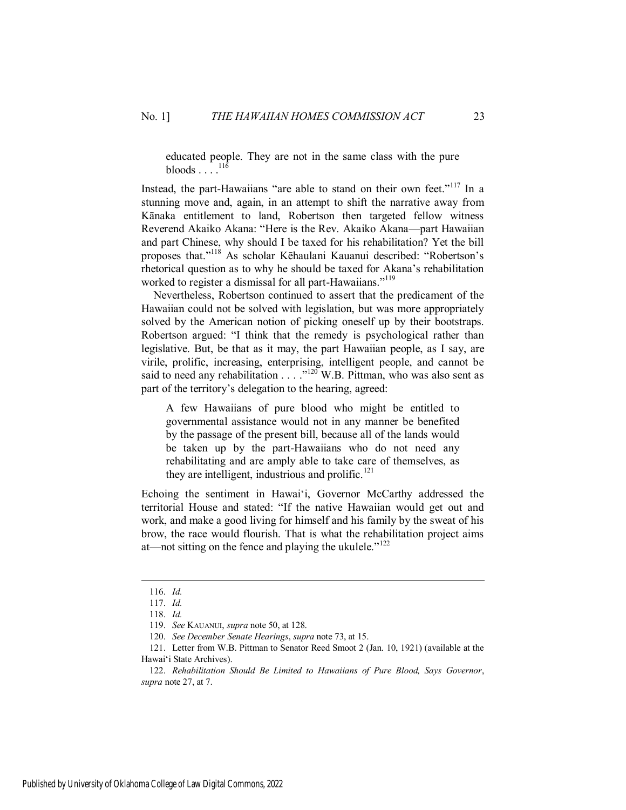educated people. They are not in the same class with the pure bloods  $\ldots$ <sup>116</sup>

Instead, the part-Hawaiians "are able to stand on their own feet."<sup>117</sup> In a stunning move and, again, in an attempt to shift the narrative away from Kānaka entitlement to land, Robertson then targeted fellow witness Reverend Akaiko Akana: "Here is the Rev. Akaiko Akana—part Hawaiian and part Chinese, why should I be taxed for his rehabilitation? Yet the bill proposes that."<sup>118</sup> As scholar Kēhaulani Kauanui described: "Robertson's rhetorical question as to why he should be taxed for Akana's rehabilitation worked to register a dismissal for all part-Hawaiians."<sup>119</sup>

Nevertheless, Robertson continued to assert that the predicament of the Hawaiian could not be solved with legislation, but was more appropriately solved by the American notion of picking oneself up by their bootstraps. Robertson argued: "I think that the remedy is psychological rather than legislative. But, be that as it may, the part Hawaiian people, as I say, are virile, prolific, increasing, enterprising, intelligent people, and cannot be said to need any rehabilitation  $\ldots$  ."<sup>120</sup> W.B. Pittman, who was also sent as part of the territory's delegation to the hearing, agreed:

A few Hawaiians of pure blood who might be entitled to governmental assistance would not in any manner be benefited by the passage of the present bill, because all of the lands would be taken up by the part-Hawaiians who do not need any rehabilitating and are amply able to take care of themselves, as they are intelligent, industrious and prolific.<sup>121</sup>

Echoing the sentiment in Hawai'i, Governor McCarthy addressed the territorial House and stated: "If the native Hawaiian would get out and work, and make a good living for himself and his family by the sweat of his brow, the race would flourish. That is what the rehabilitation project aims at—not sitting on the fence and playing the ukulele."<sup>122</sup>

<sup>116.</sup> *Id.*

<sup>117.</sup> *Id.*

<sup>118.</sup> *Id.*

<sup>119.</sup> *See* KAUANUI, *supra* note 50, at 128.

<sup>120.</sup> *See December Senate Hearings*, *supra* note 73, at 15.

<sup>121.</sup> Letter from W.B. Pittman to Senator Reed Smoot 2 (Jan. 10, 1921) (available at the Hawai'i State Archives).

<sup>122.</sup> *Rehabilitation Should Be Limited to Hawaiians of Pure Blood, Says Governor*, *supra* note 27, at 7.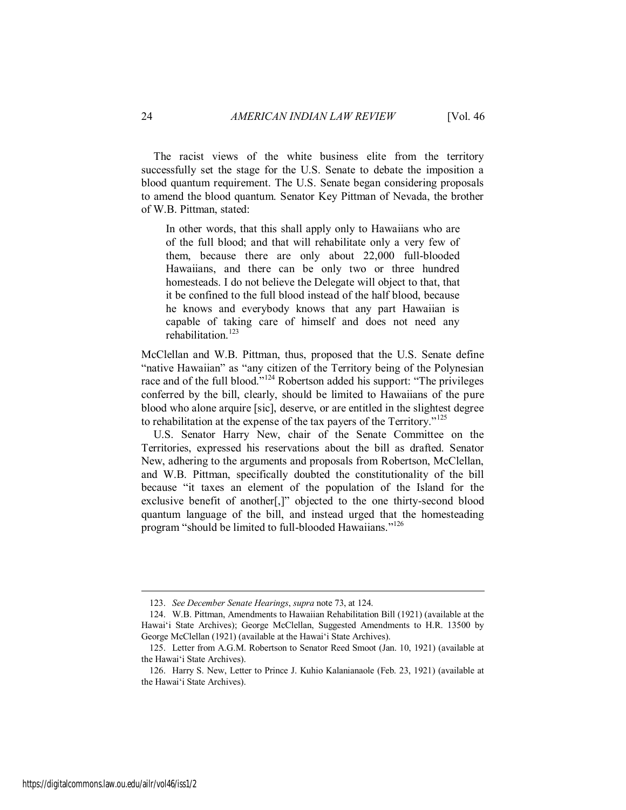The racist views of the white business elite from the territory successfully set the stage for the U.S. Senate to debate the imposition a blood quantum requirement. The U.S. Senate began considering proposals to amend the blood quantum. Senator Key Pittman of Nevada, the brother of W.B. Pittman, stated:

In other words, that this shall apply only to Hawaiians who are of the full blood; and that will rehabilitate only a very few of them, because there are only about 22,000 full-blooded Hawaiians, and there can be only two or three hundred homesteads. I do not believe the Delegate will object to that, that it be confined to the full blood instead of the half blood, because he knows and everybody knows that any part Hawaiian is capable of taking care of himself and does not need any rehabilitation $123$ 

McClellan and W.B. Pittman, thus, proposed that the U.S. Senate define "native Hawaiian" as "any citizen of the Territory being of the Polynesian race and of the full blood."<sup>124</sup> Robertson added his support: "The privileges conferred by the bill, clearly, should be limited to Hawaiians of the pure blood who alone arquire [sic], deserve, or are entitled in the slightest degree to rehabilitation at the expense of the tax payers of the Territory."<sup>125</sup>

U.S. Senator Harry New, chair of the Senate Committee on the Territories, expressed his reservations about the bill as drafted. Senator New, adhering to the arguments and proposals from Robertson, McClellan, and W.B. Pittman, specifically doubted the constitutionality of the bill because "it taxes an element of the population of the Island for the exclusive benefit of another[,]" objected to the one thirty-second blood quantum language of the bill, and instead urged that the homesteading program "should be limited to full-blooded Hawaiians."<sup>126</sup>

<sup>123.</sup> *See December Senate Hearings*, *supra* note 73, at 124.

<sup>124.</sup> W.B. Pittman, Amendments to Hawaiian Rehabilitation Bill (1921) (available at the Hawai'i State Archives); George McClellan, Suggested Amendments to H.R. 13500 by George McClellan (1921) (available at the Hawai'i State Archives).

<sup>125.</sup> Letter from A.G.M. Robertson to Senator Reed Smoot (Jan. 10, 1921) (available at the Hawai'i State Archives).

<sup>126.</sup> Harry S. New, Letter to Prince J. Kuhio Kalanianaole (Feb. 23, 1921) (available at the Hawai'i State Archives).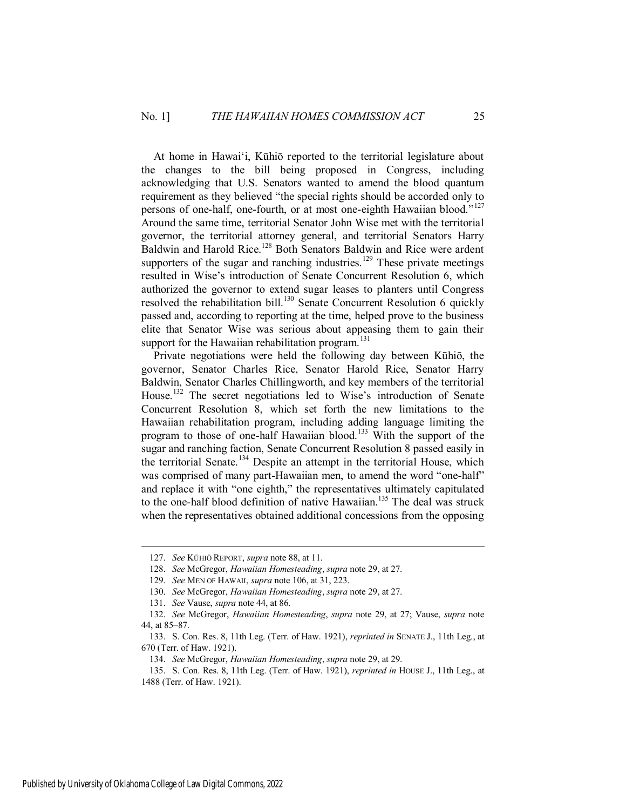At home in Hawai'i, Kūhiō reported to the territorial legislature about the changes to the bill being proposed in Congress, including acknowledging that U.S. Senators wanted to amend the blood quantum requirement as they believed "the special rights should be accorded only to persons of one-half, one-fourth, or at most one-eighth Hawaiian blood."<sup>127</sup> Around the same time, territorial Senator John Wise met with the territorial governor, the territorial attorney general, and territorial Senators Harry Baldwin and Harold Rice.<sup>128</sup> Both Senators Baldwin and Rice were ardent supporters of the sugar and ranching industries.<sup>129</sup> These private meetings resulted in Wise's introduction of Senate Concurrent Resolution 6, which authorized the governor to extend sugar leases to planters until Congress resolved the rehabilitation bill.<sup>130</sup> Senate Concurrent Resolution 6 quickly passed and, according to reporting at the time, helped prove to the business elite that Senator Wise was serious about appeasing them to gain their support for the Hawaiian rehabilitation program. $131$ 

Private negotiations were held the following day between Kūhiō, the governor, Senator Charles Rice, Senator Harold Rice, Senator Harry Baldwin, Senator Charles Chillingworth, and key members of the territorial House.<sup>132</sup> The secret negotiations led to Wise's introduction of Senate Concurrent Resolution 8, which set forth the new limitations to the Hawaiian rehabilitation program, including adding language limiting the program to those of one-half Hawaiian blood.<sup>133</sup> With the support of the sugar and ranching faction, Senate Concurrent Resolution 8 passed easily in the territorial Senate.<sup>134</sup> Despite an attempt in the territorial House, which was comprised of many part-Hawaiian men, to amend the word "one-half" and replace it with "one eighth," the representatives ultimately capitulated to the one-half blood definition of native Hawaiian.<sup>135</sup> The deal was struck when the representatives obtained additional concessions from the opposing

<sup>127.</sup> *See* KŪHIŌ REPORT, *supra* note 88, at 11.

<sup>128.</sup> *See* McGregor, *Hawaiian Homesteading*, *supra* note 29, at 27.

<sup>129.</sup> *See* MEN OF HAWAII, *supra* note 106, at 31, 223.

<sup>130.</sup> *See* McGregor, *Hawaiian Homesteading*, *supra* note 29, at 27.

<sup>131.</sup> *See* Vause, *supra* note 44, at 86.

<sup>132.</sup> *See* McGregor, *Hawaiian Homesteading*, *supra* note 29, at 27; Vause, *supra* note 44, at 85–87.

<sup>133.</sup> S. Con. Res. 8, 11th Leg. (Terr. of Haw. 1921), *reprinted in* SENATE J., 11th Leg., at 670 (Terr. of Haw. 1921).

<sup>134.</sup> *See* McGregor, *Hawaiian Homesteading*, *supra* note 29, at 29.

<sup>135.</sup> S. Con. Res. 8, 11th Leg. (Terr. of Haw. 1921), *reprinted in* HOUSE J., 11th Leg., at 1488 (Terr. of Haw. 1921).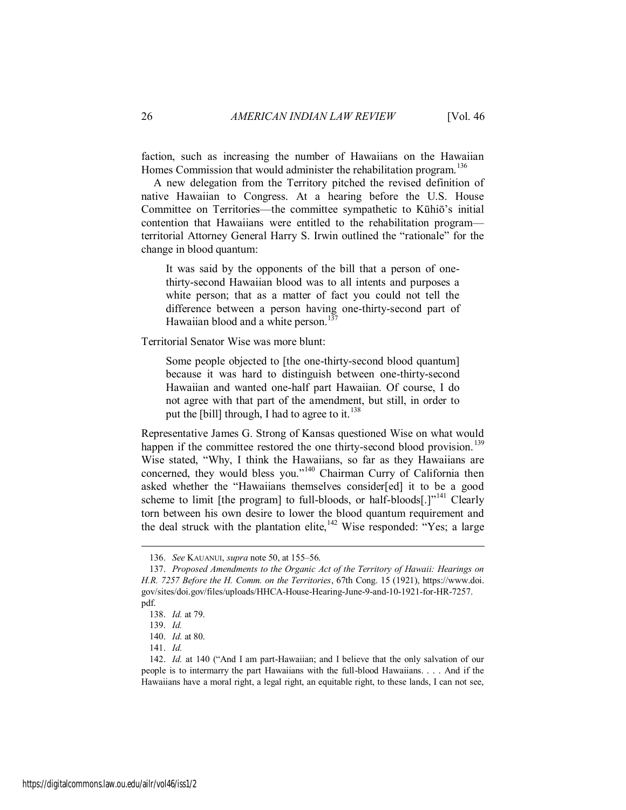faction, such as increasing the number of Hawaiians on the Hawaiian Homes Commission that would administer the rehabilitation program.<sup>136</sup>

A new delegation from the Territory pitched the revised definition of native Hawaiian to Congress. At a hearing before the U.S. House Committee on Territories—the committee sympathetic to Kūhiō's initial contention that Hawaiians were entitled to the rehabilitation program territorial Attorney General Harry S. Irwin outlined the "rationale" for the change in blood quantum:

It was said by the opponents of the bill that a person of onethirty-second Hawaiian blood was to all intents and purposes a white person; that as a matter of fact you could not tell the difference between a person having one-thirty-second part of Hawaiian blood and a white person.<sup>137</sup>

Territorial Senator Wise was more blunt:

Some people objected to [the one-thirty-second blood quantum] because it was hard to distinguish between one-thirty-second Hawaiian and wanted one-half part Hawaiian. Of course, I do not agree with that part of the amendment, but still, in order to put the [bill] through, I had to agree to it.<sup>138</sup>

Representative James G. Strong of Kansas questioned Wise on what would happen if the committee restored the one thirty-second blood provision.<sup>139</sup> Wise stated, "Why, I think the Hawaiians, so far as they Hawaiians are concerned, they would bless you."<sup>140</sup> Chairman Curry of California then asked whether the "Hawaiians themselves consider[ed] it to be a good scheme to limit [the program] to full-bloods, or half-bloods[.]"<sup>141</sup> Clearly torn between his own desire to lower the blood quantum requirement and the deal struck with the plantation elite,  $142$  Wise responded:  $14$  Yes; a large

<sup>136.</sup> *See* KAUANUI, *supra* note 50, at 155–56.

<sup>137.</sup> *Proposed Amendments to the Organic Act of the Territory of Hawaii: Hearings on H.R. 7257 Before the H. Comm. on the Territories*, 67th Cong. 15 (1921), https://www.doi. gov/sites/doi.gov/files/uploads/HHCA-House-Hearing-June-9-and-10-1921-for-HR-7257. pdf.

<sup>138.</sup> *Id.* at 79.

<sup>139.</sup> *Id.*

<sup>140.</sup> *Id.* at 80.

<sup>141.</sup> *Id.*

<sup>142.</sup> *Id.* at 140 ("And I am part-Hawaiian; and I believe that the only salvation of our people is to intermarry the part Hawaiians with the full-blood Hawaiians. . . . And if the Hawaiians have a moral right, a legal right, an equitable right, to these lands, I can not see,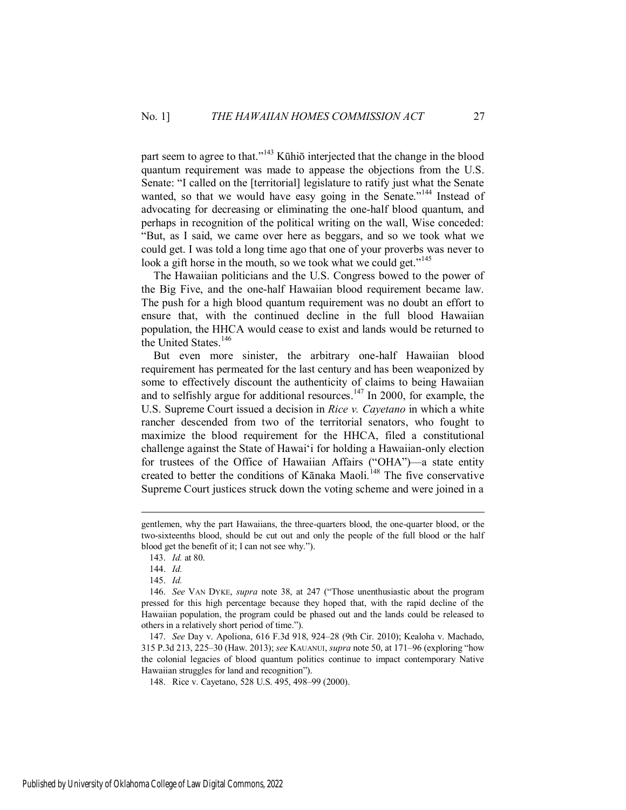part seem to agree to that."<sup>143</sup> Kūhiō interjected that the change in the blood quantum requirement was made to appease the objections from the U.S. Senate: "I called on the [territorial] legislature to ratify just what the Senate wanted, so that we would have easy going in the Senate."<sup>144</sup> Instead of advocating for decreasing or eliminating the one-half blood quantum, and perhaps in recognition of the political writing on the wall, Wise conceded: "But, as I said, we came over here as beggars, and so we took what we could get. I was told a long time ago that one of your proverbs was never to look a gift horse in the mouth, so we took what we could get."<sup>145</sup>

The Hawaiian politicians and the U.S. Congress bowed to the power of the Big Five, and the one-half Hawaiian blood requirement became law. The push for a high blood quantum requirement was no doubt an effort to ensure that, with the continued decline in the full blood Hawaiian population, the HHCA would cease to exist and lands would be returned to the United States.<sup>146</sup>

But even more sinister, the arbitrary one-half Hawaiian blood requirement has permeated for the last century and has been weaponized by some to effectively discount the authenticity of claims to being Hawaiian and to selfishly argue for additional resources.<sup>147</sup> In 2000, for example, the U.S. Supreme Court issued a decision in *Rice v. Cayetano* in which a white rancher descended from two of the territorial senators, who fought to maximize the blood requirement for the HHCA, filed a constitutional challenge against the State of Hawai'i for holding a Hawaiian-only election for trustees of the Office of Hawaiian Affairs ("OHA")—a state entity created to better the conditions of Kānaka Maoli.<sup>148</sup> The five conservative Supreme Court justices struck down the voting scheme and were joined in a

gentlemen, why the part Hawaiians, the three-quarters blood, the one-quarter blood, or the two-sixteenths blood, should be cut out and only the people of the full blood or the half blood get the benefit of it; I can not see why.").

<sup>143.</sup> *Id.* at 80.

<sup>144.</sup> *Id.*

<sup>145.</sup> *Id.*

<sup>146.</sup> *See* VAN DYKE, *supra* note 38, at 247 ("Those unenthusiastic about the program pressed for this high percentage because they hoped that, with the rapid decline of the Hawaiian population, the program could be phased out and the lands could be released to others in a relatively short period of time.").

<sup>147.</sup> *See* Day v. Apoliona, 616 F.3d 918, 924–28 (9th Cir. 2010); Kealoha v. Machado, 315 P.3d 213, 225–30 (Haw. 2013); *see* KAUANUI, *supra* note 50, at 171–96 (exploring "how the colonial legacies of blood quantum politics continue to impact contemporary Native Hawaiian struggles for land and recognition").

<sup>148.</sup> Rice v. Cayetano, 528 U.S. 495, 498–99 (2000).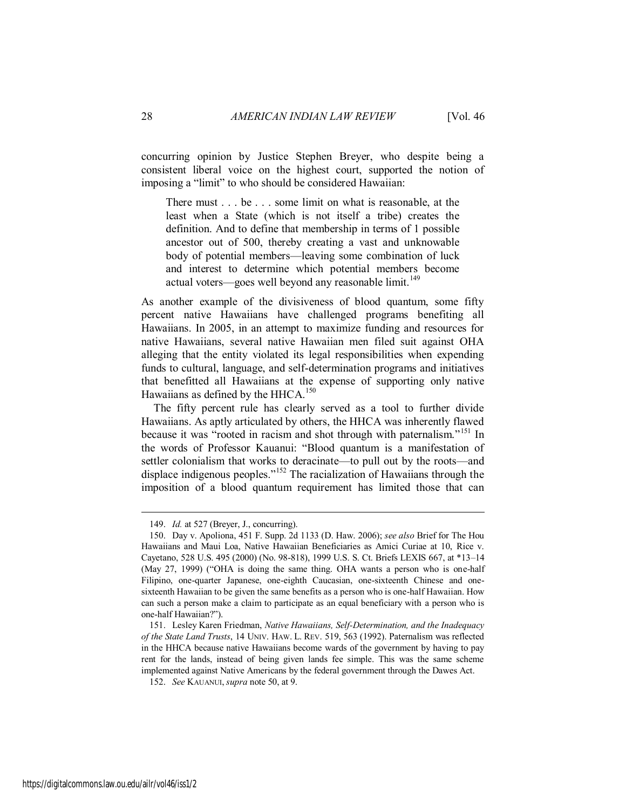concurring opinion by Justice Stephen Breyer, who despite being a consistent liberal voice on the highest court, supported the notion of imposing a "limit" to who should be considered Hawaiian:

There must . . . be . . . some limit on what is reasonable, at the least when a State (which is not itself a tribe) creates the definition. And to define that membership in terms of 1 possible ancestor out of 500, thereby creating a vast and unknowable body of potential members—leaving some combination of luck and interest to determine which potential members become actual voters—goes well beyond any reasonable limit.<sup>149</sup>

As another example of the divisiveness of blood quantum, some fifty percent native Hawaiians have challenged programs benefiting all Hawaiians. In 2005, in an attempt to maximize funding and resources for native Hawaiians, several native Hawaiian men filed suit against OHA alleging that the entity violated its legal responsibilities when expending funds to cultural, language, and self-determination programs and initiatives that benefitted all Hawaiians at the expense of supporting only native Hawaiians as defined by the HHCA.<sup>150</sup>

The fifty percent rule has clearly served as a tool to further divide Hawaiians. As aptly articulated by others, the HHCA was inherently flawed because it was "rooted in racism and shot through with paternalism."<sup>151</sup> In the words of Professor Kauanui: "Blood quantum is a manifestation of settler colonialism that works to deracinate—to pull out by the roots—and displace indigenous peoples.<sup>"152</sup> The racialization of Hawaiians through the imposition of a blood quantum requirement has limited those that can

<sup>149.</sup> *Id.* at 527 (Breyer, J., concurring).

<sup>150.</sup> Day v. Apoliona, 451 F. Supp. 2d 1133 (D. Haw. 2006); *see also* Brief for The Hou Hawaiians and Maui Loa, Native Hawaiian Beneficiaries as Amici Curiae at 10, Rice v. Cayetano, 528 U.S. 495 (2000) (No. 98-818), 1999 U.S. S. Ct. Briefs LEXIS 667, at \*13–14 (May 27, 1999) ("OHA is doing the same thing. OHA wants a person who is one-half Filipino, one-quarter Japanese, one-eighth Caucasian, one-sixteenth Chinese and onesixteenth Hawaiian to be given the same benefits as a person who is one-half Hawaiian. How can such a person make a claim to participate as an equal beneficiary with a person who is one-half Hawaiian?").

<sup>151.</sup> Lesley Karen Friedman, *Native Hawaiians, Self-Determination, and the Inadequacy of the State Land Trusts*, 14 UNIV. HAW. L. REV. 519, 563 (1992). Paternalism was reflected in the HHCA because native Hawaiians become wards of the government by having to pay rent for the lands, instead of being given lands fee simple. This was the same scheme implemented against Native Americans by the federal government through the Dawes Act.

<sup>152.</sup> *See* KAUANUI, *supra* note 50, at 9.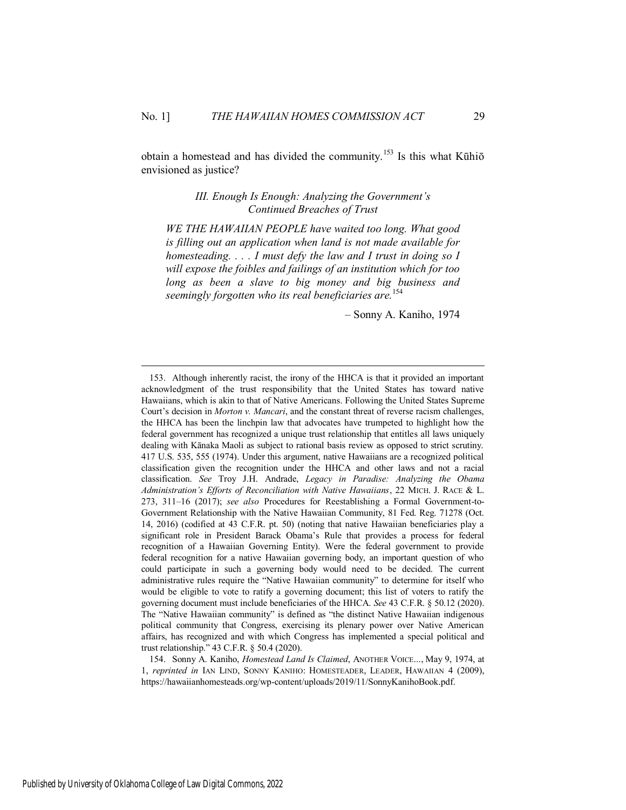<span id="page-29-0"></span>obtain a homestead and has divided the community.<sup>153</sup> Is this what Kūhiō envisioned as justice?

> *III. Enough Is Enough: Analyzing the Government's Continued Breaches of Trust*

*WE THE HAWAIIAN PEOPLE have waited too long. What good is filling out an application when land is not made available for homesteading. . . . I must defy the law and I trust in doing so I will expose the foibles and failings of an institution which for too long as been a slave to big money and big business and seemingly forgotten who its real beneficiaries are.*<sup>154</sup>

– Sonny A. Kaniho, 1974

154. Sonny A. Kaniho, *Homestead Land Is Claimed*, ANOTHER VOICE..., May 9, 1974, at 1, *reprinted in* IAN LIND, SONNY KANIHO: HOMESTEADER, LEADER, HAWAIIAN 4 (2009), https://hawaiianhomesteads.org/wp-content/uploads/2019/11/SonnyKanihoBook.pdf.

<sup>153.</sup> Although inherently racist, the irony of the HHCA is that it provided an important acknowledgment of the trust responsibility that the United States has toward native Hawaiians, which is akin to that of Native Americans. Following the United States Supreme Court's decision in *Morton v. Mancari*, and the constant threat of reverse racism challenges, the HHCA has been the linchpin law that advocates have trumpeted to highlight how the federal government has recognized a unique trust relationship that entitles all laws uniquely dealing with Kānaka Maoli as subject to rational basis review as opposed to strict scrutiny. 417 U.S. 535, 555 (1974). Under this argument, native Hawaiians are a recognized political classification given the recognition under the HHCA and other laws and not a racial classification. *See* Troy J.H. Andrade, *Legacy in Paradise: Analyzing the Obama Administration's Efforts of Reconciliation with Native Hawaiians*, 22 MICH. J. RACE & L. 273, 311–16 (2017); *see also* Procedures for Reestablishing a Formal Government-to-Government Relationship with the Native Hawaiian Community, 81 Fed. Reg. 71278 (Oct. 14, 2016) (codified at 43 C.F.R. pt. 50) (noting that native Hawaiian beneficiaries play a significant role in President Barack Obama's Rule that provides a process for federal recognition of a Hawaiian Governing Entity). Were the federal government to provide federal recognition for a native Hawaiian governing body, an important question of who could participate in such a governing body would need to be decided. The current administrative rules require the "Native Hawaiian community" to determine for itself who would be eligible to vote to ratify a governing document; this list of voters to ratify the governing document must include beneficiaries of the HHCA. *See* 43 C.F.R. § 50.12 (2020). The "Native Hawaiian community" is defined as "the distinct Native Hawaiian indigenous political community that Congress, exercising its plenary power over Native American affairs, has recognized and with which Congress has implemented a special political and trust relationship." 43 C.F.R. § 50.4 (2020).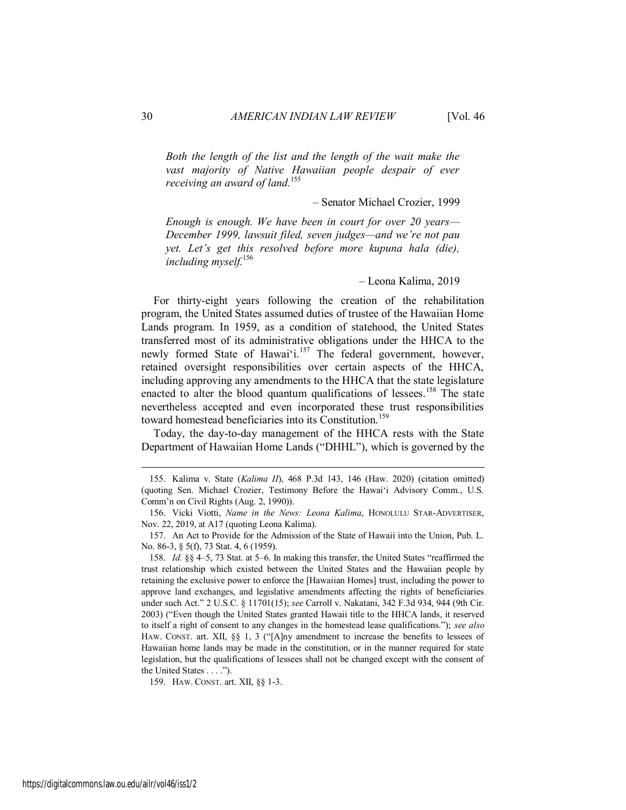*Both the length of the list and the length of the wait make the vast majority of Native Hawaiian people despair of ever receiving an award of land.*<sup>155</sup>

– Senator Michael Crozier, 1999

*Enough is enough. We have been in court for over 20 years— December 1999, lawsuit filed, seven judges—and we're not pau yet. Let's get this resolved before more kupuna hala (die), including myself.*<sup>156</sup>

– Leona Kalima, 2019

For thirty-eight years following the creation of the rehabilitation program, the United States assumed duties of trustee of the Hawaiian Home Lands program. In 1959, as a condition of statehood, the United States transferred most of its administrative obligations under the HHCA to the newly formed State of Hawai'i.<sup>157</sup> The federal government, however, retained oversight responsibilities over certain aspects of the HHCA, including approving any amendments to the HHCA that the state legislature enacted to alter the blood quantum qualifications of lessees.<sup>158</sup> The state nevertheless accepted and even incorporated these trust responsibilities toward homestead beneficiaries into its Constitution.<sup>159</sup>

Today, the day-to-day management of the HHCA rests with the State Department of Hawaiian Home Lands ("DHHL"), which is governed by the

159. HAW. CONST. art. XII, §§ 1-3.

<sup>155.</sup> Kalima v. State (*Kalima II*), 468 P.3d 143, 146 (Haw. 2020) (citation omitted) (quoting Sen. Michael Crozier, Testimony Before the Hawai'i Advisory Comm., U.S. Comm'n on Civil Rights (Aug. 2, 1990)).

<sup>156.</sup> Vicki Viotti, *Name in the News: Leona Kalima*, HONOLULU STAR-ADVERTISER, Nov. 22, 2019, at A17 (quoting Leona Kalima).

<sup>157.</sup> An Act to Provide for the Admission of the State of Hawaii into the Union, Pub. L. No. 86-3, § 5(f), 73 Stat. 4, 6 (1959).

<sup>158.</sup> *Id.* §§ 4–5, 73 Stat. at 5–6. In making this transfer, the United States "reaffirmed the trust relationship which existed between the United States and the Hawaiian people by retaining the exclusive power to enforce the [Hawaiian Homes] trust, including the power to approve land exchanges, and legislative amendments affecting the rights of beneficiaries under such Act." 2 U.S.C. § 11701(15); *see* Carroll v. Nakatani, 342 F.3d 934, 944 (9th Cir. 2003) ("Even though the United States granted Hawaii title to the HHCA lands, it reserved to itself a right of consent to any changes in the homestead lease qualifications."); *see also* HAW. CONST. art. XII, §§ 1, 3 ("[A]ny amendment to increase the benefits to lessees of Hawaiian home lands may be made in the constitution, or in the manner required for state legislation, but the qualifications of lessees shall not be changed except with the consent of the United States . . . .").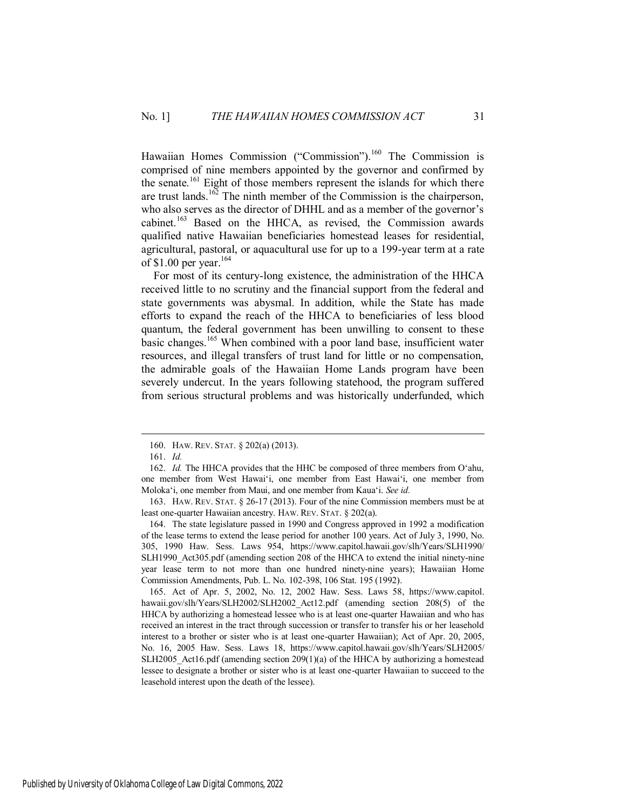Hawaiian Homes Commission ("Commission").<sup>160</sup> The Commission is comprised of nine members appointed by the governor and confirmed by the senate.<sup>161</sup> Eight of those members represent the islands for which there are trust lands.<sup>162</sup> The ninth member of the Commission is the chairperson, who also serves as the director of DHHL and as a member of the governor's cabinet.<sup>163</sup> Based on the HHCA, as revised, the Commission awards qualified native Hawaiian beneficiaries homestead leases for residential, agricultural, pastoral, or aquacultural use for up to a 199-year term at a rate of \$1.00 per year. $164$ 

For most of its century-long existence, the administration of the HHCA received little to no scrutiny and the financial support from the federal and state governments was abysmal. In addition, while the State has made efforts to expand the reach of the HHCA to beneficiaries of less blood quantum, the federal government has been unwilling to consent to these basic changes.<sup>165</sup> When combined with a poor land base, insufficient water resources, and illegal transfers of trust land for little or no compensation, the admirable goals of the Hawaiian Home Lands program have been severely undercut. In the years following statehood, the program suffered from serious structural problems and was historically underfunded, which

 $\overline{a}$ 

164. The state legislature passed in 1990 and Congress approved in 1992 a modification of the lease terms to extend the lease period for another 100 years. Act of July 3, 1990, No. 305, 1990 Haw. Sess. Laws 954, https://www.capitol.hawaii.gov/slh/Years/SLH1990/ SLH1990 Act305.pdf (amending section 208 of the HHCA to extend the initial ninety-nine year lease term to not more than one hundred ninety-nine years); Hawaiian Home Commission Amendments, Pub. L. No. 102-398, 106 Stat. 195 (1992).

165. Act of Apr. 5, 2002, No. 12, 2002 Haw. Sess. Laws 58, https://www.capitol. hawaii.gov/slh/Years/SLH2002/SLH2002\_Act12.pdf (amending section 208(5) of the HHCA by authorizing a homestead lessee who is at least one-quarter Hawaiian and who has received an interest in the tract through succession or transfer to transfer his or her leasehold interest to a brother or sister who is at least one-quarter Hawaiian); Act of Apr. 20, 2005, No. 16, 2005 Haw. Sess. Laws 18, https://www.capitol.hawaii.gov/slh/Years/SLH2005/ SLH2005\_Act16.pdf (amending section 209(1)(a) of the HHCA by authorizing a homestead lessee to designate a brother or sister who is at least one-quarter Hawaiian to succeed to the leasehold interest upon the death of the lessee).

<sup>160.</sup> HAW. REV. STAT. § 202(a) (2013).

<sup>161.</sup> *Id.*

<sup>162.</sup> *Id.* The HHCA provides that the HHC be composed of three members from O'ahu, one member from West Hawai'i, one member from East Hawai'i, one member from Moloka'i, one member from Maui, and one member from Kaua'i. *See id.*

<sup>163.</sup> HAW. REV. STAT. § 26-17 (2013). Four of the nine Commission members must be at least one-quarter Hawaiian ancestry. HAW. REV. STAT. § 202(a).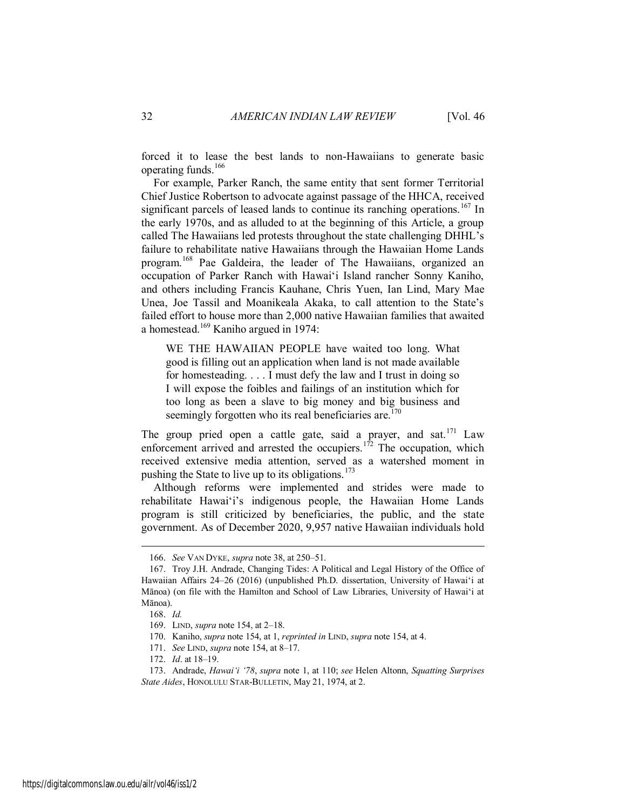forced it to lease the best lands to non-Hawaiians to generate basic operating funds.<sup>166</sup>

For example, Parker Ranch, the same entity that sent former Territorial Chief Justice Robertson to advocate against passage of the HHCA, received significant parcels of leased lands to continue its ranching operations.<sup>167</sup> In the early 1970s, and as alluded to at the beginning of this Article, a group called The Hawaiians led protests throughout the state challenging DHHL's failure to rehabilitate native Hawaiians through the Hawaiian Home Lands program.<sup>168</sup> Pae Galdeira, the leader of The Hawaiians, organized an occupation of Parker Ranch with Hawai'i Island rancher Sonny Kaniho, and others including Francis Kauhane, Chris Yuen, Ian Lind, Mary Mae Unea, Joe Tassil and Moanikeala Akaka, to call attention to the State's failed effort to house more than 2,000 native Hawaiian families that awaited a homestead.<sup>169</sup> Kaniho argued in 1974:

WE THE HAWAIIAN PEOPLE have waited too long. What good is filling out an application when land is not made available for homesteading. . . . I must defy the law and I trust in doing so I will expose the foibles and failings of an institution which for too long as been a slave to big money and big business and seemingly forgotten who its real beneficiaries are.<sup> $170$ </sup>

The group pried open a cattle gate, said a prayer, and sat.<sup>171</sup> Law enforcement arrived and arrested the occupiers.<sup>172</sup> The occupation, which received extensive media attention, served as a watershed moment in pushing the State to live up to its obligations.<sup>173</sup>

Although reforms were implemented and strides were made to rehabilitate Hawai'i's indigenous people, the Hawaiian Home Lands program is still criticized by beneficiaries, the public, and the state government. As of December 2020, 9,957 native Hawaiian individuals hold

<sup>166.</sup> *See* VAN DYKE, *supra* note 38, at 250–51.

<sup>167.</sup> Troy J.H. Andrade, Changing Tides: A Political and Legal History of the Office of Hawaiian Affairs 24–26 (2016) (unpublished Ph.D. dissertation, University of Hawai'i at Mānoa) (on file with the Hamilton and School of Law Libraries, University of Hawai'i at Mānoa).

<sup>168.</sup> *Id.* 

<sup>169.</sup> LIND, *supra* note 154, at 2–18.

<sup>170.</sup> Kaniho, *supra* note 154, at 1, *reprinted in* LIND, *supra* note 154, at 4.

<sup>171.</sup> *See* LIND, *supra* note 154, at 8–17.

<sup>172.</sup> *Id*. at 18–19.

<sup>173.</sup> Andrade, *Hawai'i '78*, *supra* note 1, at 110; *see* Helen Altonn, *Squatting Surprises State Aides*, HONOLULU STAR-BULLETIN, May 21, 1974, at 2.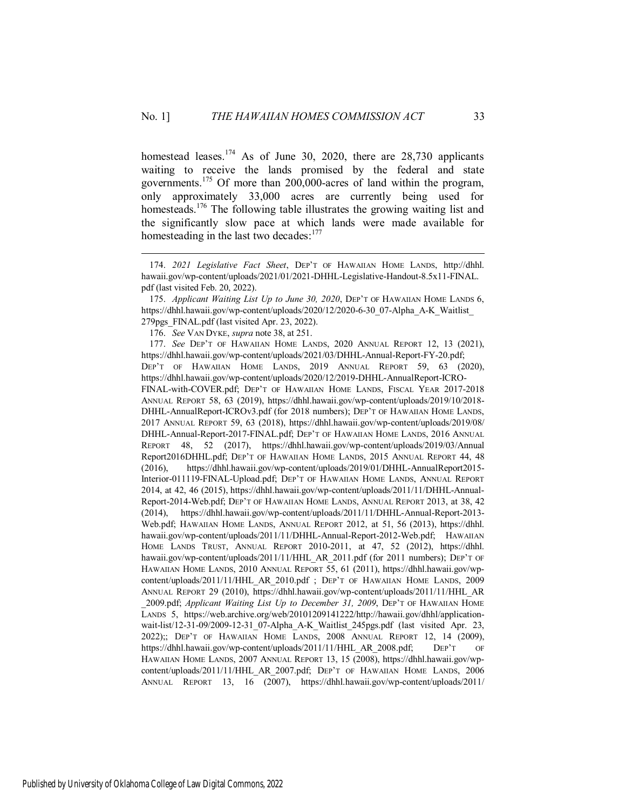homestead leases.<sup>174</sup> As of June 30, 2020, there are  $28,730$  applicants waiting to receive the lands promised by the federal and state governments.<sup>175</sup> Of more than 200,000-acres of land within the program, only approximately 33,000 acres are currently being used for homesteads.<sup>176</sup> The following table illustrates the growing waiting list and the significantly slow pace at which lands were made available for homesteading in the last two decades: $177$ 

 $\overline{a}$ 

177. *See* DEP'T OF HAWAIIAN HOME LANDS, 2020 ANNUAL REPORT 12, 13 (2021), https://dhhl.hawaii.gov/wp-content/uploads/2021/03/DHHL-Annual-Report-FY-20.pdf; DEP'T OF HAWAIIAN HOME LANDS, 2019 ANNUAL REPORT 59, 63 (2020), https://dhhl.hawaii.gov/wp-content/uploads/2020/12/2019-DHHL-AnnualReport-ICRO-FINAL-with-COVER.pdf; DEP'T OF HAWAIIAN HOME LANDS, FISCAL YEAR 2017-2018 ANNUAL REPORT 58, 63 (2019), https://dhhl.hawaii.gov/wp-content/uploads/2019/10/2018- DHHL-AnnualReport-ICROv3.pdf (for 2018 numbers); DEP'T OF HAWAIIAN HOME LANDS, 2017 ANNUAL REPORT 59, 63 (2018), https://dhhl.hawaii.gov/wp-content/uploads/2019/08/ DHHL-Annual-Report-2017-FINAL.pdf; DEP'T OF HAWAIIAN HOME LANDS, 2016 ANNUAL REPORT 48, 52 (2017), https://dhhl.hawaii.gov/wp-content/uploads/2019/03/Annual Report2016DHHL.pdf; DEP'T OF HAWAIIAN HOME LANDS, 2015 ANNUAL REPORT 44, 48 (2016), https://dhhl.hawaii.gov/wp-content/uploads/2019/01/DHHL-AnnualReport2015- Interior-011119-FINAL-Upload.pdf; DEP'T OF HAWAIIAN HOME LANDS, ANNUAL REPORT 2014, at 42, 46 (2015), https://dhhl.hawaii.gov/wp-content/uploads/2011/11/DHHL-Annual-Report-2014-Web.pdf; DEP'T OF HAWAIIAN HOME LANDS, ANNUAL REPORT 2013, at 38, 42 (2014), https://dhhl.hawaii.gov/wp-content/uploads/2011/11/DHHL-Annual-Report-2013- Web.pdf; HAWAIIAN HOME LANDS, ANNUAL REPORT 2012, at 51, 56 (2013), https://dhhl. hawaii.gov/wp-content/uploads/2011/11/DHHL-Annual-Report-2012-Web.pdf; HAWAIIAN HOME LANDS TRUST, ANNUAL REPORT 2010-2011, at 47, 52 (2012), https://dhhl. hawaii.gov/wp-content/uploads/2011/11/HHL\_AR\_2011.pdf (for 2011 numbers); DEP'T OF HAWAIIAN HOME LANDS, 2010 ANNUAL REPORT 55, 61 (2011), https://dhhl.hawaii.gov/wpcontent/uploads/2011/11/HHL\_AR\_2010.pdf ; DEP'T OF HAWAIIAN HOME LANDS, 2009 ANNUAL REPORT 29 (2010), https://dhhl.hawaii.gov/wp-content/uploads/2011/11/HHL\_AR \_2009.pdf; *Applicant Waiting List Up to December 31, 2009*, DEP'T OF HAWAIIAN HOME LANDS 5, https://web.archive.org/web/20101209141222/http://hawaii.gov/dhhl/applicationwait-list/12-31-09/2009-12-31\_07-Alpha\_A-K\_Waitlist\_245pgs.pdf (last visited Apr. 23, 2022);; DEP'T OF HAWAIIAN HOME LANDS, 2008 ANNUAL REPORT 12, 14 (2009), https://dhhl.hawaii.gov/wp-content/uploads/2011/11/HHL\_AR\_2008.pdf; DEP'T OF HAWAIIAN HOME LANDS, 2007 ANNUAL REPORT 13, 15 (2008), https://dhhl.hawaii.gov/wpcontent/uploads/2011/11/HHL\_AR\_2007.pdf; DEP'T OF HAWAIIAN HOME LANDS, 2006 ANNUAL REPORT 13, 16 (2007), https://dhhl.hawaii.gov/wp-content/uploads/2011/

<sup>174.</sup> *2021 Legislative Fact Sheet*, DEP'T OF HAWAIIAN HOME LANDS, http://dhhl. hawaii.gov/wp-content/uploads/2021/01/2021-DHHL-Legislative-Handout-8.5x11-FINAL. pdf (last visited Feb. 20, 2022).

<sup>175.</sup> *Applicant Waiting List Up to June 30, 2020*, DEP'T OF HAWAIIAN HOME LANDS 6, https://dhhl.hawaii.gov/wp-content/uploads/2020/12/2020-6-30\_07-Alpha\_A-K\_Waitlist\_ 279pgs\_FINAL.pdf (last visited Apr. 23, 2022).

<sup>176.</sup> *See* VAN DYKE, *supra* note 38, at 251.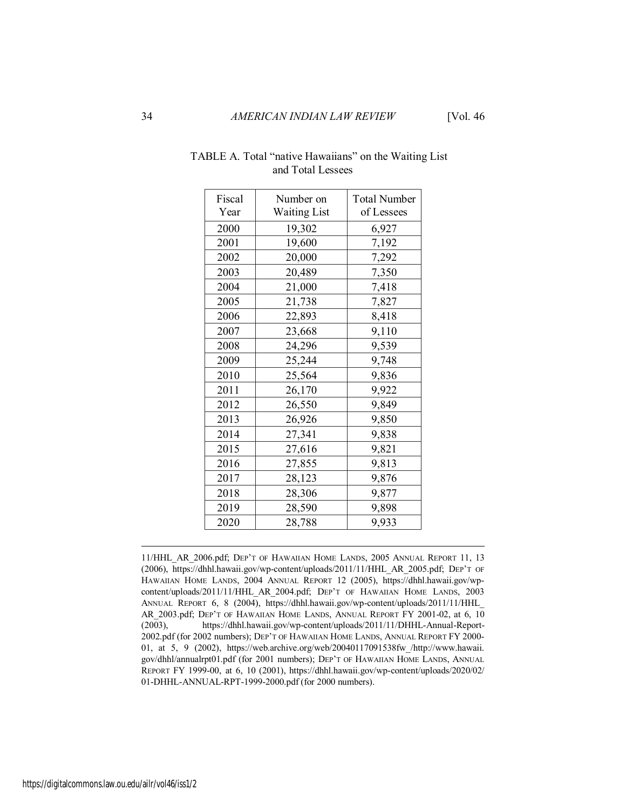| Fiscal | Number on           | <b>Total Number</b> |
|--------|---------------------|---------------------|
| Year   | <b>Waiting List</b> | of Lessees          |
| 2000   | 19,302              | 6,927               |
| 2001   | 19,600              | 7,192               |
| 2002   | 20,000              | 7,292               |
| 2003   | 20,489              | 7,350               |
| 2004   | 21,000              | 7,418               |
| 2005   | 21,738              | 7,827               |
| 2006   | 22,893              | 8,418               |
| 2007   | 23,668              | 9,110               |
| 2008   | 24,296              | 9,539               |
| 2009   | 25,244              | 9,748               |
| 2010   | 25,564              | 9,836               |
| 2011   | 26,170              | 9,922               |
| 2012   | 26,550              | 9,849               |
| 2013   | 26,926              | 9,850               |
| 2014   | 27,341              | 9,838               |
| 2015   | 27,616              | 9,821               |
| 2016   | 27,855              | 9,813               |
| 2017   | 28,123              | 9,876               |
| 2018   | 28,306              | 9,877               |
| 2019   | 28,590              | 9,898               |
| 2020   | 28,788              | 9,933               |

## TABLE A. Total "native Hawaiians" on the Waiting List and Total Lessees

11/HHL\_AR\_2006.pdf; DEP'T OF HAWAIIAN HOME LANDS, 2005 ANNUAL REPORT 11, 13 (2006), https://dhhl.hawaii.gov/wp-content/uploads/2011/11/HHL\_AR\_2005.pdf; DEP'T OF HAWAIIAN HOME LANDS, 2004 ANNUAL REPORT 12 (2005), https://dhhl.hawaii.gov/wpcontent/uploads/2011/11/HHL\_AR\_2004.pdf; DEP'T OF HAWAIIAN HOME LANDS, 2003 ANNUAL REPORT 6, 8 (2004), https://dhhl.hawaii.gov/wp-content/uploads/2011/11/HHL\_ AR\_2003.pdf; DEP'T OF HAWAIIAN HOME LANDS, ANNUAL REPORT FY 2001-02, at 6, 10 (2003), https://dhhl.hawaii.gov/wp-content/uploads/2011/11/DHHL-Annual-Report-2002.pdf (for 2002 numbers); DEP'T OF HAWAIIAN HOME LANDS, ANNUAL REPORT FY 2000- 01, at 5, 9 (2002), https://web.archive.org/web/20040117091538fw\_/http://www.hawaii. gov/dhhl/annualrpt01.pdf (for 2001 numbers); DEP'T OF HAWAIIAN HOME LANDS, ANNUAL REPORT FY 1999-00, at 6, 10 (2001), https://dhhl.hawaii.gov/wp-content/uploads/2020/02/ 01-DHHL-ANNUAL-RPT-1999-2000.pdf (for 2000 numbers).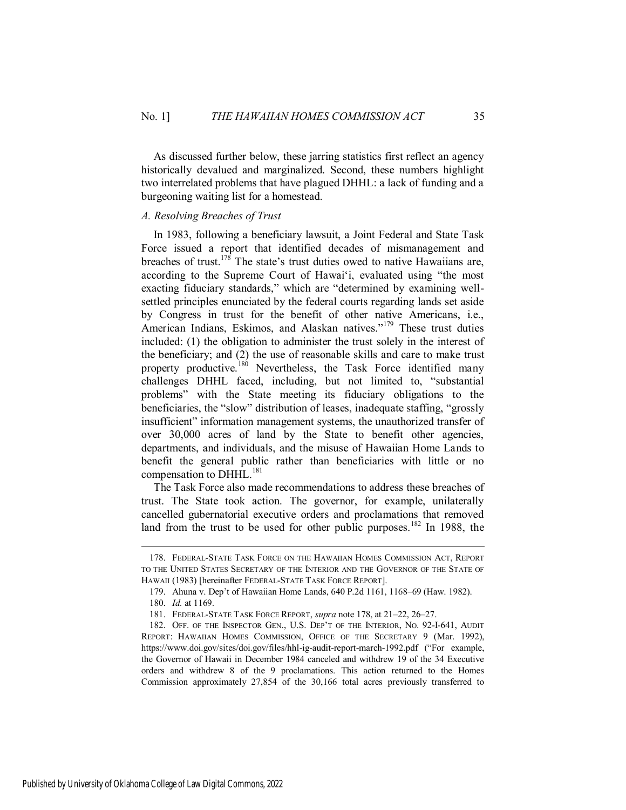As discussed further below, these jarring statistics first reflect an agency historically devalued and marginalized. Second, these numbers highlight two interrelated problems that have plagued DHHL: a lack of funding and a burgeoning waiting list for a homestead.

## <span id="page-35-0"></span>*A. Resolving Breaches of Trust*

In 1983, following a beneficiary lawsuit, a Joint Federal and State Task Force issued a report that identified decades of mismanagement and breaches of trust.<sup>178</sup> The state's trust duties owed to native Hawaiians are, according to the Supreme Court of Hawai'i, evaluated using "the most exacting fiduciary standards," which are "determined by examining wellsettled principles enunciated by the federal courts regarding lands set aside by Congress in trust for the benefit of other native Americans, i.e., American Indians, Eskimos, and Alaskan natives."<sup>179</sup> These trust duties included: (1) the obligation to administer the trust solely in the interest of the beneficiary; and (2) the use of reasonable skills and care to make trust property productive.<sup>180</sup> Nevertheless, the Task Force identified many challenges DHHL faced, including, but not limited to, "substantial problems" with the State meeting its fiduciary obligations to the beneficiaries, the "slow" distribution of leases, inadequate staffing, "grossly insufficient" information management systems, the unauthorized transfer of over 30,000 acres of land by the State to benefit other agencies, departments, and individuals, and the misuse of Hawaiian Home Lands to benefit the general public rather than beneficiaries with little or no compensation to DHHL.<sup>181</sup>

The Task Force also made recommendations to address these breaches of trust. The State took action. The governor, for example, unilaterally cancelled gubernatorial executive orders and proclamations that removed land from the trust to be used for other public purposes.<sup>182</sup> In 1988, the

<sup>178.</sup> FEDERAL-STATE TASK FORCE ON THE HAWAIIAN HOMES COMMISSION ACT, REPORT TO THE UNITED STATES SECRETARY OF THE INTERIOR AND THE GOVERNOR OF THE STATE OF HAWAII (1983) [hereinafter FEDERAL-STATE TASK FORCE REPORT].

<sup>179.</sup> Ahuna v. Dep't of Hawaiian Home Lands, 640 P.2d 1161, 1168–69 (Haw. 1982).

<sup>180.</sup> *Id.* at 1169.

<sup>181.</sup> FEDERAL-STATE TASK FORCE REPORT, *supra* note 178, at 21–22, 26–27.

<sup>182.</sup> OFF. OF THE INSPECTOR GEN., U.S. DEP'T OF THE INTERIOR, NO. 92-I-641, AUDIT REPORT: HAWAIIAN HOMES COMMISSION, OFFICE OF THE SECRETARY 9 (Mar. 1992), https://www.doi.gov/sites/doi.gov/files/hhl-ig-audit-report-march-1992.pdf ("For example, the Governor of Hawaii in December 1984 canceled and withdrew 19 of the 34 Executive orders and withdrew 8 of the 9 proclamations. This action returned to the Homes Commission approximately 27,854 of the 30,166 total acres previously transferred to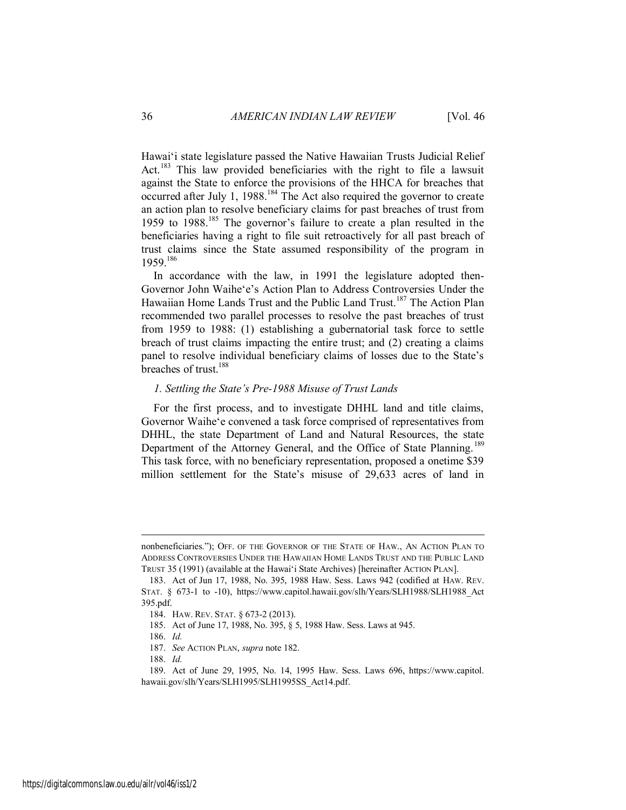Hawai'i state legislature passed the Native Hawaiian Trusts Judicial Relief Act.<sup>183</sup> This law provided beneficiaries with the right to file a lawsuit against the State to enforce the provisions of the HHCA for breaches that occurred after July 1, 1988.<sup>184</sup> The Act also required the governor to create an action plan to resolve beneficiary claims for past breaches of trust from 1959 to 1988.<sup>185</sup> The governor's failure to create a plan resulted in the beneficiaries having a right to file suit retroactively for all past breach of trust claims since the State assumed responsibility of the program in 1959.<sup>186</sup>

In accordance with the law, in 1991 the legislature adopted then-Governor John Waihe'e's Action Plan to Address Controversies Under the Hawaiian Home Lands Trust and the Public Land Trust.<sup>187</sup> The Action Plan recommended two parallel processes to resolve the past breaches of trust from 1959 to 1988: (1) establishing a gubernatorial task force to settle breach of trust claims impacting the entire trust; and (2) creating a claims panel to resolve individual beneficiary claims of losses due to the State's breaches of trust.<sup>188</sup>

#### <span id="page-36-0"></span>*1. Settling the State's Pre-1988 Misuse of Trust Lands*

For the first process, and to investigate DHHL land and title claims, Governor Waihe'e convened a task force comprised of representatives from DHHL, the state Department of Land and Natural Resources, the state Department of the Attorney General, and the Office of State Planning.<sup>189</sup> This task force, with no beneficiary representation, proposed a onetime \$39 million settlement for the State's misuse of 29,633 acres of land in

nonbeneficiaries."); OFF. OF THE GOVERNOR OF THE STATE OF HAW., AN ACTION PLAN TO ADDRESS CONTROVERSIES UNDER THE HAWAIIAN HOME LANDS TRUST AND THE PUBLIC LAND TRUST 35 (1991) (available at the Hawai'i State Archives) [hereinafter ACTION PLAN].

<sup>183.</sup> Act of Jun 17, 1988, No. 395, 1988 Haw. Sess. Laws 942 (codified at HAW. REV. STAT. § 673-1 to -10), https://www.capitol.hawaii.gov/slh/Years/SLH1988/SLH1988 Act 395.pdf.

<sup>184.</sup> HAW. REV. STAT. § 673-2 (2013).

<sup>185.</sup> Act of June 17, 1988, No. 395, § 5, 1988 Haw. Sess. Laws at 945.

<sup>186.</sup> *Id.*

<sup>187.</sup> *See* ACTION PLAN, *supra* note 182.

<sup>188.</sup> *Id.*

<sup>189.</sup> Act of June 29, 1995, No. 14, 1995 Haw. Sess. Laws 696, https://www.capitol. hawaii.gov/slh/Years/SLH1995/SLH1995SS\_Act14.pdf.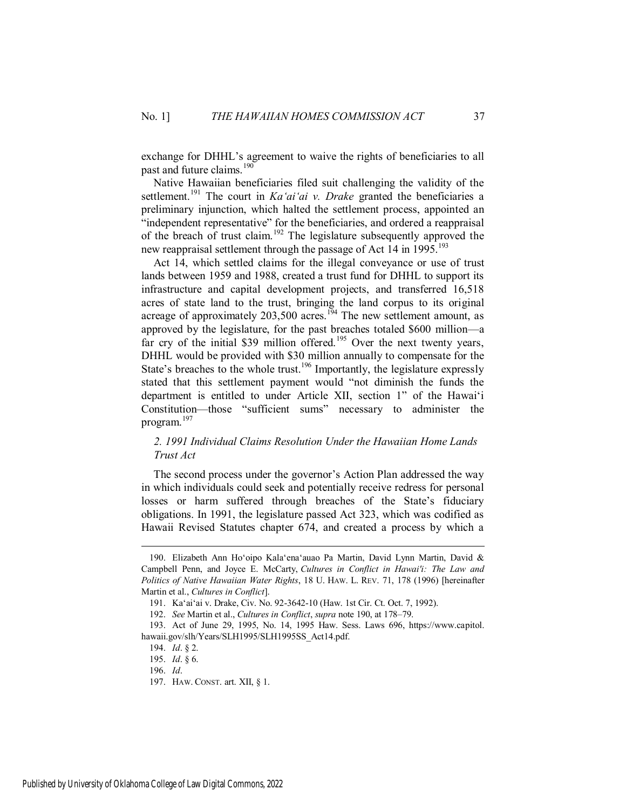exchange for DHHL's agreement to waive the rights of beneficiaries to all past and future claims.<sup>190</sup>

Native Hawaiian beneficiaries filed suit challenging the validity of the settlement.<sup>191</sup> The court in *Ka'ai'ai v. Drake* granted the beneficiaries a preliminary injunction, which halted the settlement process, appointed an "independent representative" for the beneficiaries, and ordered a reappraisal of the breach of trust claim.<sup>192</sup> The legislature subsequently approved the new reappraisal settlement through the passage of Act 14 in 1995.<sup>193</sup>

Act 14, which settled claims for the illegal conveyance or use of trust lands between 1959 and 1988, created a trust fund for DHHL to support its infrastructure and capital development projects, and transferred 16,518 acres of state land to the trust, bringing the land corpus to its original acreage of approximately  $203,500$  acres.<sup>194</sup> The new settlement amount, as approved by the legislature, for the past breaches totaled \$600 million—a far cry of the initial \$39 million offered.<sup>195</sup> Over the next twenty years, DHHL would be provided with \$30 million annually to compensate for the State's breaches to the whole trust.<sup>196</sup> Importantly, the legislature expressly stated that this settlement payment would "not diminish the funds the department is entitled to under Article XII, section 1" of the Hawai'i Constitution—those "sufficient sums" necessary to administer the program.<sup>197</sup>

## <span id="page-37-0"></span>*2. 1991 Individual Claims Resolution Under the Hawaiian Home Lands Trust Act*

The second process under the governor's Action Plan addressed the way in which individuals could seek and potentially receive redress for personal losses or harm suffered through breaches of the State's fiduciary obligations. In 1991, the legislature passed Act 323, which was codified as Hawaii Revised Statutes chapter 674, and created a process by which a

<sup>190.</sup> Elizabeth Ann Ho'oipo Kala'ena'auao Pa Martin, David Lynn Martin, David & Campbell Penn, and Joyce E. McCarty, *Cultures in Conflict in Hawai'i: The Law and Politics of Native Hawaiian Water Rights*, 18 U. HAW. L. REV. 71, 178 (1996) [hereinafter Martin et al., *Cultures in Conflict*].

<sup>191.</sup> Ka'ai'ai v. Drake, Civ. No. 92-3642-10 (Haw. 1st Cir. Ct. Oct. 7, 1992).

<sup>192.</sup> *See* Martin et al., *Cultures in Conflict*, *supra* note 190, at 178–79.

<sup>193.</sup> Act of June 29, 1995, No. 14, 1995 Haw. Sess. Laws 696, https://www.capitol. hawaii.gov/slh/Years/SLH1995/SLH1995SS\_Act14.pdf.

<sup>194.</sup> *Id*. § 2.

<sup>195.</sup> *Id*. § 6.

<sup>196.</sup> *Id*.

<sup>197.</sup> HAW. CONST. art. XII, § 1.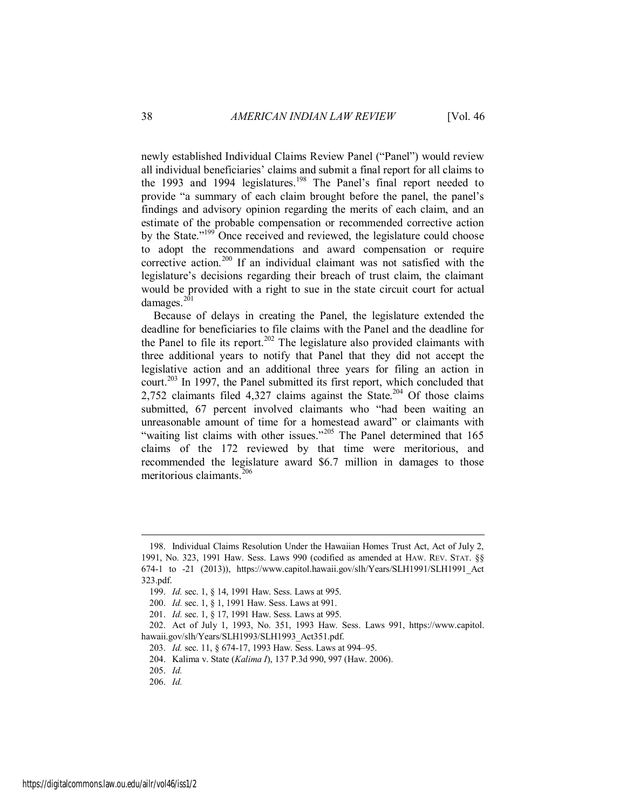newly established Individual Claims Review Panel ("Panel") would review all individual beneficiaries' claims and submit a final report for all claims to the 1993 and 1994 legislatures.<sup>198</sup> The Panel's final report needed to provide "a summary of each claim brought before the panel, the panel's findings and advisory opinion regarding the merits of each claim, and an estimate of the probable compensation or recommended corrective action by the State."<sup>199</sup> Once received and reviewed, the legislature could choose to adopt the recommendations and award compensation or require corrective action.<sup>200</sup> If an individual claimant was not satisfied with the legislature's decisions regarding their breach of trust claim, the claimant would be provided with a right to sue in the state circuit court for actual damages.<sup>201</sup>

Because of delays in creating the Panel, the legislature extended the deadline for beneficiaries to file claims with the Panel and the deadline for the Panel to file its report.<sup>202</sup> The legislature also provided claimants with three additional years to notify that Panel that they did not accept the legislative action and an additional three years for filing an action in court.<sup>203</sup> In 1997, the Panel submitted its first report, which concluded that 2,752 claimants filed  $4.327$  claims against the State.<sup>204</sup> Of those claims submitted, 67 percent involved claimants who "had been waiting an unreasonable amount of time for a homestead award" or claimants with "waiting list claims with other issues."<sup>205</sup> The Panel determined that 165 claims of the 172 reviewed by that time were meritorious, and recommended the legislature award \$6.7 million in damages to those meritorious claimants.<sup>206</sup>

<sup>198.</sup> Individual Claims Resolution Under the Hawaiian Homes Trust Act, Act of July 2, 1991, No. 323, 1991 Haw. Sess. Laws 990 (codified as amended at HAW. REV. STAT. §§ 674-1 to -21 (2013)), https://www.capitol.hawaii.gov/slh/Years/SLH1991/SLH1991\_Act 323.pdf.

<sup>199.</sup> *Id.* sec. 1, § 14, 1991 Haw. Sess. Laws at 995.

<sup>200.</sup> *Id.* sec. 1, § 1, 1991 Haw. Sess. Laws at 991.

<sup>201.</sup> *Id.* sec. 1, § 17, 1991 Haw. Sess. Laws at 995.

<sup>202.</sup> Act of July 1, 1993, No. 351, 1993 Haw. Sess. Laws 991, https://www.capitol. hawaii.gov/slh/Years/SLH1993/SLH1993\_Act351.pdf.

<sup>203.</sup> *Id.* sec. 11, § 674-17, 1993 Haw. Sess. Laws at 994–95.

<sup>204.</sup> Kalima v. State (*Kalima I*), 137 P.3d 990, 997 (Haw. 2006).

<sup>205.</sup> *Id.*

<sup>206.</sup> *Id.*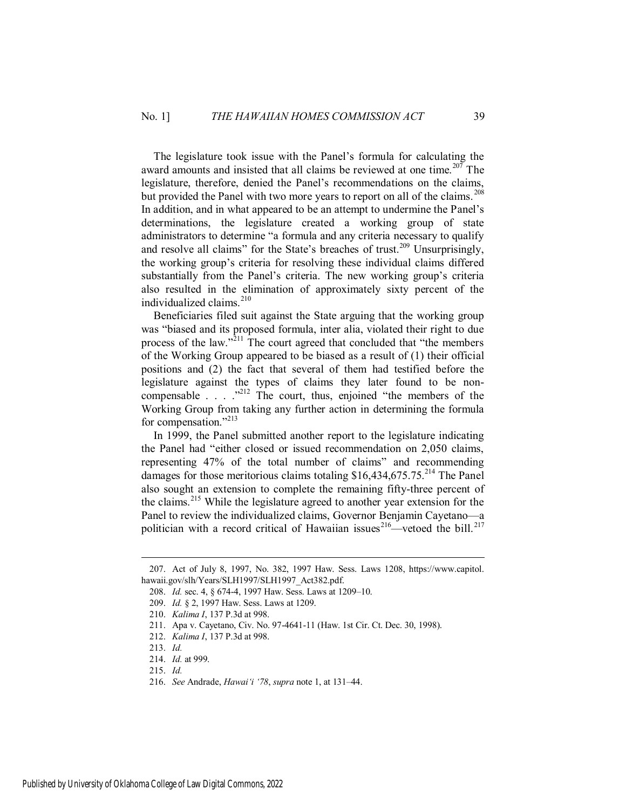The legislature took issue with the Panel's formula for calculating the award amounts and insisted that all claims be reviewed at one time.<sup>207</sup> The legislature, therefore, denied the Panel's recommendations on the claims, but provided the Panel with two more years to report on all of the claims.<sup>208</sup> In addition, and in what appeared to be an attempt to undermine the Panel's determinations, the legislature created a working group of state administrators to determine "a formula and any criteria necessary to qualify and resolve all claims" for the State's breaches of trust.<sup>209</sup> Unsurprisingly, the working group's criteria for resolving these individual claims differed substantially from the Panel's criteria. The new working group's criteria also resulted in the elimination of approximately sixty percent of the individualized claims.<sup>210</sup>

Beneficiaries filed suit against the State arguing that the working group was "biased and its proposed formula, inter alia, violated their right to due process of the law.<sup> $2^{211}$ </sup> The court agreed that concluded that "the members" of the Working Group appeared to be biased as a result of (1) their official positions and (2) the fact that several of them had testified before the legislature against the types of claims they later found to be noncompensable  $\ldots$   $\ldots$   $\ldots$   $\ldots$  The court, thus, enjoined "the members of the Working Group from taking any further action in determining the formula for compensation."<sup>213</sup>

In 1999, the Panel submitted another report to the legislature indicating the Panel had "either closed or issued recommendation on 2,050 claims, representing 47% of the total number of claims" and recommending damages for those meritorious claims totaling  $$16,434,675.75.<sup>214</sup>$  The Panel also sought an extension to complete the remaining fifty-three percent of the claims.<sup>215</sup> While the legislature agreed to another year extension for the Panel to review the individualized claims, Governor Benjamin Cayetano—a politician with a record critical of Hawaiian issues<sup>216</sup>—vetoed the bill.<sup>217</sup>

<sup>207.</sup> Act of July 8, 1997, No. 382, 1997 Haw. Sess. Laws 1208, https://www.capitol. hawaii.gov/slh/Years/SLH1997/SLH1997\_Act382.pdf.

<sup>208.</sup> *Id.* sec. 4, § 674-4, 1997 Haw. Sess. Laws at 1209–10.

<sup>209.</sup> *Id.* § 2, 1997 Haw. Sess. Laws at 1209.

<sup>210.</sup> *Kalima I*, 137 P.3d at 998.

<sup>211.</sup> Apa v. Cayetano, Civ. No. 97-4641-11 (Haw. 1st Cir. Ct. Dec. 30, 1998).

<sup>212.</sup> *Kalima I*, 137 P.3d at 998.

<sup>213.</sup> *Id.*

<sup>214.</sup> *Id.* at 999.

<sup>215.</sup> *Id.*

<sup>216.</sup> *See* Andrade, *Hawai'i '78*, *supra* note 1, at 131–44.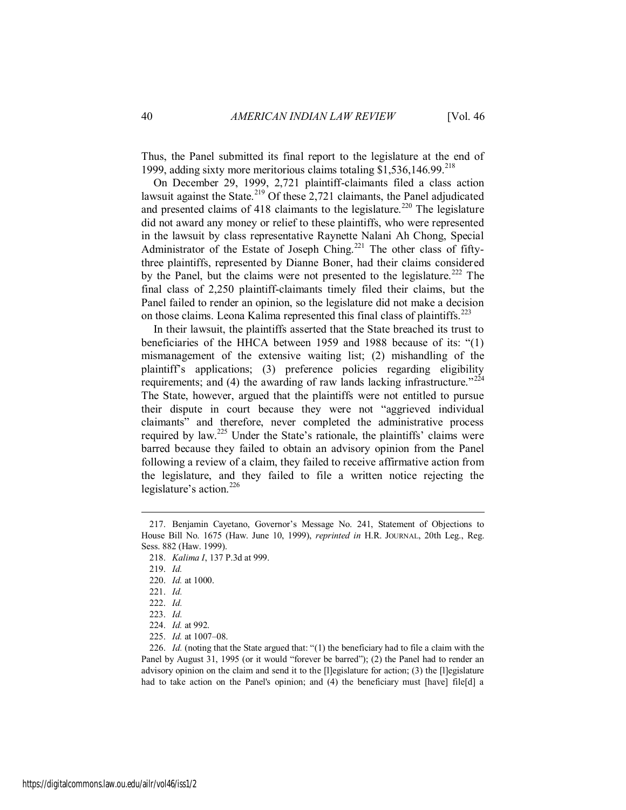Thus, the Panel submitted its final report to the legislature at the end of 1999, adding sixty more meritorious claims totaling  $$1,536,146.99$ <sup>218</sup>

On December 29, 1999, 2,721 plaintiff-claimants filed a class action lawsuit against the State.<sup>219</sup> Of these 2,721 claimants, the Panel adjudicated and presented claims of 418 claimants to the legislature.<sup>220</sup> The legislature did not award any money or relief to these plaintiffs, who were represented in the lawsuit by class representative Raynette Nalani Ah Chong, Special Administrator of the Estate of Joseph Ching.<sup>221</sup> The other class of fiftythree plaintiffs, represented by Dianne Boner, had their claims considered by the Panel, but the claims were not presented to the legislature.<sup>222</sup> The final class of 2,250 plaintiff-claimants timely filed their claims, but the Panel failed to render an opinion, so the legislature did not make a decision on those claims. Leona Kalima represented this final class of plaintiffs.<sup>223</sup>

In their lawsuit, the plaintiffs asserted that the State breached its trust to beneficiaries of the HHCA between 1959 and 1988 because of its: "(1) mismanagement of the extensive waiting list; (2) mishandling of the plaintiff's applications; (3) preference policies regarding eligibility requirements; and (4) the awarding of raw lands lacking infrastructure.<sup> $224$ </sup> The State, however, argued that the plaintiffs were not entitled to pursue their dispute in court because they were not "aggrieved individual claimants" and therefore, never completed the administrative process required by law.<sup>225</sup> Under the State's rationale, the plaintiffs' claims were barred because they failed to obtain an advisory opinion from the Panel following a review of a claim, they failed to receive affirmative action from the legislature, and they failed to file a written notice rejecting the legislature's action. 226

 $\overline{a}$ 

226. *Id.* (noting that the State argued that: "(1) the beneficiary had to file a claim with the Panel by August 31, 1995 (or it would "forever be barred"); (2) the Panel had to render an advisory opinion on the claim and send it to the [l]egislature for action; (3) the [l]egislature had to take action on the Panel's opinion; and (4) the beneficiary must [have] file[d] a

<sup>217.</sup> Benjamin Cayetano, Governor's Message No. 241, Statement of Objections to House Bill No. 1675 (Haw. June 10, 1999), *reprinted in* H.R. JOURNAL, 20th Leg., Reg. Sess. 882 (Haw. 1999).

<sup>218.</sup> *Kalima I*, 137 P.3d at 999.

<sup>219.</sup> *Id.*

<sup>220.</sup> *Id.* at 1000.

<sup>221.</sup> *Id.*

<sup>222.</sup> *Id.*

<sup>223.</sup> *Id.*

<sup>224.</sup> *Id.* at 992.

<sup>225.</sup> *Id.* at 1007–08.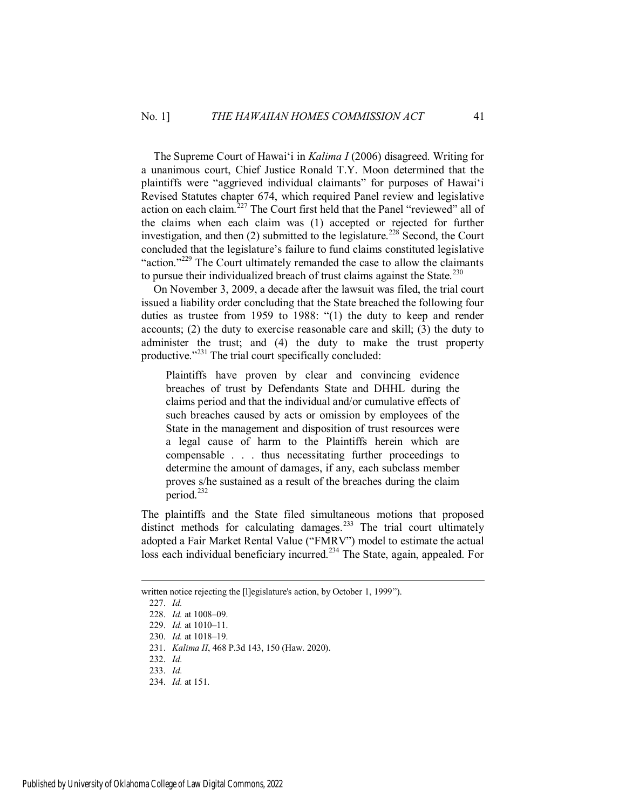The Supreme Court of Hawai'i in *Kalima I* (2006) disagreed. Writing for a unanimous court, Chief Justice Ronald T.Y. Moon determined that the plaintiffs were "aggrieved individual claimants" for purposes of Hawai'i Revised Statutes chapter 674, which required Panel review and legislative action on each claim.<sup>227</sup> The Court first held that the Panel "reviewed" all of the claims when each claim was (1) accepted or rejected for further investigation, and then  $(2)$  submitted to the legislature.<sup>228</sup> Second, the Court concluded that the legislature's failure to fund claims constituted legislative "action."<sup>229</sup> The Court ultimately remanded the case to allow the claimants to pursue their individualized breach of trust claims against the State.<sup>230</sup>

On November 3, 2009, a decade after the lawsuit was filed, the trial court issued a liability order concluding that the State breached the following four duties as trustee from 1959 to 1988: "(1) the duty to keep and render accounts; (2) the duty to exercise reasonable care and skill; (3) the duty to administer the trust; and (4) the duty to make the trust property productive."<sup>231</sup> The trial court specifically concluded:

Plaintiffs have proven by clear and convincing evidence breaches of trust by Defendants State and DHHL during the claims period and that the individual and/or cumulative effects of such breaches caused by acts or omission by employees of the State in the management and disposition of trust resources were a legal cause of harm to the Plaintiffs herein which are compensable . . . thus necessitating further proceedings to determine the amount of damages, if any, each subclass member proves s/he sustained as a result of the breaches during the claim period.<sup>232</sup>

The plaintiffs and the State filed simultaneous motions that proposed distinct methods for calculating damages.<sup>233</sup> The trial court ultimately adopted a Fair Market Rental Value ("FMRV") model to estimate the actual loss each individual beneficiary incurred.<sup>234</sup> The State, again, appealed. For

written notice rejecting the [I]egislature's action, by October 1, 1999").

<sup>227.</sup> *Id.*

<sup>228.</sup> *Id.* at 1008–09.

<sup>229.</sup> *Id.* at 1010–11.

<sup>230.</sup> *Id.* at 1018–19.

<sup>231.</sup> *Kalima II*, 468 P.3d 143, 150 (Haw. 2020).

<sup>232.</sup> *Id.*

<sup>233.</sup> *Id.*

<sup>234.</sup> *Id.* at 151.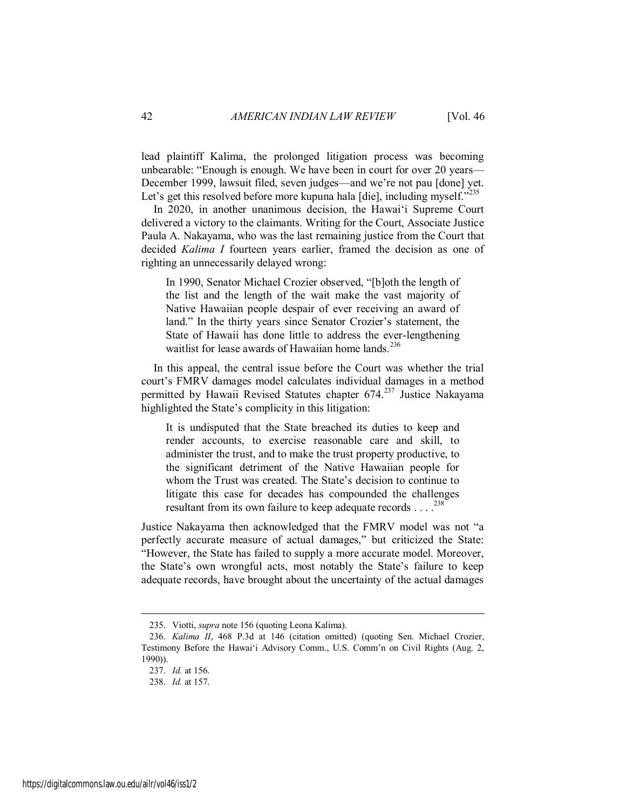lead plaintiff Kalima, the prolonged litigation process was becoming unbearable: "Enough is enough. We have been in court for over 20 years— December 1999, lawsuit filed, seven judges—and we're not pau [done] yet. Let's get this resolved before more kupuna hala [die], including myself."<sup>235</sup>

In 2020, in another unanimous decision, the Hawai'i Supreme Court delivered a victory to the claimants. Writing for the Court, Associate Justice Paula A. Nakayama, who was the last remaining justice from the Court that decided *Kalima I* fourteen years earlier, framed the decision as one of righting an unnecessarily delayed wrong:

In 1990, Senator Michael Crozier observed, "[b]oth the length of the list and the length of the wait make the vast majority of Native Hawaiian people despair of ever receiving an award of land." In the thirty years since Senator Crozier's statement, the State of Hawaii has done little to address the ever-lengthening waitlist for lease awards of Hawaiian home lands.<sup>236</sup>

In this appeal, the central issue before the Court was whether the trial court's FMRV damages model calculates individual damages in a method permitted by Hawaii Revised Statutes chapter 674.<sup>237</sup> Justice Nakayama highlighted the State's complicity in this litigation:

It is undisputed that the State breached its duties to keep and render accounts, to exercise reasonable care and skill, to administer the trust, and to make the trust property productive, to the significant detriment of the Native Hawaiian people for whom the Trust was created. The State's decision to continue to litigate this case for decades has compounded the challenges resultant from its own failure to keep adequate records . . . .<sup>238</sup>

Justice Nakayama then acknowledged that the FMRV model was not "a perfectly accurate measure of actual damages," but criticized the State: "However, the State has failed to supply a more accurate model. Moreover, the State's own wrongful acts, most notably the State's failure to keep adequate records, have brought about the uncertainty of the actual damages

<sup>235.</sup> Viotti, *supra* note 156 (quoting Leona Kalima).

<sup>236.</sup> *Kalima II*, 468 P.3d at 146 (citation omitted) (quoting Sen. Michael Crozier, Testimony Before the Hawai'i Advisory Comm., U.S. Comm'n on Civil Rights (Aug. 2, 1990)).

<sup>237.</sup> *Id.* at 156.

<sup>238.</sup> *Id.* at 157.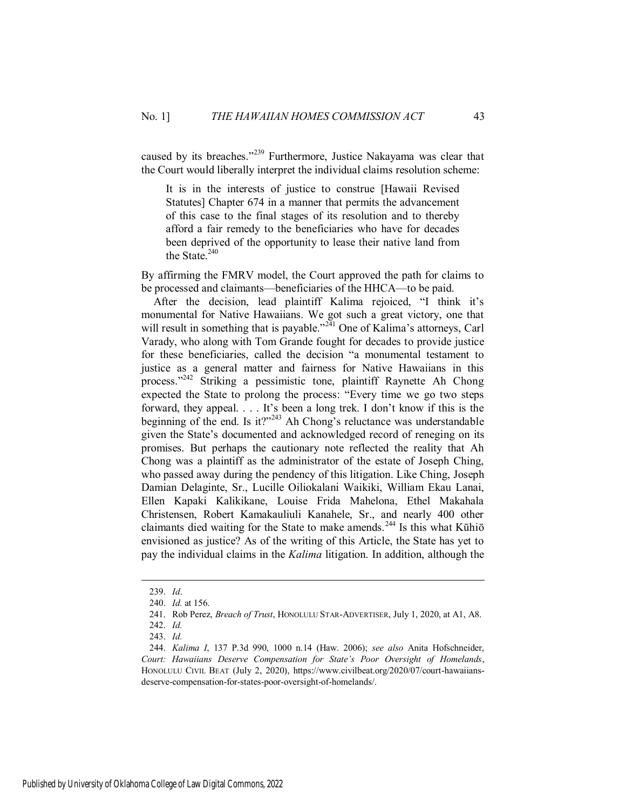caused by its breaches."<sup>239</sup> Furthermore, Justice Nakayama was clear that the Court would liberally interpret the individual claims resolution scheme:

It is in the interests of justice to construe [Hawaii Revised Statutes] Chapter 674 in a manner that permits the advancement of this case to the final stages of its resolution and to thereby afford a fair remedy to the beneficiaries who have for decades been deprived of the opportunity to lease their native land from the State.<sup>240</sup>

By affirming the FMRV model, the Court approved the path for claims to be processed and claimants—beneficiaries of the HHCA—to be paid.

After the decision, lead plaintiff Kalima rejoiced, "I think it's monumental for Native Hawaiians. We got such a great victory, one that will result in something that is payable."<sup>241</sup> One of Kalima's attorneys, Carl Varady, who along with Tom Grande fought for decades to provide justice for these beneficiaries, called the decision "a monumental testament to justice as a general matter and fairness for Native Hawaiians in this process."<sup>242</sup> Striking a pessimistic tone, plaintiff Raynette Ah Chong expected the State to prolong the process: "Every time we go two steps forward, they appeal. . . . It's been a long trek. I don't know if this is the beginning of the end. Is it?"<sup>243</sup> Ah Chong's reluctance was understandable given the State's documented and acknowledged record of reneging on its promises. But perhaps the cautionary note reflected the reality that Ah Chong was a plaintiff as the administrator of the estate of Joseph Ching, who passed away during the pendency of this litigation. Like Ching, Joseph Damian Delaginte, Sr., Lucille Oiliokalani Waikiki, William Ekau Lanai, Ellen Kapaki Kalikikane, Louise Frida Mahelona, Ethel Makahala Christensen, Robert Kamakauliuli Kanahele, Sr., and nearly 400 other claimants died waiting for the State to make amends.<sup>244</sup> Is this what Kūhiō envisioned as justice? As of the writing of this Article, the State has yet to pay the individual claims in the *Kalima* litigation. In addition, although the

<sup>239.</sup> *Id*.

<sup>240.</sup> *Id.* at 156.

<sup>241.</sup> Rob Perez, *Breach of Trust*, HONOLULU STAR-ADVERTISER, July 1, 2020, at A1, A8.

<sup>242.</sup> *Id.* 243. *Id.*

<sup>244.</sup> *Kalima I*, 137 P.3d 990, 1000 n.14 (Haw. 2006); *see also* Anita Hofschneider, *Court: Hawaiians Deserve Compensation for State's Poor Oversight of Homelands*, HONOLULU CIVIL BEAT (July 2, 2020), https://www.civilbeat.org/2020/07/court-hawaiiansdeserve-compensation-for-states-poor-oversight-of-homelands/.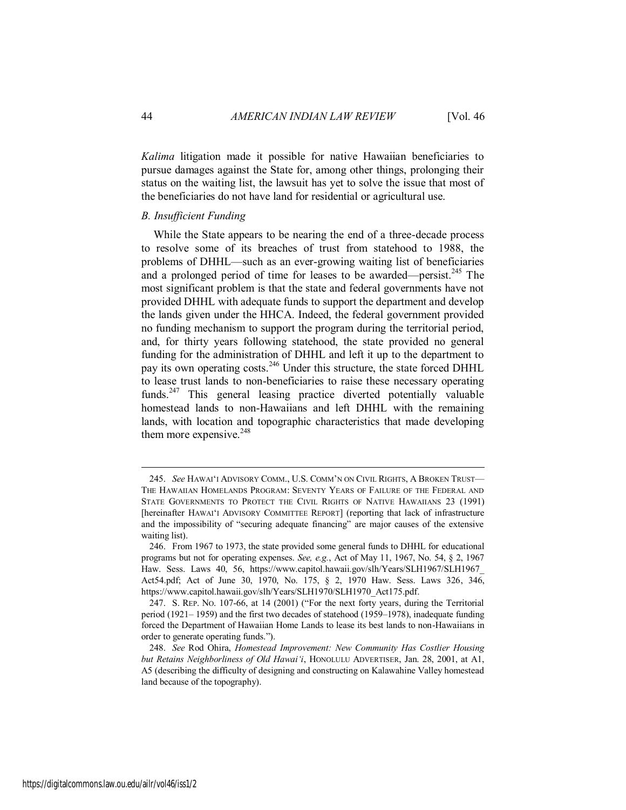*Kalima* litigation made it possible for native Hawaiian beneficiaries to pursue damages against the State for, among other things, prolonging their status on the waiting list, the lawsuit has yet to solve the issue that most of the beneficiaries do not have land for residential or agricultural use.

#### <span id="page-44-0"></span>*B. Insufficient Funding*

While the State appears to be nearing the end of a three-decade process to resolve some of its breaches of trust from statehood to 1988, the problems of DHHL—such as an ever-growing waiting list of beneficiaries and a prolonged period of time for leases to be awarded—persist.<sup>245</sup> The most significant problem is that the state and federal governments have not provided DHHL with adequate funds to support the department and develop the lands given under the HHCA. Indeed, the federal government provided no funding mechanism to support the program during the territorial period, and, for thirty years following statehood, the state provided no general funding for the administration of DHHL and left it up to the department to pay its own operating costs.<sup>246</sup> Under this structure, the state forced DHHL to lease trust lands to non-beneficiaries to raise these necessary operating funds.<sup>247</sup> This general leasing practice diverted potentially valuable homestead lands to non-Hawaiians and left DHHL with the remaining lands, with location and topographic characteristics that made developing them more expensive. $248$ 

<sup>245.</sup> *See* HAWAI'I ADVISORY COMM., U.S. COMM'N ON CIVIL RIGHTS, A BROKEN TRUST— THE HAWAIIAN HOMELANDS PROGRAM: SEVENTY YEARS OF FAILURE OF THE FEDERAL AND STATE GOVERNMENTS TO PROTECT THE CIVIL RIGHTS OF NATIVE HAWAIIANS 23 (1991) [hereinafter HAWAI'I ADVISORY COMMITTEE REPORT] (reporting that lack of infrastructure and the impossibility of "securing adequate financing" are major causes of the extensive waiting list).

<sup>246.</sup> From 1967 to 1973, the state provided some general funds to DHHL for educational programs but not for operating expenses. *See, e.g.*, Act of May 11, 1967, No. 54, § 2, 1967 Haw. Sess. Laws 40, 56, https://www.capitol.hawaii.gov/slh/Years/SLH1967/SLH1967 Act54.pdf; Act of June 30, 1970, No. 175, § 2, 1970 Haw. Sess. Laws 326, 346, https://www.capitol.hawaii.gov/slh/Years/SLH1970/SLH1970\_Act175.pdf.

<sup>247.</sup> S. REP. NO. 107-66, at 14 (2001) ("For the next forty years, during the Territorial period (1921– 1959) and the first two decades of statehood (1959–1978), inadequate funding forced the Department of Hawaiian Home Lands to lease its best lands to non-Hawaiians in order to generate operating funds.").

<sup>248.</sup> *See* Rod Ohira, *Homestead Improvement: New Community Has Costlier Housing but Retains Neighborliness of Old Hawai'i*, HONOLULU ADVERTISER, Jan. 28, 2001, at A1, A5 (describing the difficulty of designing and constructing on Kalawahine Valley homestead land because of the topography).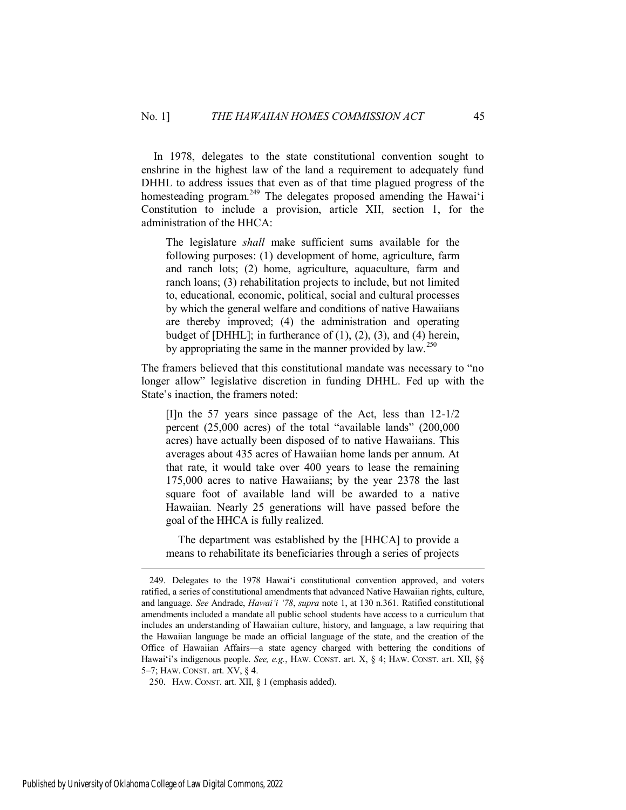In 1978, delegates to the state constitutional convention sought to enshrine in the highest law of the land a requirement to adequately fund DHHL to address issues that even as of that time plagued progress of the homesteading program.<sup>249</sup> The delegates proposed amending the Hawai'i Constitution to include a provision, article XII, section 1, for the administration of the HHCA:

The legislature *shall* make sufficient sums available for the following purposes: (1) development of home, agriculture, farm and ranch lots; (2) home, agriculture, aquaculture, farm and ranch loans; (3) rehabilitation projects to include, but not limited to, educational, economic, political, social and cultural processes by which the general welfare and conditions of native Hawaiians are thereby improved; (4) the administration and operating budget of  $[DHHL]$ ; in furtherance of  $(1)$ ,  $(2)$ ,  $(3)$ , and  $(4)$  herein, by appropriating the same in the manner provided by  $\text{law}^{250}$ .

The framers believed that this constitutional mandate was necessary to "no longer allow" legislative discretion in funding DHHL. Fed up with the State's inaction, the framers noted:

[I]n the 57 years since passage of the Act, less than 12-1/2 percent (25,000 acres) of the total "available lands" (200,000 acres) have actually been disposed of to native Hawaiians. This averages about 435 acres of Hawaiian home lands per annum. At that rate, it would take over 400 years to lease the remaining 175,000 acres to native Hawaiians; by the year 2378 the last square foot of available land will be awarded to a native Hawaiian. Nearly 25 generations will have passed before the goal of the HHCA is fully realized.

 The department was established by the [HHCA] to provide a means to rehabilitate its beneficiaries through a series of projects

<sup>249.</sup> Delegates to the 1978 Hawai'i constitutional convention approved, and voters ratified, a series of constitutional amendments that advanced Native Hawaiian rights, culture, and language. *See* Andrade, *Hawai'i '78*, *supra* note 1, at 130 n.361. Ratified constitutional amendments included a mandate all public school students have access to a curriculum that includes an understanding of Hawaiian culture, history, and language, a law requiring that the Hawaiian language be made an official language of the state, and the creation of the Office of Hawaiian Affairs—a state agency charged with bettering the conditions of Hawai'i's indigenous people. *See, e.g.*, HAW. CONST. art. X, § 4; HAW. CONST. art. XII, §§ 5–7; HAW. CONST. art. XV, § 4.

<sup>250.</sup> HAW. CONST. art. XII, § 1 (emphasis added).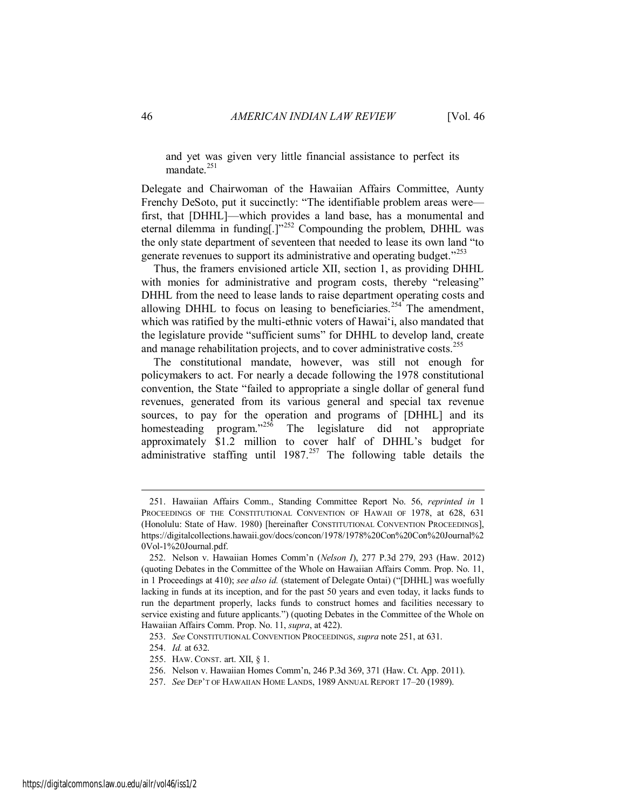and yet was given very little financial assistance to perfect its mandate.<sup>251</sup>

Delegate and Chairwoman of the Hawaiian Affairs Committee, Aunty Frenchy DeSoto, put it succinctly: "The identifiable problem areas were first, that [DHHL]—which provides a land base, has a monumental and eternal dilemma in funding $[.]$ <sup>252</sup> Compounding the problem, DHHL was the only state department of seventeen that needed to lease its own land "to generate revenues to support its administrative and operating budget.<sup>"253</sup>

Thus, the framers envisioned article XII, section 1, as providing DHHL with monies for administrative and program costs, thereby "releasing" DHHL from the need to lease lands to raise department operating costs and allowing DHHL to focus on leasing to beneficiaries.<sup>254</sup> The amendment, which was ratified by the multi-ethnic voters of Hawai'i, also mandated that the legislature provide "sufficient sums" for DHHL to develop land, create and manage rehabilitation projects, and to cover administrative costs.<sup>255</sup>

The constitutional mandate, however, was still not enough for policymakers to act. For nearly a decade following the 1978 constitutional convention, the State "failed to appropriate a single dollar of general fund revenues, generated from its various general and special tax revenue sources, to pay for the operation and programs of [DHHL] and its homesteading program."<sup>256</sup> The legislature did not appropriate approximately \$1.2 million to cover half of DHHL's budget for administrative staffing until  $1987<sup>257</sup>$  The following table details the

- 255. HAW. CONST. art. XII, § 1.
- 256. Nelson v. Hawaiian Homes Comm'n, 246 P.3d 369, 371 (Haw. Ct. App. 2011).
- 257. *See* DEP'T OF HAWAIIAN HOME LANDS, 1989 ANNUAL REPORT 17–20 (1989).

<sup>251.</sup> Hawaiian Affairs Comm., Standing Committee Report No. 56, *reprinted in* 1 PROCEEDINGS OF THE CONSTITUTIONAL CONVENTION OF HAWAII OF 1978, at 628, 631 (Honolulu: State of Haw. 1980) [hereinafter CONSTITUTIONAL CONVENTION PROCEEDINGS], https://digitalcollections.hawaii.gov/docs/concon/1978/1978%20Con%20Con%20Journal%2 0Vol-1%20Journal.pdf.

<sup>252.</sup> Nelson v. Hawaiian Homes Comm'n (*Nelson I*), 277 P.3d 279, 293 (Haw. 2012) (quoting Debates in the Committee of the Whole on Hawaiian Affairs Comm. Prop. No. 11, in 1 Proceedings at 410); *see also id.* (statement of Delegate Ontai) ("[DHHL] was woefully lacking in funds at its inception, and for the past 50 years and even today, it lacks funds to run the department properly, lacks funds to construct homes and facilities necessary to service existing and future applicants.") (quoting Debates in the Committee of the Whole on Hawaiian Affairs Comm. Prop. No. 11, *supra*, at 422).

<sup>253.</sup> *See* CONSTITUTIONAL CONVENTION PROCEEDINGS, *supra* note 251, at 631.

<sup>254.</sup> *Id.* at 632.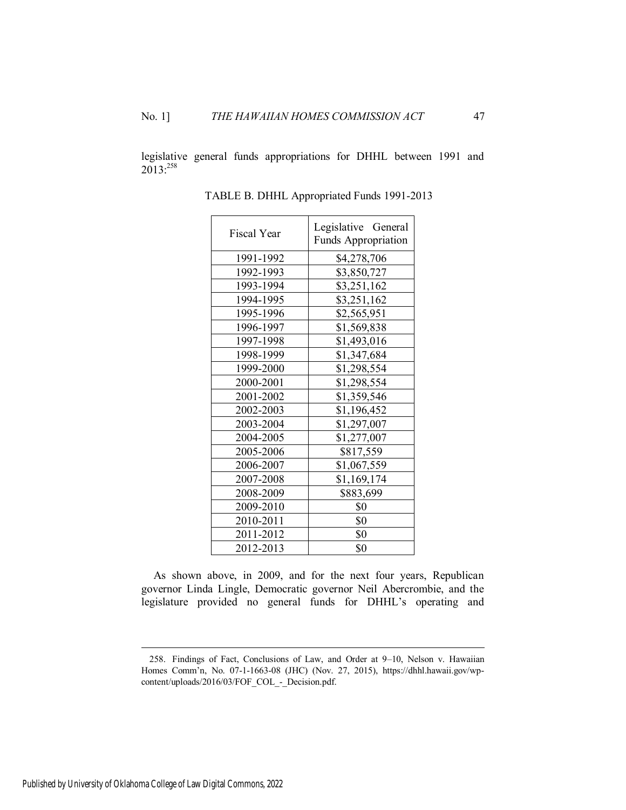legislative general funds appropriations for DHHL between 1991 and 2013:258

| <b>Fiscal Year</b> | Legislative General<br>Funds Appropriation |  |
|--------------------|--------------------------------------------|--|
| 1991-1992          | \$4,278,706                                |  |
| 1992-1993          | \$3,850,727                                |  |
| 1993-1994          | \$3,251,162                                |  |
| 1994-1995          | \$3,251,162                                |  |
| 1995-1996          | \$2,565,951                                |  |
| 1996-1997          | \$1,569,838                                |  |
| 1997-1998          | \$1,493,016                                |  |
| 1998-1999          | \$1,347,684                                |  |
| 1999-2000          | \$1,298,554                                |  |
| 2000-2001          | \$1,298,554                                |  |
| 2001-2002          | \$1,359,546                                |  |
| 2002-2003          | \$1,196,452                                |  |
| 2003-2004          | \$1,297,007                                |  |
| 2004-2005          | \$1,277,007                                |  |
| 2005-2006          | \$817,559                                  |  |
| 2006-2007          | \$1,067,559                                |  |
| 2007-2008          | \$1,169,174                                |  |
| 2008-2009          | \$883,699                                  |  |
| 2009-2010          | \$0                                        |  |
| 2010-2011          | \$0                                        |  |
| 2011-2012          | \$0                                        |  |
| 2012-2013          | \$0                                        |  |

TABLE B. DHHL Appropriated Funds 1991-2013

As shown above, in 2009, and for the next four years, Republican governor Linda Lingle, Democratic governor Neil Abercrombie, and the legislature provided no general funds for DHHL's operating and

<sup>258.</sup> Findings of Fact, Conclusions of Law, and Order at 9–10, Nelson v. Hawaiian Homes Comm'n, No. 07-1-1663-08 (JHC) (Nov. 27, 2015), https://dhhl.hawaii.gov/wpcontent/uploads/2016/03/FOF\_COL\_-\_Decision.pdf.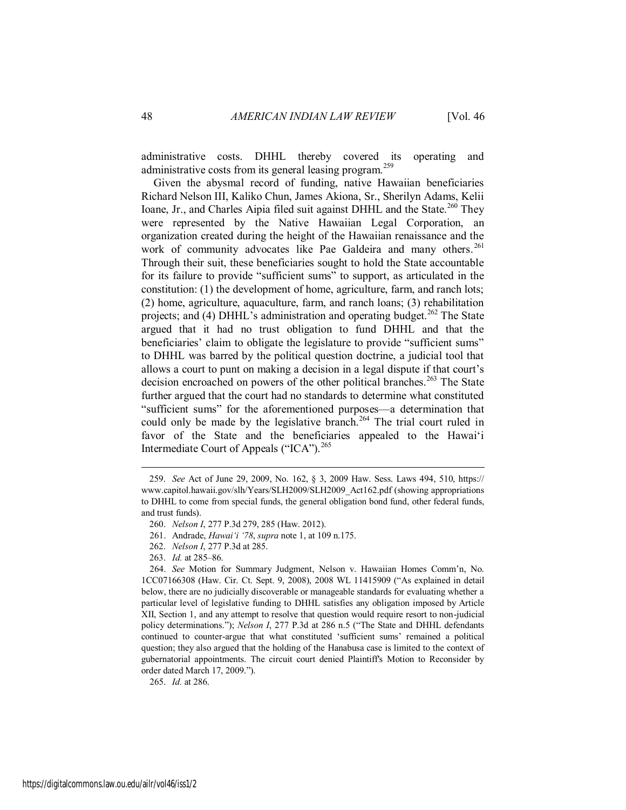administrative costs. DHHL thereby covered its operating and administrative costs from its general leasing program.<sup>259</sup>

Given the abysmal record of funding, native Hawaiian beneficiaries Richard Nelson III, Kaliko Chun, James Akiona, Sr., Sherilyn Adams, Kelii Ioane, Jr., and Charles Aipia filed suit against DHHL and the State.<sup>260</sup> They were represented by the Native Hawaiian Legal Corporation, an organization created during the height of the Hawaiian renaissance and the work of community advocates like Pae Galdeira and many others.<sup>261</sup> Through their suit, these beneficiaries sought to hold the State accountable for its failure to provide "sufficient sums" to support, as articulated in the constitution: (1) the development of home, agriculture, farm, and ranch lots; (2) home, agriculture, aquaculture, farm, and ranch loans; (3) rehabilitation projects; and (4) DHHL's administration and operating budget.<sup>262</sup> The State argued that it had no trust obligation to fund DHHL and that the beneficiaries' claim to obligate the legislature to provide "sufficient sums" to DHHL was barred by the political question doctrine, a judicial tool that allows a court to punt on making a decision in a legal dispute if that court's decision encroached on powers of the other political branches.<sup>263</sup> The State further argued that the court had no standards to determine what constituted "sufficient sums" for the aforementioned purposes—a determination that could only be made by the legislative branch.<sup>264</sup> The trial court ruled in favor of the State and the beneficiaries appealed to the Hawai'i Intermediate Court of Appeals ("ICA").<sup>265</sup>

 $\overline{a}$ 

265. *Id.* at 286.

<sup>259.</sup> *See* Act of June 29, 2009, No. 162, § 3, 2009 Haw. Sess. Laws 494, 510, https:// www.capitol.hawaii.gov/slh/Years/SLH2009/SLH2009\_Act162.pdf (showing appropriations to DHHL to come from special funds, the general obligation bond fund, other federal funds, and trust funds).

<sup>260.</sup> *Nelson I*, 277 P.3d 279, 285 (Haw. 2012).

<sup>261.</sup> Andrade, *Hawai'i '78*, *supra* note 1, at 109 n.175.

<sup>262.</sup> *Nelson I*, 277 P.3d at 285.

<sup>263.</sup> *Id.* at 285–86.

<sup>264.</sup> *See* Motion for Summary Judgment, Nelson v. Hawaiian Homes Comm'n, No. 1CC07166308 (Haw. Cir. Ct. Sept. 9, 2008), 2008 WL 11415909 ("As explained in detail below, there are no judicially discoverable or manageable standards for evaluating whether a particular level of legislative funding to DHHL satisfies any obligation imposed by Article XII, Section 1, and any attempt to resolve that question would require resort to non-judicial policy determinations."); *Nelson I*, 277 P.3d at 286 n.5 ("The State and DHHL defendants continued to counter-argue that what constituted 'sufficient sums' remained a political question; they also argued that the holding of the Hanabusa case is limited to the context of gubernatorial appointments. The circuit court denied Plaintiff's Motion to Reconsider by order dated March 17, 2009.").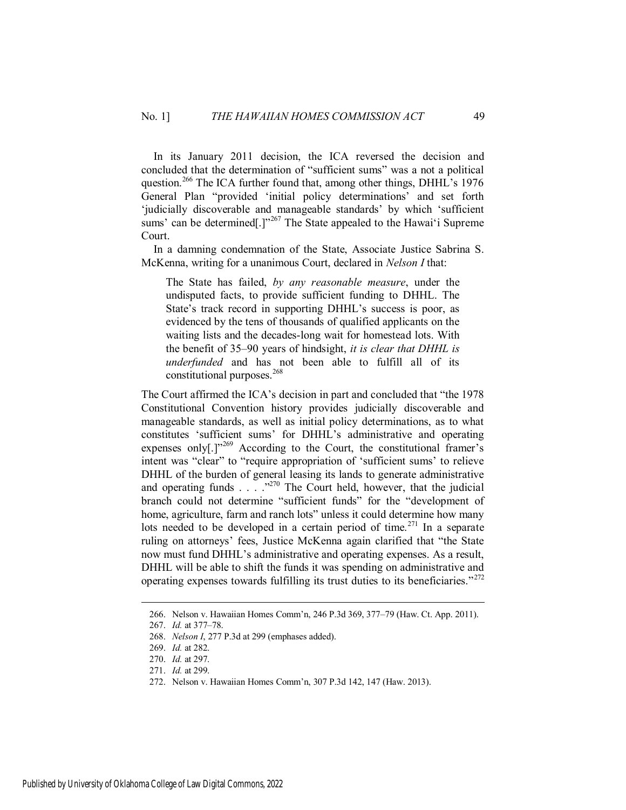In its January 2011 decision, the ICA reversed the decision and concluded that the determination of "sufficient sums" was a not a political question.<sup>266</sup> The ICA further found that, among other things, DHHL's 1976 General Plan "provided 'initial policy determinations' and set forth 'judicially discoverable and manageable standards' by which 'sufficient sums' can be determined[.]"<sup>267</sup> The State appealed to the Hawai'i Supreme Court.

In a damning condemnation of the State, Associate Justice Sabrina S. McKenna, writing for a unanimous Court, declared in *Nelson I* that:

The State has failed, *by any reasonable measure*, under the undisputed facts, to provide sufficient funding to DHHL. The State's track record in supporting DHHL's success is poor, as evidenced by the tens of thousands of qualified applicants on the waiting lists and the decades-long wait for homestead lots. With the benefit of 35–90 years of hindsight, *it is clear that DHHL is underfunded* and has not been able to fulfill all of its constitutional purposes.<sup>268</sup>

The Court affirmed the ICA's decision in part and concluded that "the 1978 Constitutional Convention history provides judicially discoverable and manageable standards, as well as initial policy determinations, as to what constitutes 'sufficient sums' for DHHL's administrative and operating expenses only<sup>[1]"269</sup> According to the Court, the constitutional framer's intent was "clear" to "require appropriation of 'sufficient sums' to relieve DHHL of the burden of general leasing its lands to generate administrative and operating funds  $\ldots$  .  $\cdot^{270}$  The Court held, however, that the judicial branch could not determine "sufficient funds" for the "development of home, agriculture, farm and ranch lots" unless it could determine how many lots needed to be developed in a certain period of time.<sup>271</sup> In a separate ruling on attorneys' fees, Justice McKenna again clarified that "the State now must fund DHHL's administrative and operating expenses. As a result, DHHL will be able to shift the funds it was spending on administrative and operating expenses towards fulfilling its trust duties to its beneficiaries."<sup>272</sup>

<sup>266.</sup> Nelson v. Hawaiian Homes Comm'n, 246 P.3d 369, 377–79 (Haw. Ct. App. 2011).

<sup>267.</sup> *Id.* at 377–78.

<sup>268.</sup> *Nelson I*, 277 P.3d at 299 (emphases added).

<sup>269.</sup> *Id.* at 282.

<sup>270.</sup> *Id.* at 297.

<sup>271.</sup> *Id.* at 299.

<sup>272.</sup> Nelson v. Hawaiian Homes Comm'n, 307 P.3d 142, 147 (Haw. 2013).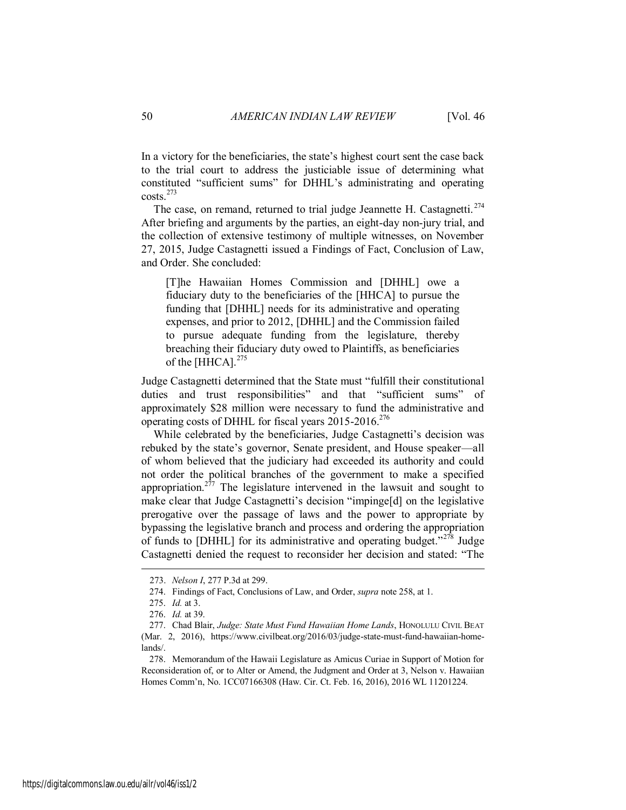In a victory for the beneficiaries, the state's highest court sent the case back to the trial court to address the justiciable issue of determining what constituted "sufficient sums" for DHHL's administrating and operating costs.<sup>273</sup>

The case, on remand, returned to trial judge Jeannette H. Castagnetti.<sup>274</sup> After briefing and arguments by the parties, an eight-day non-jury trial, and the collection of extensive testimony of multiple witnesses, on November 27, 2015, Judge Castagnetti issued a Findings of Fact, Conclusion of Law, and Order. She concluded:

[T]he Hawaiian Homes Commission and [DHHL] owe a fiduciary duty to the beneficiaries of the [HHCA] to pursue the funding that [DHHL] needs for its administrative and operating expenses, and prior to 2012, [DHHL] and the Commission failed to pursue adequate funding from the legislature, thereby breaching their fiduciary duty owed to Plaintiffs, as beneficiaries of the [HHCA].<sup>275</sup>

Judge Castagnetti determined that the State must "fulfill their constitutional duties and trust responsibilities" and that "sufficient sums" of approximately \$28 million were necessary to fund the administrative and operating costs of DHHL for fiscal years 2015-2016.<sup>276</sup>

While celebrated by the beneficiaries, Judge Castagnetti's decision was rebuked by the state's governor, Senate president, and House speaker—all of whom believed that the judiciary had exceeded its authority and could not order the political branches of the government to make a specified appropriation.<sup>277</sup> The legislature intervened in the lawsuit and sought to make clear that Judge Castagnetti's decision "impinge[d] on the legislative prerogative over the passage of laws and the power to appropriate by bypassing the legislative branch and process and ordering the appropriation of funds to [DHHL] for its administrative and operating budget."<sup>278</sup> Judge Castagnetti denied the request to reconsider her decision and stated: "The

<sup>273.</sup> *Nelson I*, 277 P.3d at 299.

<sup>274.</sup> Findings of Fact, Conclusions of Law, and Order, *supra* note 258, at 1.

<sup>275.</sup> *Id.* at 3.

<sup>276.</sup> *Id.* at 39.

<sup>277.</sup> Chad Blair, *Judge: State Must Fund Hawaiian Home Lands*, HONOLULU CIVIL BEAT (Mar. 2, 2016), https://www.civilbeat.org/2016/03/judge-state-must-fund-hawaiian-homelands/.

<sup>278.</sup> Memorandum of the Hawaii Legislature as Amicus Curiae in Support of Motion for Reconsideration of, or to Alter or Amend, the Judgment and Order at 3, Nelson v. Hawaiian Homes Comm'n, No. 1CC07166308 (Haw. Cir. Ct. Feb. 16, 2016), 2016 WL 11201224.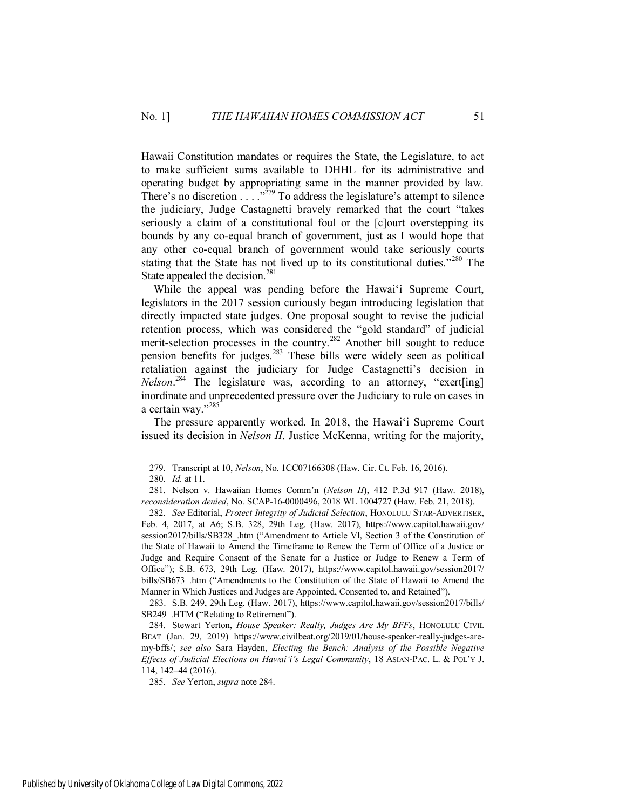Hawaii Constitution mandates or requires the State, the Legislature, to act to make sufficient sums available to DHHL for its administrative and operating budget by appropriating same in the manner provided by law. There's no discretion  $\ldots$ <sup>279</sup> To address the legislature's attempt to silence the judiciary, Judge Castagnetti bravely remarked that the court "takes seriously a claim of a constitutional foul or the [c]ourt overstepping its bounds by any co-equal branch of government, just as I would hope that any other co-equal branch of government would take seriously courts stating that the State has not lived up to its constitutional duties."<sup>280</sup> The State appealed the decision.<sup>281</sup>

While the appeal was pending before the Hawai'i Supreme Court, legislators in the 2017 session curiously began introducing legislation that directly impacted state judges. One proposal sought to revise the judicial retention process, which was considered the "gold standard" of judicial merit-selection processes in the country.<sup>282</sup> Another bill sought to reduce pension benefits for judges.<sup>283</sup> These bills were widely seen as political retaliation against the judiciary for Judge Castagnetti's decision in *Nelson*. <sup>284</sup> The legislature was, according to an attorney, "exert[ing] inordinate and unprecedented pressure over the Judiciary to rule on cases in a certain way."<sup>285</sup>

The pressure apparently worked. In 2018, the Hawai'i Supreme Court issued its decision in *Nelson II*. Justice McKenna, writing for the majority,

 $\overline{a}$ 

283. S.B. 249, 29th Leg. (Haw. 2017), https://www.capitol.hawaii.gov/session2017/bills/ SB249 .HTM ("Relating to Retirement").

284. Stewart Yerton, *House Speaker: Really, Judges Are My BFFs*, HONOLULU CIVIL BEAT (Jan. 29, 2019) https://www.civilbeat.org/2019/01/house-speaker-really-judges-aremy-bffs/; *see also* Sara Hayden, *Electing the Bench: Analysis of the Possible Negative Effects of Judicial Elections on Hawai'i's Legal Community*, 18 ASIAN-PAC. L. & POL'Y J. 114, 142–44 (2016).

285. *See* Yerton, *supra* note 284.

<sup>279.</sup> Transcript at 10, *Nelson*, No. 1CC07166308 (Haw. Cir. Ct. Feb. 16, 2016).

<sup>280.</sup> *Id.* at 11.

<sup>281.</sup> Nelson v. Hawaiian Homes Comm'n (*Nelson II*), 412 P.3d 917 (Haw. 2018), *reconsideration denied*, No. SCAP-16-0000496, 2018 WL 1004727 (Haw. Feb. 21, 2018).

<sup>282.</sup> *See* Editorial, *Protect Integrity of Judicial Selection*, HONOLULU STAR-ADVERTISER, Feb. 4, 2017, at A6; S.B. 328, 29th Leg. (Haw. 2017), https://www.capitol.hawaii.gov/ session2017/bills/SB328\_.htm ("Amendment to Article VI, Section 3 of the Constitution of the State of Hawaii to Amend the Timeframe to Renew the Term of Office of a Justice or Judge and Require Consent of the Senate for a Justice or Judge to Renew a Term of Office"); S.B. 673, 29th Leg. (Haw. 2017), https://www.capitol.hawaii.gov/session2017/ bills/SB673 .htm ("Amendments to the Constitution of the State of Hawaii to Amend the Manner in Which Justices and Judges are Appointed, Consented to, and Retained").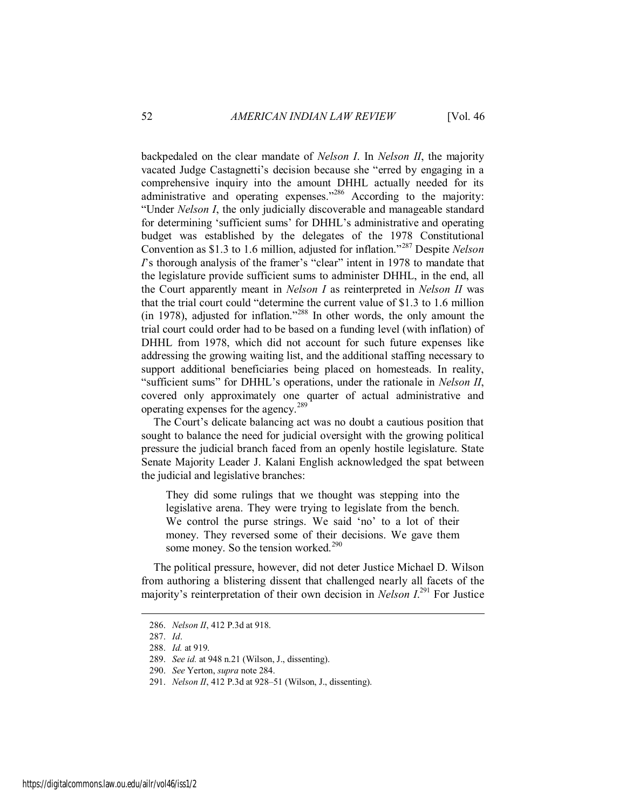backpedaled on the clear mandate of *Nelson I*. In *Nelson II*, the majority vacated Judge Castagnetti's decision because she "erred by engaging in a comprehensive inquiry into the amount DHHL actually needed for its administrative and operating expenses."<sup>286</sup> According to the majority: "Under *Nelson I*, the only judicially discoverable and manageable standard for determining 'sufficient sums' for DHHL's administrative and operating budget was established by the delegates of the 1978 Constitutional Convention as \$1.3 to 1.6 million, adjusted for inflation."<sup>287</sup> Despite *Nelson I*'s thorough analysis of the framer's "clear" intent in 1978 to mandate that the legislature provide sufficient sums to administer DHHL, in the end, all the Court apparently meant in *Nelson I* as reinterpreted in *Nelson II* was that the trial court could "determine the current value of \$1.3 to 1.6 million (in 1978), adjusted for inflation."<sup>288</sup> In other words, the only amount the trial court could order had to be based on a funding level (with inflation) of DHHL from 1978, which did not account for such future expenses like addressing the growing waiting list, and the additional staffing necessary to support additional beneficiaries being placed on homesteads. In reality, "sufficient sums" for DHHL's operations, under the rationale in *Nelson II*, covered only approximately one quarter of actual administrative and operating expenses for the agency.<sup>289</sup>

The Court's delicate balancing act was no doubt a cautious position that sought to balance the need for judicial oversight with the growing political pressure the judicial branch faced from an openly hostile legislature. State Senate Majority Leader J. Kalani English acknowledged the spat between the judicial and legislative branches:

They did some rulings that we thought was stepping into the legislative arena. They were trying to legislate from the bench. We control the purse strings. We said 'no' to a lot of their money. They reversed some of their decisions. We gave them some money. So the tension worked.<sup>290</sup>

The political pressure, however, did not deter Justice Michael D. Wilson from authoring a blistering dissent that challenged nearly all facets of the majority's reinterpretation of their own decision in *Nelson I*. <sup>291</sup> For Justice

<sup>286.</sup> *Nelson II*, 412 P.3d at 918.

<sup>287.</sup> *Id*.

<sup>288.</sup> *Id.* at 919.

<sup>289.</sup> *See id.* at 948 n.21 (Wilson, J., dissenting).

<sup>290.</sup> *See* Yerton, *supra* note 284.

<sup>291.</sup> *Nelson II*, 412 P.3d at 928–51 (Wilson, J., dissenting).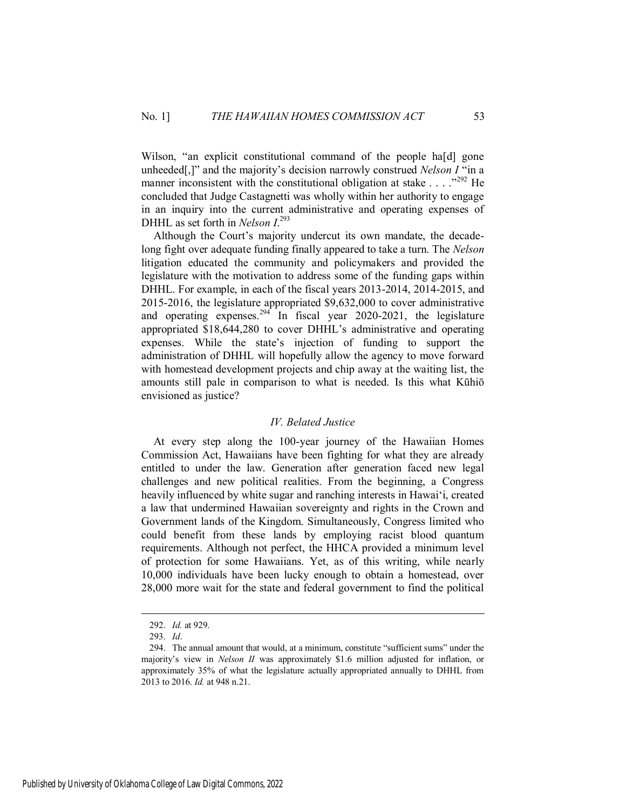Wilson, "an explicit constitutional command of the people ha[d] gone unheeded[,]" and the majority's decision narrowly construed *Nelson I* "in a manner inconsistent with the constitutional obligation at stake  $\ldots$  . . .<sup>292</sup> He concluded that Judge Castagnetti was wholly within her authority to engage in an inquiry into the current administrative and operating expenses of DHHL as set forth in *Nelson I*. 293

Although the Court's majority undercut its own mandate, the decadelong fight over adequate funding finally appeared to take a turn. The *Nelson*  litigation educated the community and policymakers and provided the legislature with the motivation to address some of the funding gaps within DHHL. For example, in each of the fiscal years 2013-2014, 2014-2015, and 2015-2016, the legislature appropriated \$9,632,000 to cover administrative and operating expenses.<sup>294</sup> In fiscal year 2020-2021, the legislature appropriated \$18,644,280 to cover DHHL's administrative and operating expenses. While the state's injection of funding to support the administration of DHHL will hopefully allow the agency to move forward with homestead development projects and chip away at the waiting list, the amounts still pale in comparison to what is needed. Is this what Kūhiō envisioned as justice?

#### *IV. Belated Justice*

<span id="page-53-0"></span>At every step along the 100-year journey of the Hawaiian Homes Commission Act, Hawaiians have been fighting for what they are already entitled to under the law. Generation after generation faced new legal challenges and new political realities. From the beginning, a Congress heavily influenced by white sugar and ranching interests in Hawai'i, created a law that undermined Hawaiian sovereignty and rights in the Crown and Government lands of the Kingdom. Simultaneously, Congress limited who could benefit from these lands by employing racist blood quantum requirements. Although not perfect, the HHCA provided a minimum level of protection for some Hawaiians. Yet, as of this writing, while nearly 10,000 individuals have been lucky enough to obtain a homestead, over 28,000 more wait for the state and federal government to find the political

<sup>292.</sup> *Id.* at 929.

<sup>293.</sup> *Id*.

<sup>294.</sup> The annual amount that would, at a minimum, constitute "sufficient sums" under the majority's view in *Nelson II* was approximately \$1.6 million adjusted for inflation, or approximately 35% of what the legislature actually appropriated annually to DHHL from 2013 to 2016. *Id.* at 948 n.21.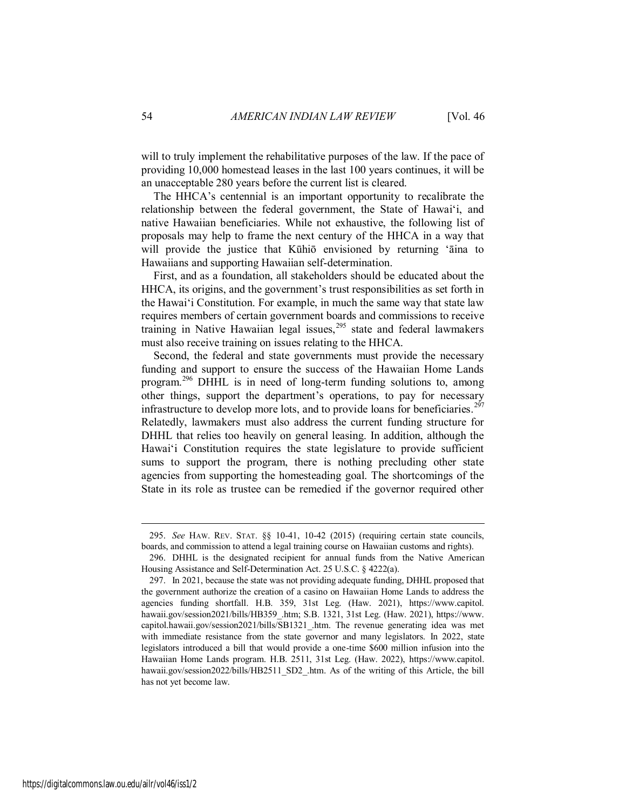will to truly implement the rehabilitative purposes of the law. If the pace of providing 10,000 homestead leases in the last 100 years continues, it will be an unacceptable 280 years before the current list is cleared.

The HHCA's centennial is an important opportunity to recalibrate the relationship between the federal government, the State of Hawai'i, and native Hawaiian beneficiaries. While not exhaustive, the following list of proposals may help to frame the next century of the HHCA in a way that will provide the justice that Kūhiō envisioned by returning 'aina to Hawaiians and supporting Hawaiian self-determination.

First, and as a foundation, all stakeholders should be educated about the HHCA, its origins, and the government's trust responsibilities as set forth in the Hawai'i Constitution. For example, in much the same way that state law requires members of certain government boards and commissions to receive training in Native Hawaiian legal issues,<sup>295</sup> state and federal lawmakers must also receive training on issues relating to the HHCA.

Second, the federal and state governments must provide the necessary funding and support to ensure the success of the Hawaiian Home Lands program.<sup>296</sup> DHHL is in need of long-term funding solutions to, among other things, support the department's operations, to pay for necessary infrastructure to develop more lots, and to provide loans for beneficiaries.<sup>297</sup> Relatedly, lawmakers must also address the current funding structure for DHHL that relies too heavily on general leasing. In addition, although the Hawai'i Constitution requires the state legislature to provide sufficient sums to support the program, there is nothing precluding other state agencies from supporting the homesteading goal. The shortcomings of the State in its role as trustee can be remedied if the governor required other

<sup>295.</sup> *See* HAW. REV. STAT. §§ 10-41, 10-42 (2015) (requiring certain state councils, boards, and commission to attend a legal training course on Hawaiian customs and rights).

<sup>296.</sup> DHHL is the designated recipient for annual funds from the Native American Housing Assistance and Self-Determination Act. 25 U.S.C. § 4222(a).

<sup>297.</sup> In 2021, because the state was not providing adequate funding, DHHL proposed that the government authorize the creation of a casino on Hawaiian Home Lands to address the agencies funding shortfall. H.B. 359, 31st Leg. (Haw. 2021), https://www.capitol. hawaii.gov/session2021/bills/HB359\_.htm; S.B. 1321, 31st Leg. (Haw. 2021), https://www. capitol.hawaii.gov/session2021/bills/SB1321\_.htm. The revenue generating idea was met with immediate resistance from the state governor and many legislators. In 2022, state legislators introduced a bill that would provide a one-time \$600 million infusion into the Hawaiian Home Lands program. H.B. 2511, 31st Leg. (Haw. 2022), https://www.capitol. hawaii.gov/session2022/bills/HB2511\_SD2\_.htm. As of the writing of this Article, the bill has not yet become law.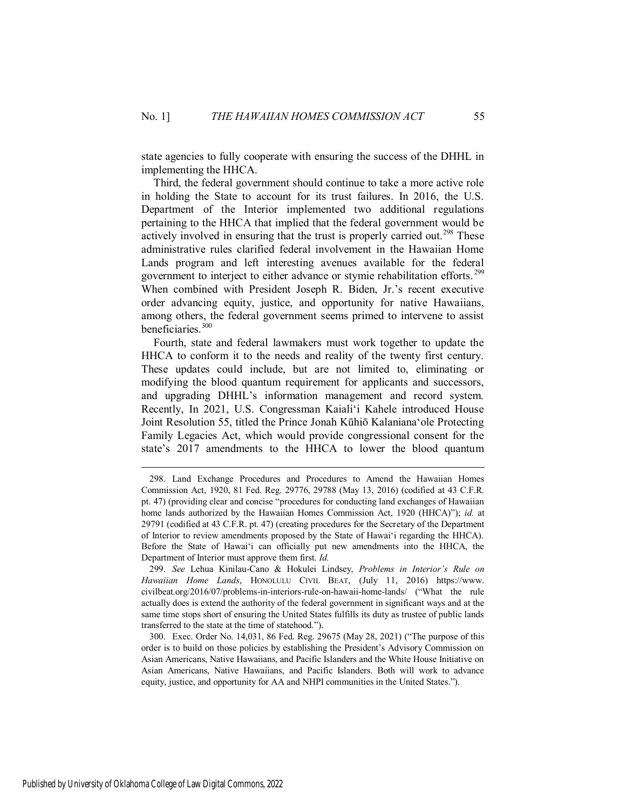state agencies to fully cooperate with ensuring the success of the DHHL in implementing the HHCA.

Third, the federal government should continue to take a more active role in holding the State to account for its trust failures. In 2016, the U.S. Department of the Interior implemented two additional regulations pertaining to the HHCA that implied that the federal government would be actively involved in ensuring that the trust is properly carried out.<sup>298</sup> These administrative rules clarified federal involvement in the Hawaiian Home Lands program and left interesting avenues available for the federal government to interject to either advance or stymie rehabilitation efforts.<sup>299</sup> When combined with President Joseph R. Biden, Jr.'s recent executive order advancing equity, justice, and opportunity for native Hawaiians, among others, the federal government seems primed to intervene to assist beneficiaries.<sup>300</sup>

Fourth, state and federal lawmakers must work together to update the HHCA to conform it to the needs and reality of the twenty first century. These updates could include, but are not limited to, eliminating or modifying the blood quantum requirement for applicants and successors, and upgrading DHHL's information management and record system. Recently, In 2021, U.S. Congressman Kaiali'i Kahele introduced House Joint Resolution 55, titled the Prince Jonah Kūhiō Kalaniana'ole Protecting Family Legacies Act, which would provide congressional consent for the state's 2017 amendments to the HHCA to lower the blood quantum

 $\overline{a}$ 

Published by University of Oklahoma College of Law Digital Commons, 2022

<sup>298.</sup> Land Exchange Procedures and Procedures to Amend the Hawaiian Homes Commission Act, 1920, 81 Fed. Reg. 29776, 29788 (May 13, 2016) (codified at 43 C.F.R. pt. 47) (providing clear and concise "procedures for conducting land exchanges of Hawaiian home lands authorized by the Hawaiian Homes Commission Act, 1920 (HHCA)"); *id.* at 29791 (codified at 43 C.F.R. pt. 47) (creating procedures for the Secretary of the Department of Interior to review amendments proposed by the State of Hawai'i regarding the HHCA). Before the State of Hawai'i can officially put new amendments into the HHCA, the Department of Interior must approve them first. *Id.* 

<sup>299.</sup> *See* Lehua Kinilau-Cano & Hokulei Lindsey, *Problems in Interior's Rule on Hawaiian Home Lands*, HONOLULU CIVIL BEAT, (July 11, 2016) https://www. civilbeat.org/2016/07/problems-in-interiors-rule-on-hawaii-home-lands/ ("What the rule actually does is extend the authority of the federal government in significant ways and at the same time stops short of ensuring the United States fulfills its duty as trustee of public lands transferred to the state at the time of statehood.").

<sup>300.</sup> Exec. Order No. 14,031, 86 Fed. Reg. 29675 (May 28, 2021) ("The purpose of this order is to build on those policies by establishing the President's Advisory Commission on Asian Americans, Native Hawaiians, and Pacific Islanders and the White House Initiative on Asian Americans, Native Hawaiians, and Pacific Islanders. Both will work to advance equity, justice, and opportunity for AA and NHPI communities in the United States.").